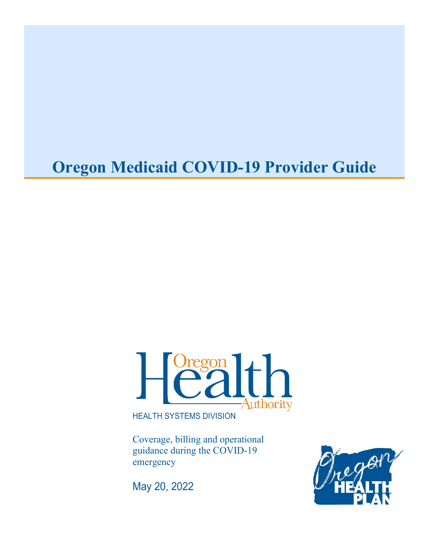# **Oregon Medicaid COVID-19 Provider Guide**



HEALTH SYSTEMS DIVISION

Coverage, billing and operational guidance during the COVID-19 emergency

May 20, 2022

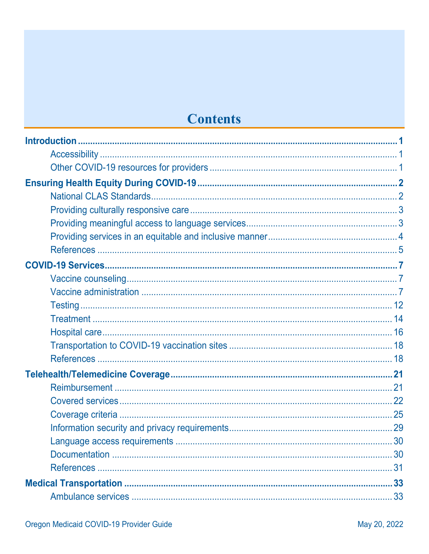# **Contents**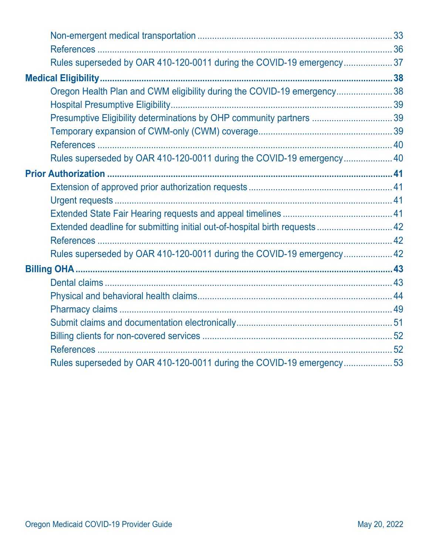| Rules superseded by OAR 410-120-0011 during the COVID-19 emergency37        |  |
|-----------------------------------------------------------------------------|--|
|                                                                             |  |
| Oregon Health Plan and CWM eligibility during the COVID-19 emergency38      |  |
|                                                                             |  |
| Presumptive Eligibility determinations by OHP community partners  39        |  |
|                                                                             |  |
|                                                                             |  |
| Rules superseded by OAR 410-120-0011 during the COVID-19 emergency 40       |  |
|                                                                             |  |
|                                                                             |  |
|                                                                             |  |
|                                                                             |  |
| Extended deadline for submitting initial out-of-hospital birth requests  42 |  |
|                                                                             |  |
| Rules superseded by OAR 410-120-0011 during the COVID-19 emergency 42       |  |
|                                                                             |  |
|                                                                             |  |
|                                                                             |  |
|                                                                             |  |
|                                                                             |  |
|                                                                             |  |
|                                                                             |  |
| Rules superseded by OAR 410-120-0011 during the COVID-19 emergency53        |  |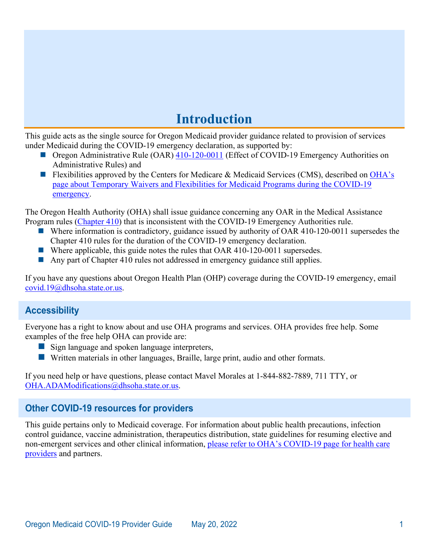# **Introduction**

<span id="page-3-0"></span>This guide acts as the single source for Oregon Medicaid provider guidance related to provision of services under Medicaid during the COVID-19 emergency declaration, as supported by:

- Oregon Administrative Rule (OAR) [410-120-0011](https://secure.sos.state.or.us/oard/view.action?ruleNumber=410-120-0011) (Effect of COVID-19 Emergency Authorities on Administrative Rules) and
- Flexibilities approved by the Centers for Medicare & Medicaid Services (CMS), described on OHA's [page about Temporary Waivers and Flexibilities for Medicaid Programs during the COVID-19](http://www.oregon.gov/OHA/HSD/Medicaid-Policy/Pages/COVID-19.aspx)  [emergency.](http://www.oregon.gov/OHA/HSD/Medicaid-Policy/Pages/COVID-19.aspx)

The Oregon Health Authority (OHA) shall issue guidance concerning any OAR in the Medical Assistance Program rules [\(Chapter 410\)](https://secure.sos.state.or.us/oard/displayChapterRules.action?selectedChapter=87) that is inconsistent with the COVID-19 Emergency Authorities rule.

- Where information is contradictory, guidance issued by authority of OAR 410-120-0011 supersedes the Chapter 410 rules for the duration of the COVID-19 emergency declaration.
- Where applicable, this guide notes the rules that OAR 410-120-0011 supersedes.
- Any part of Chapter 410 rules not addressed in emergency guidance still applies.

If you have any questions about Oregon Health Plan (OHP) coverage during the COVID-19 emergency, email [covid.19@dhsoha.state.or.us.](mailto:covid.19@dhsoha.state.or.us)

# <span id="page-3-1"></span>**Accessibility**

Everyone has a right to know about and use OHA programs and services. OHA provides free help. Some examples of the free help OHA can provide are:

- Sign language and spoken language interpreters,
- **E** Written materials in other languages, Braille, large print, audio and other formats.

If you need help or have questions, please contact Mavel Morales at 1-844-882-7889, 711 TTY, or [OHA.ADAModifications@dhsoha.state.or.us.](mailto:OHA.ADAModifications@dhsoha.state.or.us)

## <span id="page-3-2"></span>**Other COVID-19 resources for providers**

This guide pertains only to Medicaid coverage. For information about public health precautions, infection control guidance, vaccine administration, therapeutics distribution, state guidelines for resuming elective and non-emergent services and other clinical information, [please refer to OHA's COVID-19 page for health care](https://www.oregon.gov/oha/covid19/Pages/Healthcare-Partners.aspx)  [providers](https://www.oregon.gov/oha/covid19/Pages/Healthcare-Partners.aspx) and partners.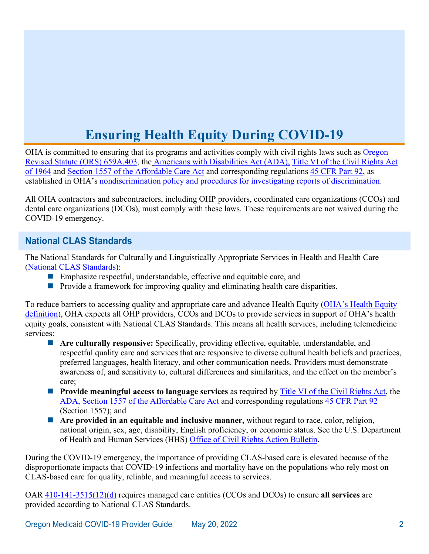# **Ensuring Health Equity During COVID-19**

<span id="page-4-0"></span>OHA is committed to ensuring that its programs and activities comply with civil rights laws such as **Oregon** [Revised Statute \(ORS\) 659A.403,](https://www.oregonlaws.org/ors/659A.403) the [Americans with Disabilities Act \(ADA\),](https://www.ada.gov/effective-comm.pdf) [Title VI of the Civil Rights Act](https://www.justice.gov/crt/fcs/TitleVI-Overview)  [of 1964](https://www.justice.gov/crt/fcs/TitleVI-Overview) and [Section 1557 of the Affordable Care Act](https://www.gpo.gov/fdsys/pkg/PLAW-111publ148/pdf/PLAW-111publ148.pdf) and corresponding regulations [45 CFR Part 92,](https://www.federalregister.gov/documents/2016/05/18/2016-11458/nondiscrimination-in-health-programs-and-activities?utm_campaign=subscription+mailing+list&utm_medium=email&utm_source=federalregister.gov) as established in OHA's [nondiscrimination policy and procedures for investigating reports of discrimination.](https://secure.sos.state.or.us/oard/displayDivisionRules.action?selectedDivision=4200)

All OHA contractors and subcontractors, including OHP providers, coordinated care organizations (CCOs) and dental care organizations (DCOs), must comply with these laws. These requirements are not waived during the COVID-19 emergency.

# <span id="page-4-1"></span>**National CLAS Standards**

The National Standards for Culturally and Linguistically Appropriate Services in Health and Health Care [\(National CLAS Standards\)](https://thinkculturalhealth.hhs.gov/clas):

- Emphasize respectful, understandable, effective and equitable care, and
- **Provide a framework for improving quality and eliminating health care disparities.**

To reduce barriers to accessing quality and appropriate care and advance Health Equity [\(OHA's Health Equity](https://www.oregon.gov/oha/OEI/Pages/Health-Equity-Committee.aspx)  [definition\)](https://www.oregon.gov/oha/OEI/Pages/Health-Equity-Committee.aspx), OHA expects all OHP providers, CCOs and DCOs to provide services in support of OHA's health equity goals, consistent with National CLAS Standards. This means all health services, including telemedicine services:

- **Are culturally responsive:** Specifically, providing effective, equitable, understandable, and respectful quality care and services that are responsive to diverse cultural health beliefs and practices, preferred languages, health literacy, and other communication needs. Providers must demonstrate awareness of, and sensitivity to, cultural differences and similarities, and the effect on the member's care;
- **Provide meaningful access to language services** as required by [Title VI of the Civil Rights Act,](https://www.justice.gov/crt/fcs/TitleVI-Overview) the [ADA,](https://www.ada.gov/effective-comm.pdf) [Section 1557 of the Affordable Care Act](https://www.gpo.gov/fdsys/pkg/PLAW-111publ148/pdf/PLAW-111publ148.pdf) and corresponding regulations [45 CFR Part 92](https://www.federalregister.gov/documents/2016/05/18/2016-11458/nondiscrimination-in-health-programs-and-activities?utm_campaign=subscription+mailing+list&utm_medium=email&utm_source=federalregister.gov) (Section 1557); and
- **Are provided in an equitable and inclusive manner,** without regard to race, color, religion, national origin, sex, age, disability, English proficiency, or economic status. See the U.S. Department of Health and Human Services (HHS) [Office of Civil Rights Action Bulletin.](https://www.hhs.gov/sites/default/files/ocr-bulletin-3-28-20.pdf)

During the COVID-19 emergency, the importance of providing CLAS-based care is elevated because of the disproportionate impacts that COVID-19 infections and mortality have on the populations who rely most on CLAS-based care for quality, reliable, and meaningful access to services.

OAR [410-141-3515\(12\)\(d\)](https://secure.sos.state.or.us/oard/view.action?ruleNumber=410-141-3515) requires managed care entities (CCOs and DCOs) to ensure **all services** are provided according to National CLAS Standards.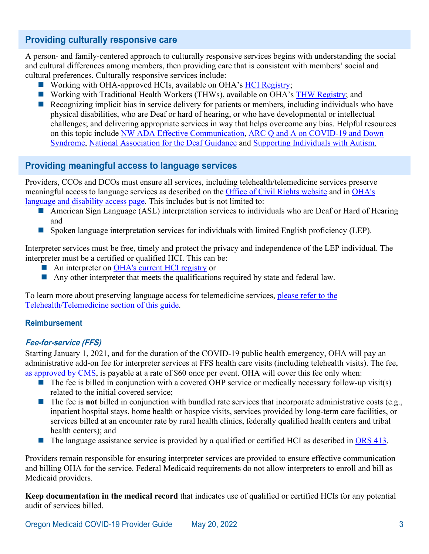# <span id="page-5-0"></span>**Providing culturally responsive care**

A person- and family-centered approach to culturally responsive services begins with understanding the social and cultural differences among members, then providing care that is consistent with members' social and cultural preferences. Culturally responsive services include:

- Working with OHA-approved HCIs, available on OHA's [HCI Registry;](https://hciregistry.dhsoha.state.or.us/)
- Working with Traditional Health Workers (THWs), available on OHA's [THW Registry;](https://traditionalhealthworkerregistry.oregon.gov/Search) and
- Recognizing implicit bias in service delivery for patients or members, including individuals who have physical disabilities, who are Deaf or hard of hearing, or who have developmental or intellectual challenges; and delivering appropriate services in way that helps overcome any bias. Helpful resources on this topic include [NW ADA Effective Communication,](http://nwadacenter.org/factsheet/effective-communication-healthcare) [ARC Q and A on COVID-19 and Down](http://thearc.org/wp-content/uploads/2020/04/2020-COVID19-DS-QA-Abbreviated-03-27-FINAL-2-Copy.pdf)  [Syndrome, National Association for the Deaf Guidance](http://thearc.org/wp-content/uploads/2020/04/2020-COVID19-DS-QA-Abbreviated-03-27-FINAL-2-Copy.pdf) and [Supporting Individuals with Autism.](https://afirm.fpg.unc.edu/supporting-individuals-autism-through-uncertain-times)

## <span id="page-5-1"></span>**Providing meaningful access to language services**

Providers, CCOs and DCOs must ensure all services, including telehealth/telemedicine services preserve meaningful access to language services as described on the [Office of Civil Rights website](https://www.hhs.gov/civil-rights/for-individuals/special-topics/hospitals-effective-communication/limited-english-proficiency/index.html) and in [OHA's](https://www.oregon.gov/oha/OEI/Pages/Language-Disability-Access.aspx)  [language and disability access page.](https://www.oregon.gov/oha/OEI/Pages/Language-Disability-Access.aspx) This includes but is not limited to:

- American Sign Language (ASL) interpretation services to individuals who are Deaf or Hard of Hearing and
- Spoken language interpretation services for individuals with limited English proficiency (LEP).

Interpreter services must be free, timely and protect the privacy and independence of the LEP individual. The interpreter must be a certified or qualified HCI. This can be:

- An interpreter on [OHA's current HCI registry](https://docs.google.com/spreadsheets/d/17K6H39Usc_fxL-xnNJLrzpVLlw0Fi2TA7TZscjzdtH8/pub?single=true&gid=0&output=html) or
- Any other interpreter that meets the qualifications required by state and federal law.

To learn more about preserving language access for telemedicine services, [please refer to the](#page-32-0)  [Telehealth/Telemedicine section of this guide.](#page-32-0)

#### **Reimbursement**

#### **Fee-for-service (FFS)**

Starting January 1, 2021, and for the duration of the COVID-19 public health emergency, OHA will pay an administrative add-on fee for interpreter services at FFS health care visits (including telehealth visits). The fee, [as approved by CMS,](https://www.oregon.gov/oha/HSD/Medicaid-Policy/StatePlans/20-0017.pdf) is payable at a rate of \$60 once per event. OHA will cover this fee only when:

- The fee is billed in conjunction with a covered OHP service or medically necessary follow-up visit(s) related to the initial covered service;
- The fee is **not** billed in conjunction with bundled rate services that incorporate administrative costs (e.g., inpatient hospital stays, home health or hospice visits, services provided by long-term care facilities, or services billed at an encounter rate by rural health clinics, federally qualified health centers and tribal health centers); and
- The language assistance service is provided by a qualified or certified HCI as described in [ORS 413.](https://www.oregonlaws.org/ors/413.550)

Providers remain responsible for ensuring interpreter services are provided to ensure effective communication and billing OHA for the service. Federal Medicaid requirements do not allow interpreters to enroll and bill as Medicaid providers.

**Keep documentation in the medical record** that indicates use of qualified or certified HCIs for any potential audit of services billed.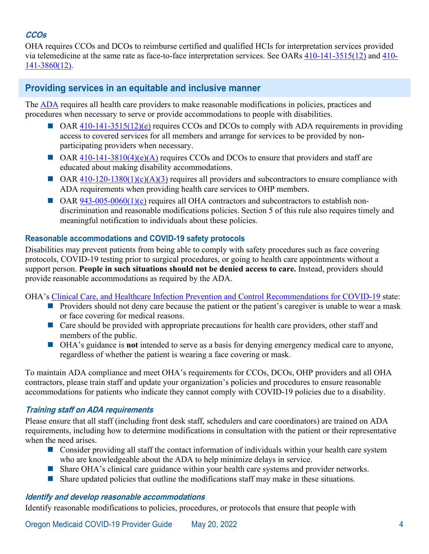# **CCOs**

OHA requires CCOs and DCOs to reimburse certified and qualified HCIs for interpretation services provided via telemedicine at the same rate as face-to-face interpretation services. See OARs [410-141-3515\(12\)](https://secure.sos.state.or.us/oard/view.action?ruleNumber=410-141-3515) and [410-](https://secure.sos.state.or.us/oard/view.action?ruleNumber=410-141-3860) [141-3860\(12\).](https://secure.sos.state.or.us/oard/view.action?ruleNumber=410-141-3860)

# <span id="page-6-0"></span>**Providing services in an equitable and inclusive manner**

The [ADA](https://www.ada.gov/regs2010/titleIII_2010/titleIII_2010_regulations.htm) requires all health care providers to make reasonable modifications in policies, practices and procedures when necessary to serve or provide accommodations to people with disabilities.

- $\Box$  [OAR 410-141-3515\(12\)\(e\)](https://secure.sos.state.or.us/oard/view.action?ruleNumber=410-141-3515) requires CCOs and DCOs to comply with ADA requirements in providing access to covered services for all members and arrange for services to be provided by nonparticipating providers when necessary.
- $\Box$  OAR [410-141-3810\(4\)\(e\)\(A\)](https://secure.sos.state.or.us/oard/view.action?ruleNumber=410-141-3810) requires CCOs and DCOs to ensure that providers and staff are educated about making disability accommodations.
- $\Box$  OAR [410-120-1380\(1\)\(c\)\(A\)\(3\)](https://secure.sos.state.or.us/oard/view.action?ruleNumber=410-120-1380) requires all providers and subcontractors to ensure compliance with ADA requirements when providing health care services to OHP members.
- $\Box$  OAR [943-005-0060\(1\)\(c\)](https://secure.sos.state.or.us/oard/view.action?ruleNumber=943-005-0060) requires all OHA contractors and subcontractors to establish nondiscrimination and reasonable modifications policies. Section 5 of this rule also requires timely and meaningful notification to individuals about these policies.

#### **Reasonable accommodations and COVID-19 safety protocols**

Disabilities may prevent patients from being able to comply with safety procedures such as face covering protocols, COVID-19 testing prior to surgical procedures, or going to health care appointments without a support person. **People in such situations should not be denied access to care.** Instead, providers should provide reasonable accommodations as required by the ADA.

OHA's [Clinical Care, and Healthcare Infection Prevention and Control Recommendations for COVID-19](https://sharedsystems.dhsoha.state.or.us/DHSForms/Served/le2288J_R.pdf) state:

- **Providers should not deny care because the patient or the patient's caregiver is unable to wear a mask** or face covering for medical reasons.
- Care should be provided with appropriate precautions for health care providers, other staff and members of the public.
- OHA's guidance is **not** intended to serve as a basis for denying emergency medical care to anyone, regardless of whether the patient is wearing a face covering or mask.

To maintain ADA compliance and meet OHA's requirements for CCOs, DCOs, OHP providers and all OHA contractors, please train staff and update your organization's policies and procedures to ensure reasonable accommodations for patients who indicate they cannot comply with COVID-19 policies due to a disability.

## **Training staff on ADA requirements**

Please ensure that all staff (including front desk staff, schedulers and care coordinators) are trained on ADA requirements, including how to determine modifications in consultation with the patient or their representative when the need arises.

- Consider providing all staff the contact information of individuals within your health care system who are knowledgeable about the ADA to help minimize delays in service.
- Share [OHA's clinical care guidance](https://sharedsystems.dhsoha.state.or.us/DHSForms/Served/le2288J.pdf) within your health care systems and provider networks.
- Share updated policies that outline the modifications staff may make in these situations.

#### **Identify and develop reasonable accommodations**

Identify reasonable modifications to policies, procedures, or protocols that ensure that people with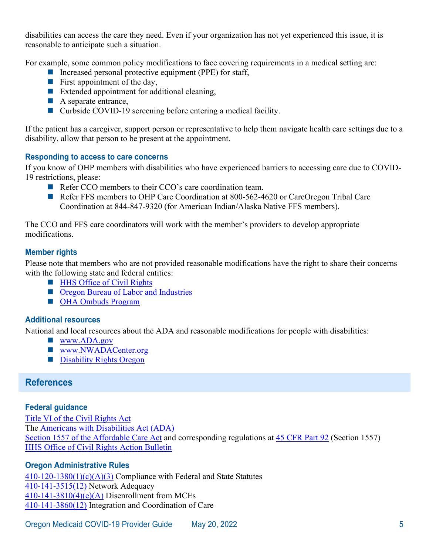disabilities can access the care they need. Even if your organization has not yet experienced this issue, it is reasonable to anticipate such a situation.

For example, some common policy modifications to face covering requirements in a medical setting are:

- Increased personal protective equipment (PPE) for staff,
- **First appointment of the day,**
- Extended appointment for additional cleaning,
- A separate entrance,
- Curbside COVID-19 screening before entering a medical facility.

If the patient has a caregiver, support person or representative to help them navigate health care settings due to a disability, allow that person to be present at the appointment.

#### **Responding to access to care concerns**

If you know of OHP members with disabilities who have experienced barriers to accessing care due to COVID-19 restrictions, please:

- Refer CCO members to their CCO's care coordination team.
- Refer FFS members to [OHP Care Coordination](http://ohpcc.org/) at 800-562-4620 or CareOregon Tribal Care Coordination at 844-847-9320 (for American Indian/Alaska Native FFS members).

The CCO and FFS care coordinators will work with the member's providers to develop appropriate modifications.

#### **Member rights**

Please note that members who are not provided reasonable modifications have the right to share their concerns with the following state and federal entities:

- **[HHS Office of Civil Rights](https://www.hhs.gov/ocr/complaints/index.html)**
- **Depart** [Oregon Bureau of Labor and Industries](https://www.oregon.gov/boli/civil-rights/Pages/default.aspx)
- **[OHA Ombuds Program](https://www.oregon.gov/oha/ERD/Pages/Ombuds-Program.aspx)**

#### **Additional resources**

National and local resources about the ADA and reasonable modifications for people with disabilities:

- **WWW.ADA.gov**
- [www.NWADACenter.org](http://www.nwadacenter.org/)
- **[Disability Rights Oregon](https://www.droregon.org/know-your-rights)**

## <span id="page-7-0"></span>**References**

#### **Federal guidance**

[Title VI of the Civil Rights Act](https://www.justice.gov/crt/fcs/TitleVI-Overview) The [Americans with Disabilities Act](https://www.ada.gov/) (ADA) [Section 1557 of the Affordable Care Act](https://www.gpo.gov/fdsys/pkg/PLAW-111publ148/pdf/PLAW-111publ148.pdf) and corresponding regulations at [45 CFR Part 92](https://www.govinfo.gov/content/pkg/FR-2016-05-18/pdf/2016-11458.pdf) (Section 1557) [HHS Office of Civil Rights Action Bulletin](https://www.hhs.gov/sites/default/files/ocr-bulletin-3-28-20.pdf)

## **Oregon Administrative Rules**

 $410-120-1380(1)(c)(A)(3)$  Compliance with Federal and State Statutes [410-141-3515\(12\)](https://secure.sos.state.or.us/oard/view.action?ruleNumber=410-141-3515) Network Adequacy  $410-141-3810(4)(e)(A)$  Disenrollment from MCEs [410-141-3860\(12\)](https://secure.sos.state.or.us/oard/view.action?ruleNumber=410-141-3860) Integration and Coordination of Care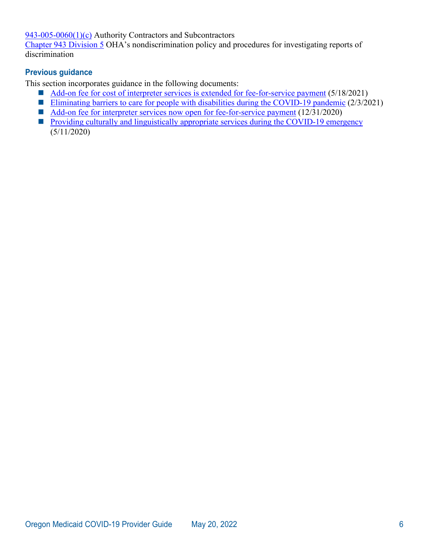[943-005-0060\(1\)\(c\)](https://secure.sos.state.or.us/oard/view.action?ruleNumber=943-005-0060) Authority Contractors and Subcontractors

[Chapter 943 Division 5](https://secure.sos.state.or.us/oard/displayDivisionRules.action?selectedDivision=4200) OHA's nondiscrimination policy and procedures for investigating reports of discrimination

### **Previous guidance**

This section incorporates guidance in the following documents:

- [Add-on fee for cost of interpreter services is extended for fee-for-service payment](https://www.oregon.gov/oha/HSD/OHP/Announcements/interpreter-services-fee0521.pdf) (5/18/2021)
- [Eliminating barriers to care for people with disabilities during the COVID-19 pandemic](https://www.oregon.gov/oha/HSD/OHP/Announcements/reasonable-accommodations0221.pdf) (2/3/2021)
- [Add-on fee for interpreter services now open for fee-for-service payment](https://www.oregon.gov/oha/HSD/OHP/Announcements/interpreter-services-fee1220.pdf) (12/31/2020)
- **[Providing culturally and linguistically appropriate services during the COVID-19 emergency](https://www.oregon.gov/oha/HSD/OHP/Announcements/Providing%20Culturally%20and%20Linguistically%20Appropriate%20Services%20During%20the%20COVID-19%20Emergency.pdf)** (5/11/2020)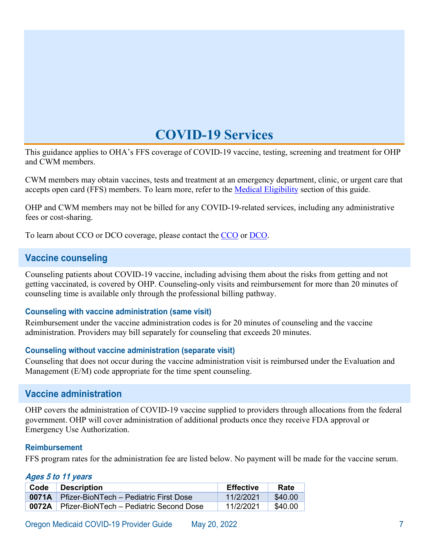# **COVID-19 Services**

<span id="page-9-0"></span>This guidance applies to OHA's FFS coverage of COVID-19 vaccine, testing, screening and treatment for OHP and CWM members.

CWM members may obtain vaccines, tests and treatment at an emergency department, clinic, or urgent care that accepts open card (FFS) members. To learn more, refer to the [Medical Eligibility](#page-40-0) section of this guide.

OHP and CWM members may not be billed for any COVID-19-related services, including any administrative fees or cost-sharing.

<span id="page-9-1"></span>To learn about CCO or DCO coverage, please contact the [CCO](https://www.oregon.gov/OHA/HSD/OHP/Pages/Coordinated-Care-Organizations.aspx) or [DCO.](https://www.oregon.gov/oha/HSD/OHP/pages/dental-plans.aspx)

## **Vaccine counseling**

Counseling patients about COVID-19 vaccine, including advising them about the risks from getting and not getting vaccinated, is covered by OHP. Counseling-only visits and reimbursement for more than 20 minutes of counseling time is available only through the professional billing pathway.

#### **Counseling with vaccine administration (same visit)**

Reimbursement under the vaccine administration codes is for 20 minutes of counseling and the vaccine administration. Providers may bill separately for counseling that exceeds 20 minutes.

#### **Counseling without vaccine administration (separate visit)**

Counseling that does not occur during the vaccine administration visit is reimbursed under the Evaluation and Management (E/M) code appropriate for the time spent counseling.

## <span id="page-9-2"></span>**Vaccine administration**

OHP covers the administration of COVID-19 vaccine supplied to providers through allocations from the federal government. OHP will cover administration of additional products once they receive FDA approval or Emergency Use Authorization.

#### **Reimbursement**

FFS program rates for the administration fee are listed below. No payment will be made for the vaccine serum.

#### **Ages 5 to 11 years**

| Code | <b>Description</b>                                   | <b>Effective</b> | Rate    |
|------|------------------------------------------------------|------------------|---------|
|      | <b>0071A</b> Pfizer-BioNTech – Pediatric First Dose  | 11/2/2021        | \$40.00 |
|      | <b>0072A</b> Pfizer-BioNTech – Pediatric Second Dose | 11/2/2021        | \$40.00 |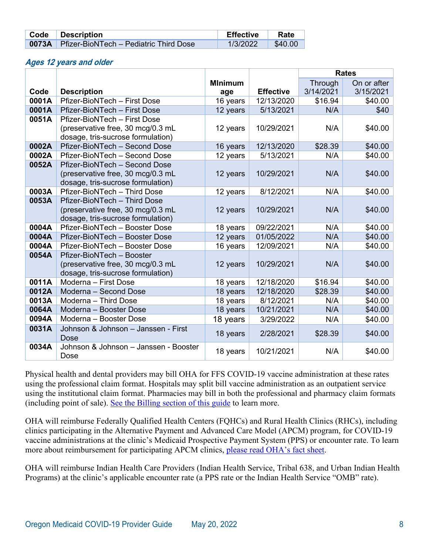| Code Description                                    | Effective | Rate                  |
|-----------------------------------------------------|-----------|-----------------------|
| <b>0073A</b> Pfizer-BioNTech – Pediatric Third Dose | 1/3/2022  | $\frac{1}{2}$ \$40.00 |

#### **Ages 12 years and older**

|       |                                               |                |                  |           | <b>Rates</b> |
|-------|-----------------------------------------------|----------------|------------------|-----------|--------------|
|       |                                               | <b>MInimum</b> |                  | Through   | On or after  |
| Code  | <b>Description</b>                            | age            | <b>Effective</b> | 3/14/2021 | 3/15/2021    |
| 0001A | Pfizer-BioNTech - First Dose                  | 16 years       | 12/13/2020       | \$16.94   | \$40.00      |
| 0001A | Pfizer-BioNTech - First Dose                  | 12 years       | 5/13/2021        | N/A       | \$40         |
| 0051A | Pfizer-BioNTech - First Dose                  |                |                  |           |              |
|       | (preservative free, 30 mcg/0.3 mL             | 12 years       | 10/29/2021       | N/A       | \$40.00      |
|       | dosage, tris-sucrose formulation)             |                |                  |           |              |
| 0002A | Pfizer-BioNTech - Second Dose                 | 16 years       | 12/13/2020       | \$28.39   | \$40.00      |
| 0002A | Pfizer-BioNTech - Second Dose                 | 12 years       | 5/13/2021        | N/A       | \$40.00      |
| 0052A | Pfizer-BioNTech - Second Dose                 |                |                  |           |              |
|       | (preservative free, 30 mcg/0.3 mL             | 12 years       | 10/29/2021       | N/A       | \$40.00      |
|       | dosage, tris-sucrose formulation)             |                |                  |           |              |
| 0003A | Pfizer-BioNTech - Third Dose                  | 12 years       | 8/12/2021        | N/A       | \$40.00      |
| 0053A | Pfizer-BioNTech - Third Dose                  |                |                  |           |              |
|       | (preservative free, 30 mcg/0.3 mL             | 12 years       | 10/29/2021       | N/A       | \$40.00      |
|       | dosage, tris-sucrose formulation)             |                |                  |           |              |
| 0004A | Pfizer-BioNTech - Booster Dose                | 18 years       | 09/22/2021       | N/A       | \$40.00      |
| 0004A | Pfizer-BioNTech - Booster Dose                | 12 years       | 01/05/2022       | N/A       | \$40.00      |
| 0004A | Pfizer-BioNTech - Booster Dose                | 16 years       | 12/09/2021       | N/A       | \$40.00      |
| 0054A | Pfizer-BioNTech - Booster                     |                |                  |           |              |
|       | (preservative free, 30 mcg/0.3 mL             | 12 years       | 10/29/2021       | N/A       | \$40.00      |
|       | dosage, tris-sucrose formulation)             |                |                  |           |              |
| 0011A | Moderna - First Dose                          | 18 years       | 12/18/2020       | \$16.94   | \$40.00      |
| 0012A | Moderna - Second Dose                         | 18 years       | 12/18/2020       | \$28.39   | \$40.00      |
| 0013A | Moderna - Third Dose                          | 18 years       | 8/12/2021        | N/A       | \$40.00      |
| 0064A | Moderna - Booster Dose                        | 18 years       | 10/21/2021       | N/A       | \$40.00      |
| 0094A | Moderna - Booster Dose                        | 18 years       | 3/29/2022        | N/A       | \$40.00      |
| 0031A | Johnson & Johnson - Janssen - First           | 18 years       | 2/28/2021        | \$28.39   | \$40.00      |
|       | Dose<br>Johnson & Johnson - Janssen - Booster |                |                  |           |              |
| 0034A | Dose                                          | 18 years       | 10/21/2021       | N/A       | \$40.00      |

Physical health and dental providers may bill OHA for FFS COVID-19 vaccine administration at these rates using the professional claim format. Hospitals may split bill vaccine administration as an outpatient service using the institutional claim format. Pharmacies may bill in both the professional and pharmacy claim formats (including point of sale). [See the Billing section of this guide](#page-45-0) to learn more.

OHA will reimburse Federally Qualified Health Centers (FQHCs) and Rural Health Clinics (RHCs), including clinics participating in the Alternative Payment and Advanced Care Model (APCM) program, for COVID-19 vaccine administrations at the clinic's Medicaid Prospective Payment System (PPS) or encounter rate. To learn more about reimbursement for participating APCM clinics, [please read OHA's fact sheet.](https://www.oregon.gov/oha/HSD/OHP/Tools/APCM-Vaccine-Fact-Sheet.pdf)

OHA will reimburse Indian Health Care Providers (Indian Health Service, Tribal 638, and Urban Indian Health Programs) at the clinic's applicable encounter rate (a PPS rate or the Indian Health Service "OMB" rate).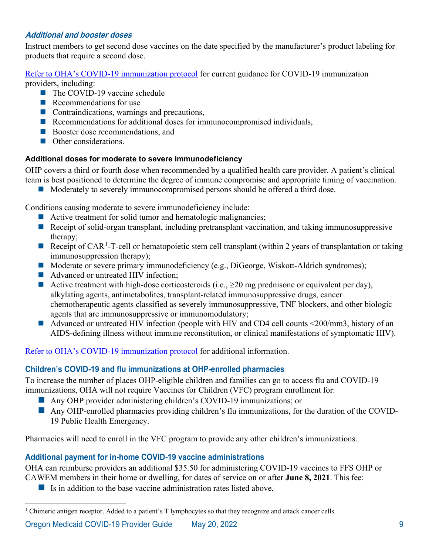### **Additional and booster doses**

Instruct members to get second dose vaccines on the date specified by the manufacturer's product labeling for products that require a second dose.

#### [Refer to OHA's COVID-19 immunization protocol](https://www.oregon.gov/oha/PH/PREVENTIONWELLNESS/VACCINESIMMUNIZATION/IMMUNIZATIONPROVIDERRESOURCES/COVIDDocuments/SOCOVID-19.pdf) for current guidance for COVID-19 immunization providers, including:

- The COVID-19 vaccine schedule
- Recommendations for use
- Contraindications, warnings and precautions,
- Recommendations for additional doses for immunocompromised individuals,
- Booster dose recommendations, and
- Other considerations.

#### **Additional doses for moderate to severe immunodeficiency**

OHP covers a third or fourth dose when recommended by a qualified health care provider. A patient's clinical team is best positioned to determine the degree of immune compromise and appropriate timing of vaccination.

Moderately to severely immunocompromised persons should be offered a third dose.

Conditions causing moderate to severe immunodeficiency include:

- Active treatment for solid tumor and hematologic malignancies;
- Receipt of solid-organ transplant, including pretransplant vaccination, and taking immunosuppressive therapy;
- Receipt of CAR<sup>[1](#page-11-0)</sup>-T-cell or hematopoietic stem cell transplant (within 2 years of transplantation or taking immunosuppression therapy);
- Moderate or severe primary immunodeficiency (e.g., DiGeorge, Wiskott-Aldrich syndromes);
- Advanced or untreated HIV infection;
- Active treatment with high-dose corticosteroids (i.e.,  $\geq 20$  mg prednisone or equivalent per day), alkylating agents, antimetabolites, transplant-related immunosuppressive drugs, cancer chemotherapeutic agents classified as severely immunosuppressive, TNF blockers, and other biologic agents that are immunosuppressive or immunomodulatory;
- Advanced or untreated HIV infection (people with HIV and CD4 cell counts <200/mm3, history of an AIDS-defining illness without immune reconstitution, or clinical manifestations of symptomatic HIV).

Refer to OHA's [COVID-19 immunization protocol](https://www.oregon.gov/oha/PH/PREVENTIONWELLNESS/VACCINESIMMUNIZATION/IMMUNIZATIONPROVIDERRESOURCES/COVIDDocuments/SOCOVID-19.pdf) for additional information.

## **Children's COVID-19 and flu immunizations at OHP-enrolled pharmacies**

To increase the number of places OHP-eligible children and families can go to access flu and COVID-19 immunizations, OHA will not require Vaccines for Children (VFC) program enrollment for:

- Any OHP provider administering children's COVID-19 immunizations; or
- **Any OHP-enrolled pharmacies providing children's flu immunizations, for the duration of the COVID-**19 Public Health Emergency.

Pharmacies will need to enroll in the VFC program to provide any other children's immunizations.

## **Additional payment for in-home COVID-19 vaccine administrations**

OHA can reimburse providers an additional \$35.50 for administering COVID-19 vaccines to FFS OHP or CAWEM members in their home or dwelling, for dates of service on or after **June 8, 2021**. This fee:

 $\blacksquare$  Is in addition to the base vaccine administration rates listed above,

<span id="page-11-0"></span><sup>&</sup>lt;sup>1</sup> Chimeric antigen receptor. Added to a patient's T lymphocytes so that they recognize and attack cancer cells.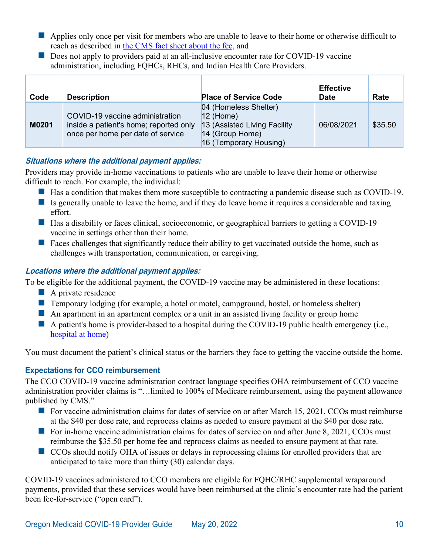- $\blacksquare$  Applies only once per visit for members who are unable to leave to their home or otherwise difficult to reach as described in [the CMS fact sheet about the fee,](https://www.cms.gov/files/document/vaccine-home.pdf) and
- Does not apply to providers paid at an all-inclusive encounter rate for COVID-19 vaccine administration, including FQHCs, RHCs, and Indian Health Care Providers.

| Code  | <b>Description</b>                                                                                             | <b>Place of Service Code</b>                                                                                      | <b>Effective</b><br><b>Date</b> | <b>Rate</b> |
|-------|----------------------------------------------------------------------------------------------------------------|-------------------------------------------------------------------------------------------------------------------|---------------------------------|-------------|
| M0201 | COVID-19 vaccine administration<br>inside a patient's home; reported only<br>once per home per date of service | 04 (Homeless Shelter)<br>$12$ (Home)<br>13 (Assisted Living Facility<br>14 (Group Home)<br>16 (Temporary Housing) | 06/08/2021                      | \$35.50     |

## **Situations where the additional payment applies:**

Providers may provide in-home vaccinations to patients who are unable to leave their home or otherwise difficult to reach. For example, the individual:

- Has a condition that makes them more susceptible to contracting a pandemic disease such as COVID-19.
- Is generally unable to leave the home, and if they do leave home it requires a considerable and taxing effort.
- Has a disability or faces clinical, socioeconomic, or geographical barriers to getting a COVID-19 vaccine in settings other than their home.
- **Faces challenges that significantly reduce their ability to get vaccinated outside the home, such as** challenges with transportation, communication, or caregiving.

## **Locations where the additional payment applies:**

To be eligible for the additional payment, the COVID-19 vaccine may be administered in these locations:

- A private residence
- Temporary lodging (for example, a hotel or motel, campground, hostel, or homeless shelter)
- An apartment in an apartment complex or a unit in an assisted living facility or group home
- A patient's home is provider-based to a hospital during the COVID-19 public health emergency (i.e., [hospital at home\)](https://qualitynet.cms.gov/acute-hospital-care-at-home)

You must document the patient's clinical status or the barriers they face to getting the vaccine outside the home.

# **Expectations for CCO reimbursement**

The CCO COVID-19 vaccine administration contract language specifies OHA reimbursement of CCO vaccine administration provider claims is "…limited to 100% of Medicare reimbursement, using the payment allowance published by CMS."

- For vaccine administration claims for dates of service on or after March 15, 2021, CCOs must reimburse at the \$40 per dose rate, and reprocess claims as needed to ensure payment at the \$40 per dose rate.
- For in-home vaccine administration claims for dates of service on and after June 8, 2021, CCOs must reimburse the \$35.50 per home fee and reprocess claims as needed to ensure payment at that rate.
- CCOs should notify OHA of issues or delays in reprocessing claims for enrolled providers that are anticipated to take more than thirty (30) calendar days.

COVID-19 vaccines administered to CCO members are eligible for FQHC/RHC supplemental wraparound payments, provided that these services would have been reimbursed at the clinic's encounter rate had the patient been fee-for-service ("open card").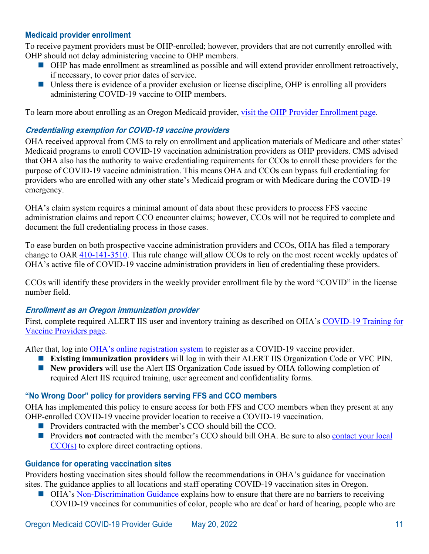#### <span id="page-13-0"></span>**Medicaid provider enrollment**

To receive payment providers must be OHP-enrolled; however, providers that are not currently enrolled with OHP should not delay administering vaccine to OHP members.

- OHP has made enrollment as streamlined as possible and will extend provider enrollment retroactively, if necessary, to cover prior dates of service.
- Unless there is evidence of a provider exclusion or license discipline, OHP is enrolling all providers administering COVID-19 vaccine to OHP members.

To learn more about enrolling as an Oregon Medicaid provider, [visit the OHP Provider Enrollment page.](https://www.oregon.gov/OHA/HSD/OHP/Pages/Provider-Enroll.aspx)

#### **Credentialing exemption for COVID-19 vaccine providers**

OHA received approval from CMS to rely on enrollment and application materials of Medicare and other states' Medicaid programs to enroll COVID-19 vaccination administration providers as OHP providers. CMS advised that OHA also has the authority to waive credentialing requirements for CCOs to enroll these providers for the purpose of COVID-19 vaccine administration. This means OHA and CCOs can bypass full credentialing for providers who are enrolled with any other state's Medicaid program or with Medicare during the COVID-19 emergency.

OHA's claim system requires a minimal amount of data about these providers to process FFS vaccine administration claims and report CCO encounter claims; however, CCOs will not be required to complete and document the full credentialing process in those cases.

To ease burden on both prospective vaccine administration providers and CCOs, OHA has filed a temporary change to OAR [410-141-3510.](https://secure.sos.state.or.us/oard/viewSingleRule.action?ruleVrsnRsn=265503) This rule change will allow CCOs to rely on the most recent weekly updates of OHA's active file of COVID-19 vaccine administration providers in lieu of credentialing these providers.

CCOs will identify these providers in the weekly provider enrollment file by the word "COVID" in the license number field.

#### <span id="page-13-1"></span>**Enrollment as an Oregon immunization provider**

First, complete required ALERT IIS user and inventory training as described on OHA's [COVID-19 Training for](https://www.oregon.gov/oha/PH/PREVENTIONWELLNESS/VACCINESIMMUNIZATION/IMMUNIZATIONPROVIDERRESOURCES/Pages/COVIDTraining.aspx)  [Vaccine Providers page.](https://www.oregon.gov/oha/PH/PREVENTIONWELLNESS/VACCINESIMMUNIZATION/IMMUNIZATIONPROVIDERRESOURCES/Pages/COVIDTraining.aspx)

After that, log into [OHA's online registration system](https://immalert.oha.oregon.gov/) to register as a COVID-19 vaccine provider.

- **Existing immunization providers** will log in with their ALERT IIS Organization Code or VFC PIN.
- **New providers** will use the Alert IIS Organization Code issued by OHA following completion of required Alert IIS required training, user agreement and confidentiality forms.

## **"No Wrong Door" policy for providers serving FFS and CCO members**

OHA has implemented this policy to ensure access for both FFS and CCO members when they present at any OHP-enrolled COVID-19 vaccine provider location to receive a COVID-19 vaccination.

- **Providers contracted with the member's CCO should bill the CCO.**
- **Providers not contracted with the member's CCO should bill OHA. Be sure to also contact your local**  $\overline{CCO(s)}$  to explore direct contracting options.

#### **Guidance for operating vaccination sites**

Providers hosting vaccination sites should follow the recommendations in OHA's guidance for vaccination sites. The guidance applies to all locations and staff operating COVID-19 vaccination sites in Oregon.

■ OHA's [Non-Discrimination Guidance](https://sharedsystems.dhsoha.state.or.us/DHSForms/Served/le3658.pdf) explains how to ensure that there are no barriers to receiving COVID-19 vaccines for communities of color, people who are deaf or hard of hearing, people who are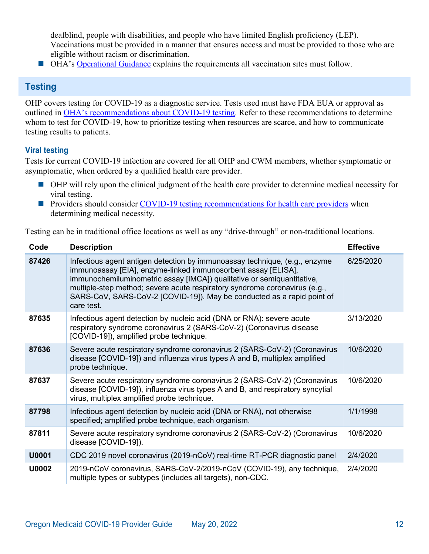deafblind, people with disabilities, and people who have limited English proficiency (LEP). Vaccinations must be provided in a manner that ensures access and must be provided to those who are eligible without racism or discrimination.

**OHA's [Operational Guidance](https://sharedsystems.dhsoha.state.or.us/DHSForms/Served/le3659.pdf) explains the requirements all vaccination sites must follow.** 

# <span id="page-14-0"></span>**Testing**

OHP covers testing for COVID-19 as a diagnostic service. Tests used must have FDA EUA or approval as outlined in [OHA's recommendations about COVID-19 testing.](https://sharedsystems.dhsoha.state.or.us/DHSForms/Served/le2267_r.pdf) Refer to these recommendations to determine whom to test for COVID-19, how to prioritize testing when resources are scarce, and how to communicate testing results to patients.

## **Viral testing**

Tests for current COVID-19 infection are covered for all OHP and CWM members, whether symptomatic or asymptomatic, when ordered by a qualified health care provider.

- OHP will rely upon the clinical judgment of the health care provider to determine medical necessity for viral testing.
- **Providers should consider [COVID-19 testing recommendations for health care providers](https://sharedsystems.dhsoha.state.or.us/DHSForms/Served/le2267_r.pdf) when** determining medical necessity.

Testing can be in traditional office locations as well as any "drive-through" or non-traditional locations.

| Code         | <b>Description</b>                                                                                                                                                                                                                                                                                                                                                                          | <b>Effective</b> |
|--------------|---------------------------------------------------------------------------------------------------------------------------------------------------------------------------------------------------------------------------------------------------------------------------------------------------------------------------------------------------------------------------------------------|------------------|
| 87426        | Infectious agent antigen detection by immunoassay technique, (e.g., enzyme<br>immunoassay [EIA], enzyme-linked immunosorbent assay [ELISA],<br>immunochemiluminometric assay [IMCA]) qualitative or semiquantitative,<br>multiple-step method; severe acute respiratory syndrome coronavirus (e.g.,<br>SARS-CoV, SARS-CoV-2 [COVID-19]). May be conducted as a rapid point of<br>care test. | 6/25/2020        |
| 87635        | Infectious agent detection by nucleic acid (DNA or RNA): severe acute<br>respiratory syndrome coronavirus 2 (SARS-CoV-2) (Coronavirus disease<br>[COVID-19]), amplified probe technique.                                                                                                                                                                                                    | 3/13/2020        |
| 87636        | Severe acute respiratory syndrome coronavirus 2 (SARS-CoV-2) (Coronavirus<br>disease [COVID-19]) and influenza virus types A and B, multiplex amplified<br>probe technique.                                                                                                                                                                                                                 | 10/6/2020        |
| 87637        | Severe acute respiratory syndrome coronavirus 2 (SARS-CoV-2) (Coronavirus<br>disease [COVID-19]), influenza virus types A and B, and respiratory syncytial<br>virus, multiplex amplified probe technique.                                                                                                                                                                                   | 10/6/2020        |
| 87798        | Infectious agent detection by nucleic acid (DNA or RNA), not otherwise<br>specified; amplified probe technique, each organism.                                                                                                                                                                                                                                                              | 1/1/1998         |
| 87811        | Severe acute respiratory syndrome coronavirus 2 (SARS-CoV-2) (Coronavirus<br>disease [COVID-19]).                                                                                                                                                                                                                                                                                           | 10/6/2020        |
| <b>U0001</b> | CDC 2019 novel coronavirus (2019-nCoV) real-time RT-PCR diagnostic panel                                                                                                                                                                                                                                                                                                                    | 2/4/2020         |
| U0002        | 2019-nCoV coronavirus, SARS-CoV-2/2019-nCoV (COVID-19), any technique,<br>multiple types or subtypes (includes all targets), non-CDC.                                                                                                                                                                                                                                                       | 2/4/2020         |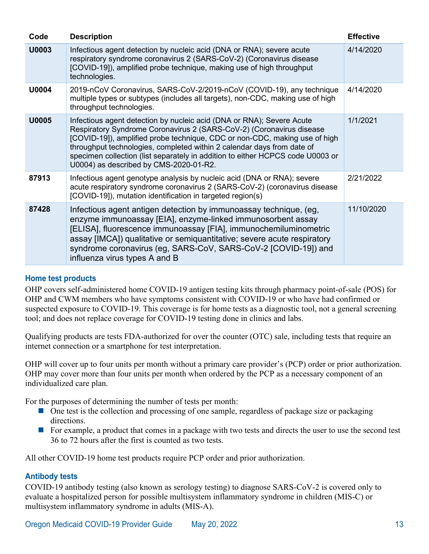| Code  | <b>Description</b>                                                                                                                                                                                                                                                                                                                                                                                                                | <b>Effective</b> |
|-------|-----------------------------------------------------------------------------------------------------------------------------------------------------------------------------------------------------------------------------------------------------------------------------------------------------------------------------------------------------------------------------------------------------------------------------------|------------------|
| U0003 | Infectious agent detection by nucleic acid (DNA or RNA); severe acute<br>respiratory syndrome coronavirus 2 (SARS-CoV-2) (Coronavirus disease<br>[COVID-19]), amplified probe technique, making use of high throughput<br>technologies.                                                                                                                                                                                           | 4/14/2020        |
| U0004 | 2019-nCoV Coronavirus, SARS-CoV-2/2019-nCoV (COVID-19), any technique<br>multiple types or subtypes (includes all targets), non-CDC, making use of high<br>throughput technologies.                                                                                                                                                                                                                                               | 4/14/2020        |
| U0005 | Infectious agent detection by nucleic acid (DNA or RNA); Severe Acute<br>Respiratory Syndrome Coronavirus 2 (SARS-CoV-2) (Coronavirus disease<br>[COVID-19]), amplified probe technique, CDC or non-CDC, making use of high<br>throughput technologies, completed within 2 calendar days from date of<br>specimen collection (list separately in addition to either HCPCS code U0003 or<br>U0004) as described by CMS-2020-01-R2. | 1/1/2021         |
| 87913 | Infectious agent genotype analysis by nucleic acid (DNA or RNA); severe<br>acute respiratory syndrome coronavirus 2 (SARS-CoV-2) (coronavirus disease<br>[COVID-19]), mutation identification in targeted region(s)                                                                                                                                                                                                               | 2/21/2022        |
| 87428 | Infectious agent antigen detection by immunoassay technique, (eg,<br>enzyme immunoassay [EIA], enzyme-linked immunosorbent assay<br>[ELISA], fluorescence immunoassay [FIA], immunochemiluminometric<br>assay [IMCA]) qualitative or semiquantitative; severe acute respiratory<br>syndrome coronavirus (eg, SARS-CoV, SARS-CoV-2 [COVID-19]) and<br>influenza virus types A and B                                                | 11/10/2020       |

#### **Home test products**

OHP covers self-administered home COVID-19 antigen testing kits through pharmacy point-of-sale (POS) for OHP and CWM members who have symptoms consistent with COVID-19 or who have had confirmed or suspected exposure to COVID-19. This coverage is for home tests as a diagnostic tool, not a general screening tool; and does not replace coverage for COVID-19 testing done in clinics and labs.

Qualifying products are tests FDA-authorized for over the counter (OTC) sale, including tests that require an internet connection or a smartphone for test interpretation.

OHP will cover up to four units per month without a primary care provider's (PCP) order or prior authorization. OHP may cover more than four units per month when ordered by the PCP as a necessary component of an individualized care plan.

For the purposes of determining the number of tests per month:

- One test is the collection and processing of one sample, regardless of package size or packaging directions.
- For example, a product that comes in a package with two tests and directs the user to use the second test 36 to 72 hours after the first is counted as two tests.

All other COVID-19 home test products require PCP order and prior authorization.

#### **Antibody tests**

COVID-19 antibody testing (also known as serology testing) to diagnose SARS-CoV-2 is covered only to evaluate a hospitalized person for possible multisystem inflammatory syndrome in children (MIS-C) or multisystem inflammatory syndrome in adults (MIS-A).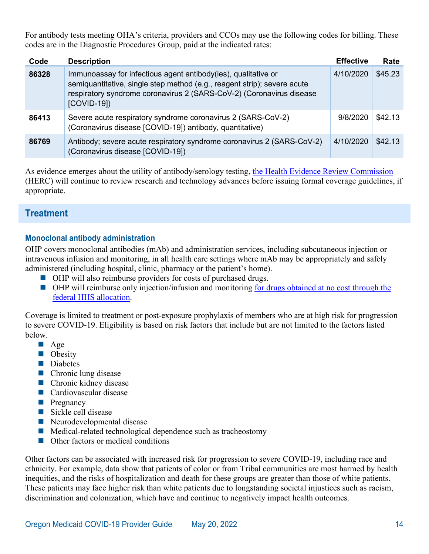For antibody tests meeting OHA's criteria, providers and CCOs may use the following codes for billing. These codes are in the Diagnostic Procedures Group, paid at the indicated rates:

| Code  | <b>Description</b>                                                                                                                                                                                                                 | <b>Effective</b> | Rate    |
|-------|------------------------------------------------------------------------------------------------------------------------------------------------------------------------------------------------------------------------------------|------------------|---------|
| 86328 | Immunoassay for infectious agent antibody(ies), qualitative or<br>semiquantitative, single step method (e.g., reagent strip); severe acute<br>respiratory syndrome coronavirus 2 (SARS-CoV-2) (Coronavirus disease<br>$[COVID-19]$ | 4/10/2020        | \$45.23 |
| 86413 | Severe acute respiratory syndrome coronavirus 2 (SARS-CoV-2)<br>(Coronavirus disease [COVID-19]) antibody, quantitative)                                                                                                           | 9/8/2020         | \$42.13 |
| 86769 | Antibody; severe acute respiratory syndrome coronavirus 2 (SARS-CoV-2)<br>(Coronavirus disease [COVID-19])                                                                                                                         | 4/10/2020        | \$42.13 |

As evidence emerges about the utility of antibody/serology testing, [the Health Evidence Review Commission](https://www.oregon.gov/oha/hpa/dsi-herc/Pages/index.aspx) (HERC) will continue to review research and technology advances before issuing formal coverage guidelines, if appropriate.

# <span id="page-16-0"></span>**Treatment**

#### **Monoclonal antibody administration**

OHP covers monoclonal antibodies (mAb) and administration services, including subcutaneous injection or intravenous infusion and monitoring, in all health care settings where mAb may be appropriately and safely administered (including hospital, clinic, pharmacy or the patient's home).

- **OHP** will also reimburse providers for costs of purchased drugs.
- OHP will reimburse only injection/infusion and monitoring for drugs obtained at no cost through the [federal HHS allocation.](https://www.phe.gov/emergency/events/COVID19/investigation-MCM/Documents/Overview%20of%20direct%20order%20process%20Fact%20Sheet-508.pdf)

Coverage is limited to treatment or post-exposure prophylaxis of members who are at high risk for progression to severe COVID-19. Eligibility is based on risk factors that include but are not limited to the factors listed below.

- $\blacksquare$  Age
- Obesity
- Diabetes
- Chronic lung disease
- Chronic kidney disease
- **Cardiovascular disease**
- **Pregnancy**
- Sickle cell disease
- Neurodevelopmental disease
- $\blacksquare$  Medical-related technological dependence such as tracheostomy
- Other factors or medical conditions

Other factors can be associated with increased risk for progression to severe COVID-19, including race and ethnicity. For example, data show that patients of color or from Tribal communities are most harmed by health inequities, and the risks of hospitalization and death for these groups are greater than those of white patients. These patients may face higher risk than white patients due to longstanding societal injustices such as racism, discrimination and colonization, which have and continue to negatively impact health outcomes.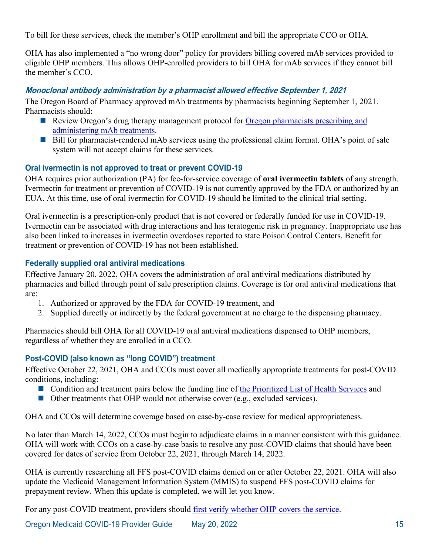To bill for these services, check the member's OHP enrollment and bill the appropriate CCO or OHA.

OHA has also implemented a "no wrong door" policy for providers billing covered mAb services provided to eligible OHP members. This allows OHP-enrolled providers to bill OHA for mAb services if they cannot bill the member's CCO.

### **Monoclonal antibody administration by a pharmacist allowed effective September 1, 2021**

The Oregon Board of Pharmacy approved mAb treatments by pharmacists beginning September 1, 2021. Pharmacists should:

- Review Oregon's drug therapy management protocol for Oregon pharmacists prescribing and [administering mAb treatments.](https://www.oregon.gov/pharmacy/Documents/COVID_mAb_Protocol.pdf)
- Bill for pharmacist-rendered mAb services using the professional claim format. OHA's point of sale system will not accept claims for these services.

#### **Oral ivermectin is not approved to treat or prevent COVID-19**

OHA requires prior authorization (PA) for fee-for-service coverage of **oral ivermectin tablets** of any strength. Ivermectin for treatment or prevention of COVID-19 is not currently approved by the FDA or authorized by an EUA. At this time, use of oral ivermectin for COVID-19 should be limited to the clinical trial setting.

Oral ivermectin is a prescription-only product that is not covered or federally funded for use in COVID-19. Ivermectin can be associated with drug interactions and has teratogenic risk in pregnancy. Inappropriate use has also been linked to increases in ivermectin overdoses reported to state Poison Control Centers. Benefit for treatment or prevention of COVID-19 has not been established.

## **Federally supplied oral antiviral medications**

Effective January 20, 2022, OHA covers the administration of oral antiviral medications distributed by pharmacies and billed through point of sale prescription claims. Coverage is for oral antiviral medications that are:

- 1. Authorized or approved by the FDA for COVID-19 treatment, and
- 2. Supplied directly or indirectly by the federal government at no charge to the dispensing pharmacy.

Pharmacies should bill OHA for all COVID-19 oral antiviral medications dispensed to OHP members, regardless of whether they are enrolled in a CCO.

## **Post-COVID (also known as "long COVID") treatment**

Effective October 22, 2021, OHA and CCOs must cover all medically appropriate treatments for post-COVID conditions, including:

- Condition and treatment pairs below the funding line of [the Prioritized List of Health Services](http://www.oregon.gov/OHA/HPA/DSI-HERC/Pages/Prioritized-List.aspx) and
- Other treatments that OHP would not otherwise cover (e.g., excluded services).

OHA and CCOs will determine coverage based on case-by-case review for medical appropriateness.

No later than March 14, 2022, CCOs must begin to adjudicate claims in a manner consistent with this guidance. OHA will work with CCOs on a case-by-case basis to resolve any post-COVID claims that should have been covered for dates of service from October 22, 2021, through March 14, 2022.

OHA is currently researching all FFS post-COVID claims denied on or after October 22, 2021. OHA will also update the Medicaid Management Information System (MMIS) to suspend FFS post-COVID claims for prepayment review. When this update is completed, we will let you know.

For any post-COVID treatment, providers should [first verify whether OHP covers the service.](http://www.oregon.gov/OHA/HSD/OHP/Pages/Eligibility-Verification.aspx)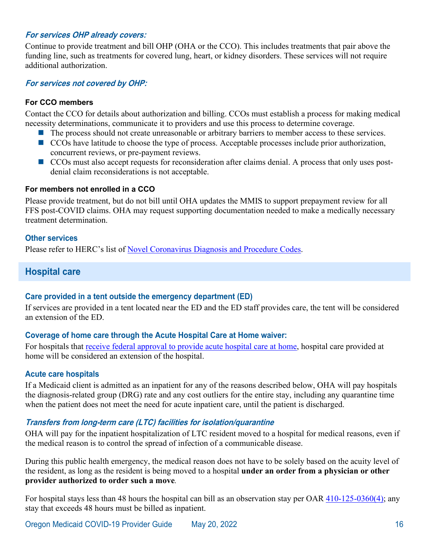#### **For services OHP already covers:**

Continue to provide treatment and bill OHP (OHA or the CCO). This includes treatments that pair above the funding line, such as treatments for covered lung, heart, or kidney disorders. These services will not require additional authorization.

#### **For services not covered by OHP:**

#### **For CCO members**

Contact the CCO for details about authorization and billing. CCOs must establish a process for making medical necessity determinations, communicate it to providers and use this process to determine coverage.

- The process should not create unreasonable or arbitrary barriers to member access to these services.
- CCOs have latitude to choose the type of process. Acceptable processes include prior authorization, concurrent reviews, or pre-payment reviews.
- CCOs must also accept requests for reconsideration after claims denial. A process that only uses postdenial claim reconsiderations is not acceptable.

#### **For members not enrolled in a CCO**

Please provide treatment, but do not bill until OHA updates the MMIS to support prepayment review for all FFS post-COVID claims. OHA may request supporting documentation needed to make a medically necessary treatment determination.

#### **Other services**

<span id="page-18-0"></span>Please refer to HERC's list of [Novel Coronavirus Diagnosis and Procedure Codes.](https://www.oregon.gov/oha/HSD/OHP/Tools/Novel%20Coronavirus%20Coding.pdf)

## **Hospital care**

#### **Care provided in a tent outside the emergency department (ED)**

If services are provided in a tent located near the ED and the ED staff provides care, the tent will be considered an extension of the ED.

#### **Coverage of home care through the Acute Hospital Care at Home waiver:**

For hospitals that [receive federal approval to provide acute hospital care at home,](https://qualitynet.cms.gov/acute-hospital-care-at-home) hospital care provided at home will be considered an extension of the hospital.

#### **Acute care hospitals**

If a Medicaid client is admitted as an inpatient for any of the reasons described below, OHA will pay hospitals the diagnosis-related group (DRG) rate and any cost outliers for the entire stay, including any quarantine time when the patient does not meet the need for acute inpatient care, until the patient is discharged.

#### **Transfers from long-term care (LTC) facilities for isolation/quarantine**

OHA will pay for the inpatient hospitalization of LTC resident moved to a hospital for medical reasons, even if the medical reason is to control the spread of infection of a communicable disease.

During this public health emergency, the medical reason does not have to be solely based on the acuity level of the resident, as long as the resident is being moved to a hospital **under an order from a physician or other provider authorized to order such a move***.* 

For hospital stays less than 48 hours the hospital can bill as an observation stay per OAR  $410-125-0360(4)$ ; any stay that exceeds 48 hours must be billed as inpatient.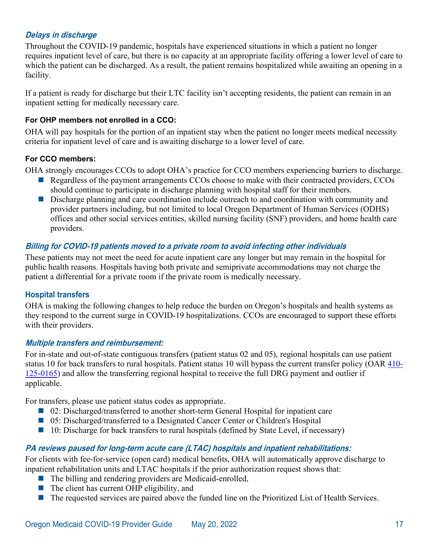### **Delays in discharge**

Throughout the COVID-19 pandemic, hospitals have experienced situations in which a patient no longer requires inpatient level of care, but there is no capacity at an appropriate facility offering a lower level of care to which the patient can be discharged. As a result, the patient remains hospitalized while awaiting an opening in a facility.

If a patient is ready for discharge but their LTC facility isn't accepting residents, the patient can remain in an inpatient setting for medically necessary care.

#### **For OHP members not enrolled in a CCO:**

OHA will pay hospitals for the portion of an inpatient stay when the patient no longer meets medical necessity criteria for inpatient level of care and is awaiting discharge to a lower level of care.

#### **For CCO members:**

OHA strongly encourages CCOs to adopt OHA's practice for CCO members experiencing barriers to discharge.

- Regardless of the payment arrangements CCOs choose to make with their contracted providers, CCOs should continue to participate in discharge planning with hospital staff for their members.
- Discharge planning and care coordination include outreach to and coordination with community and provider partners including, but not limited to local Oregon Department of Human Services (ODHS) offices and other social services entities, skilled nursing facility (SNF) providers, and home health care providers.

#### **Billing for COVID-19 patients moved to a private room to avoid infecting other individuals**

These patients may not meet the need for acute inpatient care any longer but may remain in the hospital for public health reasons. Hospitals having both private and semiprivate accommodations may not charge the patient a differential for a private room if the private room is medically necessary.

#### **Hospital transfers**

OHA is making the following changes to help reduce the burden on Oregon's hospitals and health systems as they respond to the current surge in COVID-19 hospitalizations. CCOs are encouraged to support these efforts with their providers.

#### **Multiple transfers and reimbursement:**

For in-state and out-of-state contiguous transfers (patient status 02 and 05), regional hospitals can use patient status 10 for back transfers to rural hospitals. Patient status 10 will bypass the current transfer policy (OAR [410-](https://secure.sos.state.or.us/oard/view.action?ruleNumber=410-125-0165) [125-0165\)](https://secure.sos.state.or.us/oard/view.action?ruleNumber=410-125-0165) and allow the transferring regional hospital to receive the full DRG payment and outlier if applicable.

For transfers, please use patient status codes as appropriate.

- 02: Discharged/transferred to another short-term General Hospital for inpatient care
- 05: Discharged/transferred to a Designated Cancer Center or Children's Hospital
- $\blacksquare$  10: Discharge for back transfers to rural hospitals (defined by State Level, if necessary)

#### **PA reviews paused for long-term acute care (LTAC) hospitals and inpatient rehabilitations:**

For clients with fee-for-service (open card) medical benefits, OHA will automatically approve discharge to inpatient rehabilitation units and LTAC hospitals if the prior authorization request shows that:

- The billing and rendering providers are Medicaid-enrolled,
- The client has current OHP eligibility, and
- The requested services are paired above the funded line on the Prioritized List of Health Services.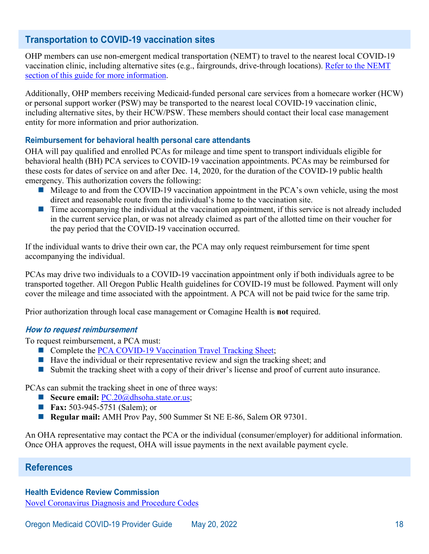# <span id="page-20-0"></span>**Transportation to COVID-19 vaccination sites**

OHP members can use non-emergent medical transportation (NEMT) to travel to the nearest local COVID-19 vaccination clinic, including alternative sites (e.g., fairgrounds, drive-through locations). [Refer to the NEMT](#page-36-0)  [section of this guide for more information.](#page-36-0)

Additionally, OHP members receiving Medicaid-funded personal care services from a homecare worker (HCW) or personal support worker (PSW) may be transported to the nearest local COVID-19 vaccination clinic, including alternative sites, by their HCW/PSW. These members should contact their local case management entity for more information and prior authorization.

#### **Reimbursement for behavioral health personal care attendants**

OHA will pay qualified and enrolled PCAs for mileage and time spent to transport individuals eligible for behavioral health (BH) PCA services to COVID-19 vaccination appointments. PCAs may be reimbursed for these costs for dates of service on and after Dec. 14, 2020, for the duration of the COVID-19 public health emergency. This authorization covers the following:

- $\blacksquare$  Mileage to and from the COVID-19 vaccination appointment in the PCA's own vehicle, using the most direct and reasonable route from the individual's home to the vaccination site.
- $\blacksquare$  Time accompanying the individual at the vaccination appointment, if this service is not already included in the current service plan, or was not already claimed as part of the allotted time on their voucher for the pay period that the COVID-19 vaccination occurred.

If the individual wants to drive their own car, the PCA may only request reimbursement for time spent accompanying the individual.

PCAs may drive two individuals to a COVID-19 vaccination appointment only if both individuals agree to be transported together. All Oregon Public Health guidelines for COVID-19 must be followed. Payment will only cover the mileage and time associated with the appointment. A PCA will not be paid twice for the same trip.

Prior authorization through local case management or Comagine Health is **not** required.

#### **How to request reimbursement**

To request reimbursement, a PCA must:

- Complete the [PCA COVID-19 Vaccination Travel Tracking Sheet;](https://www.oregon.gov/oha/HSD/OHP/Tools/COVID-19-Vaccination-Travel-Tracking.pdf)
- $\blacksquare$  Have the individual or their representative review and sign the tracking sheet; and
- Submit the tracking sheet with a copy of their driver's license and proof of current auto insurance.

PCAs can submit the tracking sheet in one of three ways:

- **Secure email:** PC.20@dhsoha[.state.](mailto:PC.20@dhsoha.state.or.us)or.us;
- **Fax:** 503-945-5751 (Salem); or
- **Regular mail:** AMH Prov Pay, 500 Summer St NE E-86, Salem OR 97301.

An OHA representative may contact the PCA or the individual (consumer/employer) for additional information. Once OHA approves the request, OHA will issue payments in the next available payment cycle.

#### <span id="page-20-1"></span>**References**

#### **Health Evidence Review Commission**

[Novel Coronavirus Diagnosis and Procedure Codes](https://www.oregon.gov/oha/HSD/OHP/Tools/Novel%20Coronavirus%20Coding.pdf)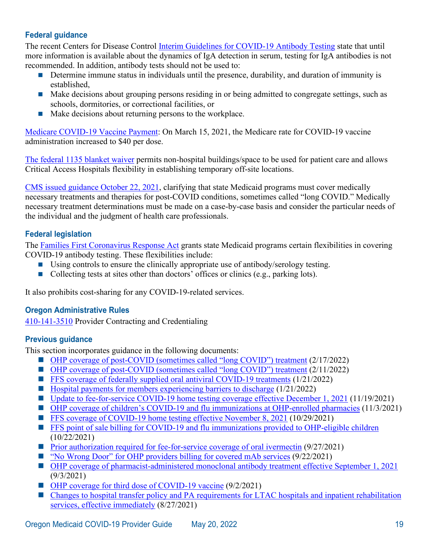## **Federal guidance**

The recent Centers for Disease Control [Interim Guidelines for COVID-19 Antibody Testing](https://www.cdc.gov/coronavirus/2019-ncov/lab/resources/antibody-tests-guidelines.html) state that until more information is available about the dynamics of IgA detection in serum, testing for IgA antibodies is not recommended. In addition, antibody tests should not be used to:

- Determine immune status in individuals until the presence, durability, and duration of immunity is established,
- Make decisions about grouping persons residing in or being admitted to congregate settings, such as schools, dormitories, or correctional facilities, or
- $\blacksquare$  Make decisions about returning persons to the workplace.

[Medicare COVID-19 Vaccine Payment:](https://www.cms.gov/medicare/covid-19/medicare-covid-19-vaccine-shot-payment) On March 15, 2021, the Medicare rate for COVID-19 vaccine administration increased to \$40 per dose.

[The federal 1135 blanket waiver](https://www.cms.gov/files/document/covid19-emergency-declaration-health-care-providers-fact-sheet.pdf) permits non-hospital buildings/space to be used for patient care and allows Critical Access Hospitals flexibility in establishing temporary off-site locations.

[CMS issued guidance October 22, 2021,](https://www.cms.gov/newsroom/press-releases/biden-harris-administration-issues-guidance-states-required-medicaid-and-chip-coverage-covid-19) clarifying that state Medicaid programs must cover medically necessary treatments and therapies for post-COVID conditions, sometimes called "long COVID." Medically necessary treatment determinations must be made on a case-by-case basis and consider the particular needs of the individual and the judgment of health care professionals.

#### **Federal legislation**

The [Families First Coronavirus Response Act](https://www.congress.gov/116/plaws/publ127/PLAW-116publ127.pdf) grants state Medicaid programs certain flexibilities in covering COVID-19 antibody testing. These flexibilities include:

- Using controls to ensure the clinically appropriate use of antibody/serology testing.
- Collecting tests at sites other than doctors' offices or clinics (e.g., parking lots).

It also prohibits cost-sharing for any COVID-19-related services.

#### **Oregon Administrative Rules**

[410-141-3510](https://secure.sos.state.or.us/oard/view.action?ruleNumber=410-141-3510) Provider Contracting and Credentialing

#### **Previous guidance**

This section incorporates guidance in the following documents:

- [OHP coverage of post-COVID \(sometimes called "long COVID"\) treatment](https://www.oregon.gov/oha/HSD/OHP/Announcements/Long-COVID-Providers0222.pdf) (2/17/2022)
- [OHP coverage of post-COVID \(sometimes called "long COVID"\) treatment](https://www.oregon.gov/oha/HSD/OHP/Announcements/Long-COVID-CCOs0222.pdf) (2/11/2022)
- **FFS** coverage of federally supplied oral antiviral COVID-19 treatments (1/21/2022)
- $\blacksquare$  [Hospital payments for members experiencing barriers to discharge](https://www.oregon.gov/oha/HSD/OHP/Announcements/Hospital-Payments0122.pdf) (1/21/2022)
- [Update to fee-for-service COVID-19 home testing coverage effective December 1, 2021](https://www.oregon.gov/oha/HSD/OHP/Announcements/Provider-Home-Tests-Update1121.pdf) (11/19/2021)
- [OHP coverage of children's COVID-19 and flu immunizations at OHP-enrolled pharmacies](https://www.oregon.gov/oha/HSD/OHP/Announcements/pediatric-vaccines1021.pdf) (11/3/2021)
- **FFS** [coverage of COVID-19 home testing effective November 8, 2021](https://www.oregon.gov/oha/HSD/OHP/Announcements/COVID-19-Home-Tests1021.pdf) (10/29/2021)
- **FFS** point of sale billing for COVID-19 and flu immunizations provided to OHP-eligible children (10/22/2021)
- **[Prior authorization required for fee-for-service coverage of oral ivermectin](https://www.oregon.gov/oha/HSD/OHP/Announcements/Ivermectin-PA-0921.pdf) (9/27/2021)**
- ["No Wrong Door" for OHP providers billing for covered mAb services](https://www.oregon.gov/oha/HSD/OHP/Announcements/mAb-Billing0921.pdf) (9/22/2021)
- OHP [coverage of pharmacist-administered monoclonal antibody treatment effective September 1, 2021](https://www.oregon.gov/oha/HSD/OHP/Announcements/mAb-Pharmacists0921.pdf) (9/3/2021)
- [OHP coverage for third dose of COVID-19 vaccine](https://www.oregon.gov/oha/HSD/OHP/Announcements/COVID-19-Third-Dose0921.pdf) (9/2/2021)
- Changes to hospital transfer policy and PA requirements for LTAC hospitals and inpatient rehabilitation [services, effective immediately](https://www.oregon.gov/oha/HSD/OHP/Announcements/Hospital-Transfers0821.pdf) (8/27/2021)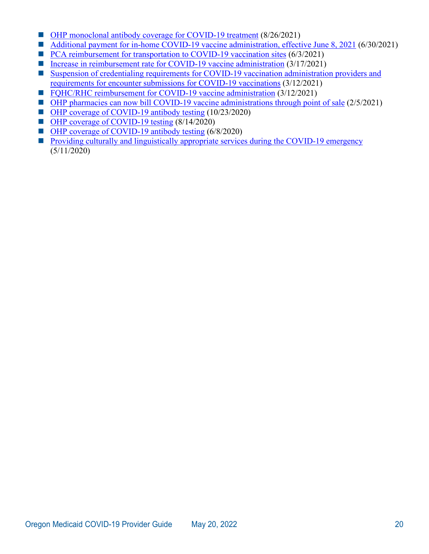- [OHP monoclonal antibody coverage for COVID-19 treatment](https://www.oregon.gov/oha/HSD/OHP/Announcements/Monoclonal-Antibody-Treatment0821.pdf) (8/26/2021)
- [Additional payment for in-home COVID-19 vaccine administration, effective June 8, 2021](https://www.oregon.gov/oha/HSD/OHP/Announcements/In-Home-Vaccination0621.pdf) (6/30/2021)
- [PCA reimbursement for transportation to COVID-19 vaccination sites](https://www.oregon.gov/oha/HSD/OHP/Announcements/PCA-COVID-19-Vaccination0621.pdf) (6/3/2021)
- [Increase in reimbursement rate for COVID-19 vaccine administration](https://www.oregon.gov/oha/HSD/OHP/Announcements/covid19-vaccine-admin-rates0321.pdf) (3/17/2021)
- Suspension of credentialing requirements for COVID-19 vaccination administration providers and [requirements for encounter submissions for COVID-19 vaccinations](https://www.oregon.gov/oha/HSD/OHP/Announcements/Credentialing-Encounter-Requirements0321.pdf) (3/12/2021)
- FOHC/RHC reimbursement for COVID-19 vaccine administration (3/12/2021)
- [OHP pharmacies can now bill COVID-19 vaccine administrations through point of sale](https://www.oregon.gov/oha/HSD/OHP/Announcements/vaccine-pos-billing0221.pdf) (2/5/2021)
- OHP [coverage of COVID-19 antibody testing](https://www.oregon.gov/oha/HSD/OHP/Announcements/testing-coverage1020.pdf) (10/23/2020)
- OHP [coverage of COVID-19 testing](https://www.oregon.gov/oha/HSD/OHP/Announcements/Oregon%20Health%20Plan%20coverage%20of%20COVID-19%20testing.pdf) (8/14/2020)
- OHP [coverage of COVID-19 antibody testing](https://www.oregon.gov/oha/HSD/OHP/Announcements/Oregon%20Health%20Plan%20coverage%20of%20COVID-19%20antibody%20testing.pdf) (6/8/2020)
- **[Providing culturally and linguistically appropriate services during the COVID-19 emergency](https://www.oregon.gov/oha/HSD/OHP/Announcements/Providing%20Culturally%20and%20Linguistically%20Appropriate%20Services%20During%20the%20COVID-19%20Emergency.pdf)** (5/11/2020)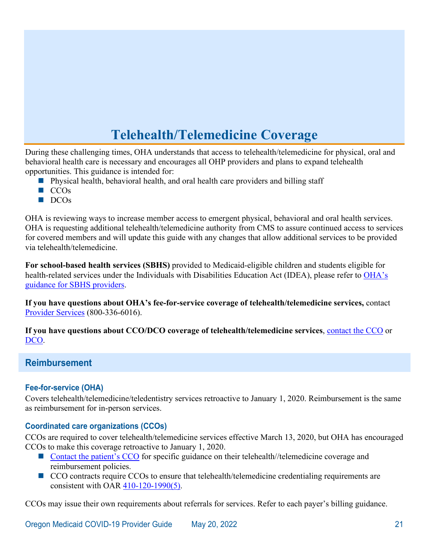# **Telehealth/Telemedicine Coverage**

<span id="page-23-0"></span>During these challenging times, OHA understands that access to telehealth/telemedicine for physical, oral and behavioral health care is necessary and encourages all OHP providers and plans to expand telehealth opportunities. This guidance is intended for:

- **Physical health, behavioral health, and oral health care providers and billing staff**
- $\blacksquare$  CCOs
- $\blacksquare$  DCOs

OHA is reviewing ways to increase member access to emergent physical, behavioral and oral health services. OHA is requesting additional telehealth/telemedicine authority from CMS to assure continued access to services for covered members and will update this guide with any changes that allow additional services to be provided via telehealth/telemedicine.

**For school-based health services (SBHS)** provided to Medicaid-eligible children and students eligible for health-related services under the Individuals with Disabilities Education Act (IDEA), please refer to OHA's [guidance for SBHS providers.](https://www.oregon.gov/oha/HSD/OHP/Tools/Telemedicine-Telehealth%20Guidance%20for%20School-Based%20Health%20Services%20Providers.pdf)

**If you have questions about OHA's fee-for-service coverage of telehealth/telemedicine services,** contact [Provider Services](mailto:dmap.providerservices@dhsoha.state.or.us) (800-336-6016).

**If you have questions about CCO/DCO coverage of telehealth/telemedicine services**, [contact the CCO](http://www.oregon.gov/OHA/HSD/OHP/Pages/Coordinated-Care-Organizations.aspx) or [DCO.](http://www.oregon.gov/OHA/HSD/OHP/Pages/Dental-Plans.aspx)

## <span id="page-23-1"></span>**Reimbursement**

#### **Fee-for-service (OHA)**

Covers telehealth/telemedicine/teledentistry services retroactive to January 1, 2020. Reimbursement is the same as reimbursement for in-person services.

#### **Coordinated care organizations (CCOs)**

CCOs are required to cover telehealth/telemedicine services effective March 13, 2020, but OHA has encouraged CCOs to make this coverage retroactive to January 1, 2020.

- [Contact the patient's CCO](http://www.oregon.gov/OHA/HSD/OHP/Pages/Coordinated-Care-Organizations.aspx) for specific guidance on their telehealth//telemedicine coverage and reimbursement policies.
- CCO contracts require CCOs to ensure that telehealth/telemedicine credentialing requirements are consistent with OAR [410-120-1990\(5\).](https://secure.sos.state.or.us/oard/view.action?ruleNumber=410-120-1990)

CCOs may issue their own requirements about referrals for services. Refer to each payer's billing guidance.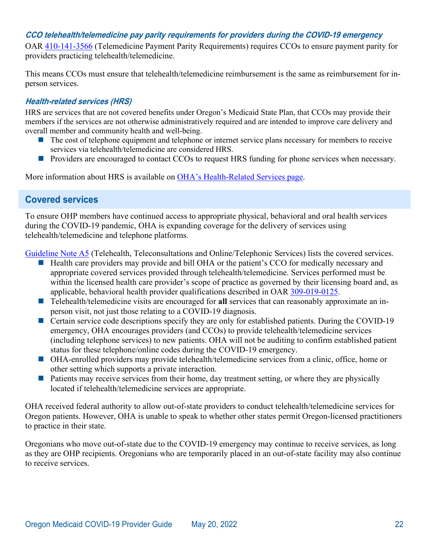#### **CCO telehealth/telemedicine pay parity requirements for providers during the COVID-19 emergency**

OAR [410-141-3566](https://secure.sos.state.or.us/oard/view.action?ruleNumber=410-141-3566) (Telemedicine Payment Parity Requirements) requires CCOs to ensure payment parity for providers practicing telehealth/telemedicine.

This means CCOs must ensure that telehealth/telemedicine reimbursement is the same as reimbursement for inperson services.

#### **Health-related services (HRS)**

HRS are services that are not covered benefits under Oregon's Medicaid State Plan, that CCOs may provide their members if the services are not otherwise administratively required and are intended to improve care delivery and overall member and community health and well-being.

- $\blacksquare$  The cost of telephone equipment and telephone or internet service plans necessary for members to receive services via telehealth/telemedicine are considered HRS.
- **Providers are encouraged to contact CCOs to request HRS funding for phone services when necessary.**

<span id="page-24-0"></span>More information about HRS is available on [OHA's Health-Related Services page.](https://www.oregon.gov/oha/HPA/dsi-tc/Pages/Health-Related-Services.aspx)

# **Covered services**

To ensure OHP members have continued access to appropriate physical, behavioral and oral health services during the COVID-19 pandemic, OHA is expanding coverage for the delivery of services using telehealth/telemedicine and telephone platforms.

[Guideline Note A5](https://www.oregon.gov/oha/HPA/DSI-HERC/SearchablePLdocuments/Prioritized-List-GN-A005.docx) (Telehealth, Teleconsultations and Online/Telephonic Services) lists the covered services.

- Health care providers may provide and bill OHA or the patient's CCO for medically necessary and appropriate covered services provided through telehealth/telemedicine. Services performed must be within the licensed health care provider's scope of practice as governed by their licensing board and, as applicable, behavioral health provider qualifications described in OAR [309-019-0125.](https://secure.sos.state.or.us/oard/view.action?ruleNumber=309-019-0125)
- Telehealth/telemedicine visits are encouraged for **all** services that can reasonably approximate an inperson visit, not just those relating to a COVID-19 diagnosis.
- Certain service code descriptions specify they are only for established patients. During the COVID-19 emergency, OHA encourages providers (and CCOs) to provide telehealth/telemedicine services (including telephone services) to new patients. OHA will not be auditing to confirm established patient status for these telephone/online codes during the COVID-19 emergency.
- OHA-enrolled providers may provide telehealth/telemedicine services from a clinic, office, home or other setting which supports a private interaction.
- $\blacksquare$  Patients may receive services from their home, day treatment setting, or where they are physically located if telehealth/telemedicine services are appropriate.

OHA received federal authority to allow out-of-state providers to conduct telehealth/telemedicine services for Oregon patients. However, OHA is unable to speak to whether other states permit Oregon-licensed practitioners to practice in their state.

Oregonians who move out-of-state due to the COVID-19 emergency may continue to receive services, as long as they are OHP recipients. Oregonians who are temporarily placed in an out-of-state facility may also continue to receive services.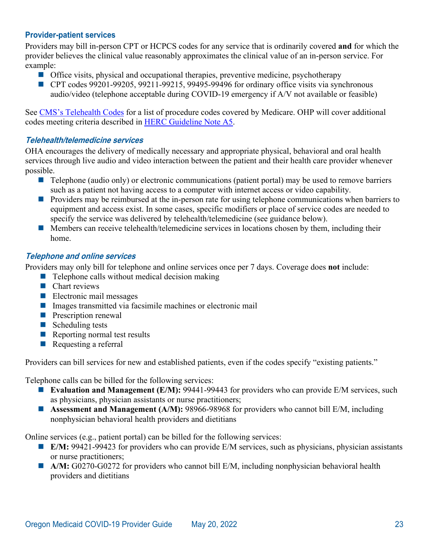#### **Provider-patient services**

Providers may bill in-person CPT or HCPCS codes for any service that is ordinarily covered **and** for which the provider believes the clinical value reasonably approximates the clinical value of an in-person service. For example:

- **Office visits, physical and occupational therapies, preventive medicine, psychotherapy**
- CPT codes 99201-99205, 99211-99215, 99495-99496 for ordinary office visits via synchronous audio/video (telephone acceptable during COVID-19 emergency if A/V not available or feasible)

See [CMS's Telehealth Codes](https://www.cms.gov/Medicare/Medicare-General-Information/Telehealth/Telehealth-Codes) for a list of procedure codes covered by Medicare. OHP will cover additional codes meeting criteria described in [HERC Guideline Note A5.](https://www.oregon.gov/oha/HPA/DSI-HERC/SearchablePLdocuments/Prioritized-List-GN-A005.docx)

#### **Telehealth/telemedicine services**

OHA encourages the delivery of medically necessary and appropriate physical, behavioral and oral health services through live audio and video interaction between the patient and their health care provider whenever possible.

- **Telephone (audio only) or electronic communications (patient portal) may be used to remove barriers** such as a patient not having access to a computer with internet access or video capability.
- **Providers may be reimbursed at the in-person rate for using telephone communications when barriers to** equipment and access exist. In some cases, specific modifiers or place of service codes are needed to specify the service was delivered by telehealth/telemedicine (see guidance below).
- $\blacksquare$  Members can receive telehealth/telemedicine services in locations chosen by them, including their home.

#### **Telephone and online services**

Providers may only bill for telephone and online services once per 7 days. Coverage does **not** include:

- $\blacksquare$  Telephone calls without medical decision making
- $\blacksquare$  Chart reviews
- $\blacksquare$  Electronic mail messages
- Images transmitted via facsimile machines or electronic mail
- **Prescription renewal**
- $\blacksquare$  Scheduling tests
- Reporting normal test results
- Requesting a referral

Providers can bill services for new and established patients, even if the codes specify "existing patients."

Telephone calls can be billed for the following services:

- **Evaluation and Management (E/M):** 99441-99443 for providers who can provide E/M services, such as physicians, physician assistants or nurse practitioners;
- Assessment and Management (A/M): 98966-98968 for providers who cannot bill E/M, including nonphysician behavioral health providers and dietitians

Online services (e.g., patient portal) can be billed for the following services:

- **E/M:** 99421-99423 for providers who can provide E/M services, such as physicians, physician assistants or nurse practitioners;
- A/M: G0270-G0272 for providers who cannot bill E/M, including nonphysician behavioral health providers and dietitians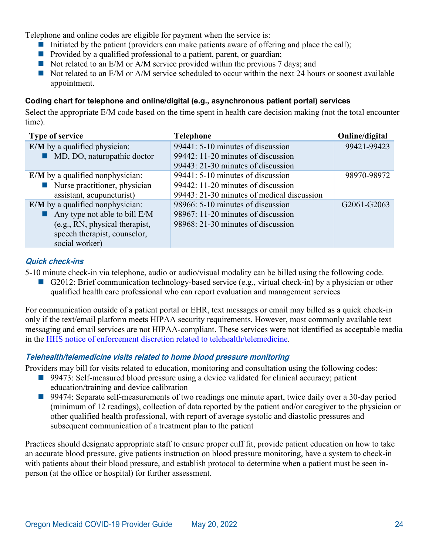Telephone and online codes are eligible for payment when the service is:

- Initiated by the patient (providers can make patients aware of offering and place the call);
- **Provided by a qualified professional to a patient, parent, or guardian;**
- $\blacksquare$  Not related to an E/M or A/M service provided within the previous 7 days; and
- $\blacksquare$  Not related to an E/M or A/M service scheduled to occur within the next 24 hours or soonest available appointment.

## **Coding chart for telephone and online/digital (e.g., asynchronous patient portal) services**

Select the appropriate E/M code based on the time spent in health care decision making (not the total encounter time).

| <b>Type of service</b>                       | <b>Telephone</b>                           | Online/digital |
|----------------------------------------------|--------------------------------------------|----------------|
| <b>E/M</b> by a qualified physician:         | 99441: 5-10 minutes of discussion          | 99421-99423    |
| • MD, DO, naturopathic doctor                | 99442: 11-20 minutes of discussion         |                |
|                                              | 99443: 21-30 minutes of discussion         |                |
| <b>E/M</b> by a qualified nonphysician:      | 99441: 5-10 minutes of discussion          | 98970-98972    |
| $\blacksquare$ Nurse practitioner, physician | 99442: 11-20 minutes of discussion         |                |
| assistant, acupuncturist)                    | 99443: 21-30 minutes of medical discussion |                |
| E/M by a qualified nonphysician:             | 98966: 5-10 minutes of discussion          | G2061-G2063    |
| Any type not able to bill $E/M$              | 98967: 11-20 minutes of discussion         |                |
| (e.g., RN, physical therapist,               | 98968: 21-30 minutes of discussion         |                |
| speech therapist, counselor,                 |                                            |                |
| social worker)                               |                                            |                |

## **Quick check-ins**

5-10 minute check-in via telephone, audio or audio/visual modality can be billed using the following code.

G2012: Brief communication technology-based service (e.g., virtual check-in) by a physician or other qualified health care professional who can report evaluation and management services

For communication outside of a patient portal or EHR, text messages or email may billed as a quick check-in only if the text/email platform meets HIPAA security requirements. However, most commonly available text messaging and email services are not HIPAA-compliant. These services were not identified as acceptable media in the [HHS notice of enforcement discretion related to telehealth/telemedicine.](https://www.hhs.gov/hipaa/for-professionals/special-topics/emergency-preparedness/notification-enforcement-discretion-telehealth/index.html)

## **Telehealth/telemedicine visits related to home blood pressure monitoring**

Providers may bill for visits related to education, monitoring and consultation using the following codes:

- 99473: Self-measured blood pressure using a device validated for clinical accuracy; patient education/training and device calibration
- 99474: Separate self-measurements of two readings one minute apart, twice daily over a 30-day period (minimum of 12 readings), collection of data reported by the patient and/or caregiver to the physician or other qualified health professional, with report of average systolic and diastolic pressures and subsequent communication of a treatment plan to the patient

Practices should designate appropriate staff to ensure proper cuff fit, provide patient education on how to take an accurate blood pressure, give patients instruction on blood pressure monitoring, have a system to check-in with patients about their blood pressure, and establish protocol to determine when a patient must be seen inperson (at the office or hospital) for further assessment.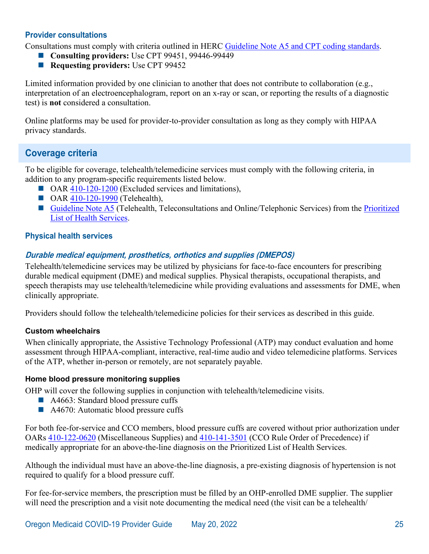#### **Provider consultations**

Consultations must comply with criteria outlined in HERC [Guideline Note A5](https://www.oregon.gov/oha/HPA/DSI-HERC/SearchablePLdocuments/Prioritized-List-GN-A005.docx) and CPT coding standards.

- **Consulting providers:** Use CPT 99451, 99446-99449
- **Requesting providers:** Use CPT 99452

Limited information provided by one clinician to another that does not contribute to collaboration (e.g., interpretation of an electroencephalogram, report on an x-ray or scan, or reporting the results of a diagnostic test) is **not** considered a consultation.

Online platforms may be used for provider-to-provider consultation as long as they comply with HIPAA privacy standards.

# <span id="page-27-0"></span>**Coverage criteria**

To be eligible for coverage, telehealth/telemedicine services must comply with the following criteria, in addition to any program-specific requirements listed below.

- OAR [410-120-1200](https://secure.sos.state.or.us/oard/view.action?ruleNumber=410-120-1200) (Excluded services and limitations),
- **OAR [410-120-1990](https://secure.sos.state.or.us/oard/view.action?ruleNumber=410-120-1990) (Telehealth),**
- [Guideline Note A5](https://www.oregon.gov/oha/HPA/DSI-HERC/SearchablePLdocuments/Prioritized-List-GN-A005.docx) (Telehealth, Teleconsultations and Online/Telephonic Services) from the Prioritized [List of Health Services.](https://www.oregon.gov/oha/HPA/DSI-HERC/Pages/Prioritized-List.aspx)

#### **Physical health services**

## **Durable medical equipment, prosthetics, orthotics and supplies (DMEPOS)**

Telehealth/telemedicine services may be utilized by physicians for face-to-face encounters for prescribing durable medical equipment (DME) and medical supplies. Physical therapists, occupational therapists, and speech therapists may use telehealth/telemedicine while providing evaluations and assessments for DME, when clinically appropriate.

Providers should follow the telehealth/telemedicine policies for their services as described in this guide.

#### **Custom wheelchairs**

When clinically appropriate, the Assistive Technology Professional (ATP) may conduct evaluation and home assessment through HIPAA-compliant, interactive, real-time audio and video telemedicine platforms. Services of the ATP, whether in-person or remotely, are not separately payable.

#### **Home blood pressure monitoring supplies**

OHP will cover the following supplies in conjunction with telehealth/telemedicine visits.

- A4663: Standard blood pressure cuffs
- A4670: Automatic blood pressure cuffs

For both fee-for-service and CCO members, blood pressure cuffs are covered without prior authorization under OARs [410-122-0620](https://secure.sos.state.or.us/oard/view.action?ruleNumber=410-122-0620) (Miscellaneous Supplies) and [410-141-3501](https://secure.sos.state.or.us/oard/view.action?ruleNumber=410-141-3501) (CCO Rule Order of Precedence) if medically appropriate for an above-the-line diagnosis on the Prioritized List of Health Services.

Although the individual must have an above-the-line diagnosis, a pre-existing diagnosis of hypertension is not required to qualify for a blood pressure cuff.

For fee-for-service members, the prescription must be filled by an OHP-enrolled DME supplier. The supplier will need the prescription and a visit note documenting the medical need (the visit can be a telehealth/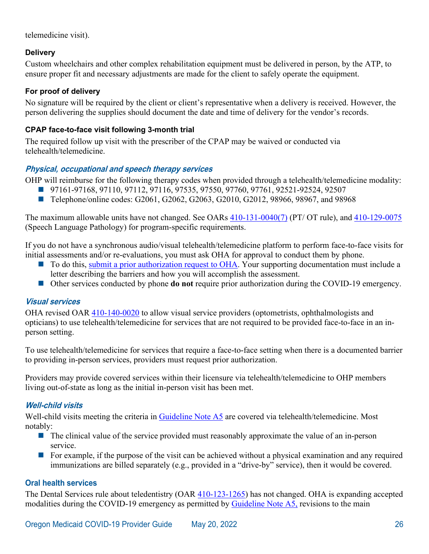telemedicine visit).

#### **Delivery**

Custom wheelchairs and other complex rehabilitation equipment must be delivered in person, by the ATP, to ensure proper fit and necessary adjustments are made for the client to safely operate the equipment.

#### **For proof of delivery**

No signature will be required by the client or client's representative when a delivery is received. However, the person delivering the supplies should document the date and time of delivery for the vendor's records.

#### **CPAP face-to-face visit following 3-month trial**

The required follow up visit with the prescriber of the CPAP may be waived or conducted via telehealth/telemedicine.

#### **Physical, occupational and speech therapy services**

OHP will reimburse for the following therapy codes when provided through a telehealth/telemedicine modality:

- 97161-97168, 97110, 97112, 97116, 97535, 97550, 97760, 97761, 92521-92524, 92507
- Telephone/online codes: G2061, G2062, G2063, G2010, G2012, 98966, 98967, and 98968

The maximum allowable units have not changed. See OARs [410-131-0040\(7\)](https://secure.sos.state.or.us/oard/view.action?ruleNumber=410-131-0040) (PT/ OT rule), and [410-129-0075](https://secure.sos.state.or.us/oard/view.action?ruleNumber=410-129-0075) (Speech Language Pathology) for program-specific requirements.

If you do not have a synchronous audio/visual telehealth/telemedicine platform to perform face-to-face visits for initial assessments and/or re-evaluations, you must ask OHA for approval to conduct them by phone.

- To do this, [submit a prior authorization request to OHA.](http://www.oregon.gov/OHA/HSD/OHP/Pages/PA.aspx) Your supporting documentation must include a letter describing the barriers and how you will accomplish the assessment.
- Other services conducted by phone **do not** require prior authorization during the COVID-19 emergency.

#### **Visual services**

OHA revised OAR [410-140-0020](https://secure.sos.state.or.us/oard/view.action?ruleNumber=410-140-0020) to allow visual service providers (optometrists, ophthalmologists and opticians) to use telehealth/telemedicine for services that are not required to be provided face-to-face in an inperson setting.

To use telehealth/telemedicine for services that require a face-to-face setting when there is a documented barrier to providing in-person services, providers must request prior authorization.

Providers may provide covered services within their licensure via telehealth/telemedicine to OHP members living out-of-state as long as the initial in-person visit has been met.

#### **Well-child visits**

Well-child visits meeting the criteria in [Guideline Note A5](https://www.oregon.gov/oha/HPA/DSI-HERC/SearchablePLdocuments/Prioritized-List-GN-A005.docx) are covered via telehealth/telemedicine. Most notably:

- $\blacksquare$  The clinical value of the service provided must reasonably approximate the value of an in-person service.
- For example, if the purpose of the visit can be achieved without a physical examination and any required immunizations are billed separately (e.g., provided in a "drive-by" service), then it would be covered.

#### **Oral health services**

The Dental Services rule about teledentistry (OAR [410-123-1265\)](https://secure.sos.state.or.us/oard/view.action?ruleNumber=410-123-1265) has not changed. OHA is expanding accepted modalities during the COVID-19 emergency as permitted by [Guideline Note A5,](https://www.oregon.gov/oha/HPA/DSI-HERC/SearchablePLdocuments/Prioritized-List-GN-A005.docx) revisions to the main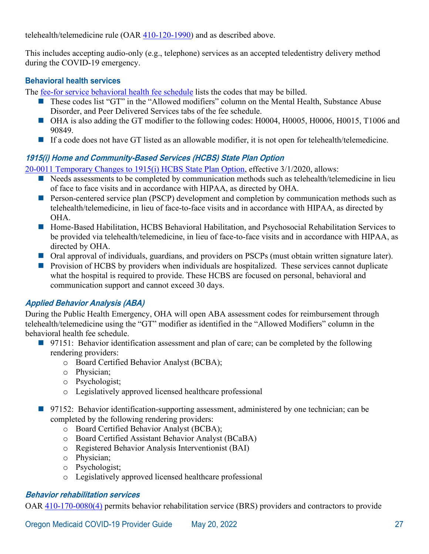telehealth/telemedicine rule (OAR [410-120-1990\)](https://secure.sos.state.or.us/oard/view.action?ruleNumber=410-120-1990) and as described above.

This includes accepting audio-only (e.g., telephone) services as an accepted teledentistry delivery method during the COVID-19 emergency.

#### **Behavioral health services**

The [fee-for service behavioral health fee schedule](http://www.oregon.gov/OHA/HSD/OHP/Pages/Fee-Schedule.aspx) lists the codes that may be billed.

- These codes list "GT" in the "Allowed modifiers" column on the Mental Health, Substance Abuse Disorder, and Peer Delivered Services tabs of the fee schedule.
- OHA is also adding the GT modifier to the following codes: H0004, H0005, H0006, H0015, T1006 and 90849.
- If a code does not have GT listed as an allowable modifier, it is not open for telehealth/telemedicine.

#### **1915(i) Home and Community-Based Services (HCBS) State Plan Option**

[20-0011 Temporary Changes to 1915\(i\) HCBS State Plan Option,](https://www-auth.oregon.egov.com/oha/HSD/Medicaid-Policy/StatePlans/20-0011%20Temporary%20Changes%20to%201915(i)%20HCBS%20State%20Plan%20Option%20-%20Approved%204-24-2020.pdf) effective 3/1/2020, allows:

- Needs assessments to be completed by communication methods such as telehealth/telemedicine in lieu of face to face visits and in accordance with HIPAA, as directed by OHA.
- **Person-centered service plan (PSCP) development and completion by communication methods such as** telehealth/telemedicine, in lieu of face-to-face visits and in accordance with HIPAA, as directed by OHA.
- Home-Based Habilitation, HCBS Behavioral Habilitation, and Psychosocial Rehabilitation Services to be provided via telehealth/telemedicine, in lieu of face-to-face visits and in accordance with HIPAA, as directed by OHA.
- Oral approval of individuals, guardians, and providers on PSCPs (must obtain written signature later).
- **Provision of HCBS by providers when individuals are hospitalized. These services cannot duplicate** what the hospital is required to provide. These HCBS are focused on personal, behavioral and communication support and cannot exceed 30 days.

## **Applied Behavior Analysis (ABA)**

During the Public Health Emergency, OHA will open ABA assessment codes for reimbursement through telehealth/telemedicine using the "GT" modifier as identified in the "Allowed Modifiers" column in the behavioral health fee schedule.

- 97151: Behavior identification assessment and plan of care; can be completed by the following rendering providers:
	- o Board Certified Behavior Analyst (BCBA);
	- o Physician;
	- o Psychologist;
	- o Legislatively approved licensed healthcare professional
- 97152: Behavior identification-supporting assessment, administered by one technician; can be completed by the following rendering providers:
	- o Board Certified Behavior Analyst (BCBA);
	- o Board Certified Assistant Behavior Analyst (BCaBA)
	- o Registered Behavior Analysis Interventionist (BAI)
	- o Physician;
	- o Psychologist;
	- o Legislatively approved licensed healthcare professional

#### **Behavior rehabilitation services**

OAR [410-170-0080\(4\)](https://secure.sos.state.or.us/oard/view.action?ruleNumber=410-170-0080) permits behavior rehabilitation service (BRS) providers and contractors to provide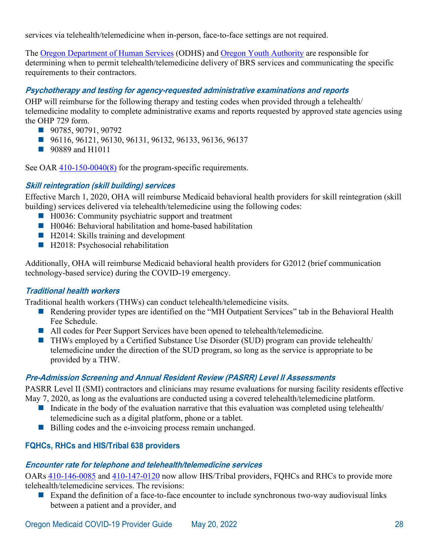services via telehealth/telemedicine when in-person, face-to-face settings are not required.

The [Oregon Department of Human Services](https://www.oregon.gov/DHS/CHILDREN/PROVIDERS-PARTNERS/BRS/Pages/index.aspx) (ODHS) and [Oregon Youth Authority](https://www.oregon.gov/oya/Pages/providerresources.aspx#Policies/Procedures/OARs) are responsible for determining when to permit telehealth/telemedicine delivery of BRS services and communicating the specific requirements to their contractors.

#### **Psychotherapy and testing for agency-requested administrative examinations and reports**

OHP will reimburse for the following therapy and testing codes when provided through a telehealth/ telemedicine modality to complete administrative exams and reports requested by approved state agencies using the OHP 729 form.

- 90785, 90791, 90792
- 96116, 96121, 96130, 96131, 96132, 96133, 96136, 96137
- 90889 and H1011

See OAR [410-150-0040\(8\)](https://secure.sos.state.or.us/oard/view.action?ruleNumber=410-150-0040) for the program-specific requirements.

#### **Skill reintegration (skill building) services**

Effective March 1, 2020, OHA will reimburse Medicaid behavioral health providers for skill reintegration (skill building) services delivered via telehealth/telemedicine using the following codes:

- $\blacksquare$  H0036: Community psychiatric support and treatment
- H0046: Behavioral habilitation and home-based habilitation
- H2014: Skills training and development
- H2018: Psychosocial rehabilitation

Additionally, OHA will reimburse Medicaid behavioral health providers for G2012 (brief communication technology-based service) during the COVID-19 emergency.

#### **Traditional health workers**

Traditional health workers (THWs) can conduct telehealth/telemedicine visits.

- Rendering provider types are identified on the "MH Outpatient Services" tab in the Behavioral Health Fee Schedule.
- All codes for Peer Support Services have been opened to telehealth/telemedicine.
- THWs employed by a Certified Substance Use Disorder (SUD) program can provide telehealth/ telemedicine under the direction of the SUD program, so long as the service is appropriate to be provided by a THW.

## **Pre-Admission Screening and Annual Resident Review (PASRR) Level II Assessments**

PASRR Level II (SMI) contractors and clinicians may resume evaluations for nursing facility residents effective May 7, 2020, as long as the evaluations are conducted using a covered telehealth/telemedicine platform.

- Indicate in the body of the evaluation narrative that this evaluation was completed using telehealth telemedicine such as a digital platform, phone or a tablet.
- Billing codes and the e-invoicing process remain unchanged.

## **FQHCs, RHCs and HIS/Tribal 638 providers**

#### **Encounter rate for telephone and telehealth/telemedicine services**

OARs [410-146-0085](https://secure.sos.state.or.us/oard/view.action?ruleNumber=410-146-0085) and [410-147-0120](https://secure.sos.state.or.us/oard/view.action?ruleNumber=410-147-0120) now allow IHS/Tribal providers, FQHCs and RHCs to provide more telehealth/telemedicine services. The revisions:

Expand the definition of a face-to-face encounter to include synchronous two-way audiovisual links between a patient and a provider, and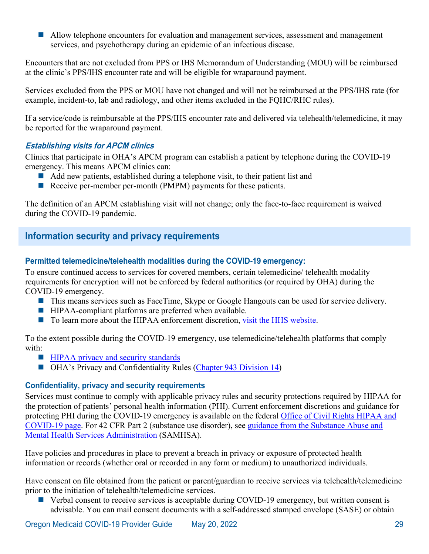**Allow telephone encounters for evaluation and management services, assessment and management** services, and psychotherapy during an epidemic of an infectious disease.

Encounters that are not excluded from PPS or IHS Memorandum of Understanding (MOU) will be reimbursed at the clinic's PPS/IHS encounter rate and will be eligible for wraparound payment.

Services excluded from the PPS or MOU have not changed and will not be reimbursed at the PPS/IHS rate (for example, incident-to, lab and radiology, and other items excluded in the FQHC/RHC rules).

If a service/code is reimbursable at the PPS/IHS encounter rate and delivered via telehealth/telemedicine, it may be reported for the wraparound payment.

## **Establishing visits for APCM clinics**

Clinics that participate in OHA's APCM program can establish a patient by telephone during the COVID-19 emergency. This means APCM clinics can:

- Add new patients, established during a telephone visit, to their patient list and
- Receive per-member per-month (PMPM) payments for these patients.

The definition of an APCM establishing visit will not change; only the face-to-face requirement is waived during the COVID-19 pandemic.

# <span id="page-31-0"></span>**Information security and privacy requirements**

## **Permitted telemedicine/telehealth modalities during the COVID-19 emergency:**

To ensure continued access to services for covered members, certain telemedicine/ telehealth modality requirements for encryption will not be enforced by federal authorities (or required by OHA) during the COVID-19 emergency.

- This means services such as FaceTime, Skype or Google Hangouts can be used for service delivery.
- HIPAA-compliant platforms are preferred when available.
- To learn more about the HIPAA enforcement discretion, [visit the HHS website.](https://www.hhs.gov/hipaa/for-professionals/special-topics/emergency-preparedness/notification-enforcement-discretion-telehealth/index.html)

To the extent possible during the COVID-19 emergency, use telemedicine/telehealth platforms that comply with:

- **HIPAA privacy and security standards**
- OHA's Privacy and Confidentiality Rules [\(Chapter 943 Division 14\)](https://secure.sos.state.or.us/oard/displayDivisionRules.action?selectedDivision=4203)

## **Confidentiality, privacy and security requirements**

Services must continue to comply with applicable privacy rules and security protections required by HIPAA for the protection of patients' personal health information (PHI). Current enforcement discretions and guidance for protecting PHI during the COVID-19 emergency is available on the federal [Office of Civil Rights HIPAA and](https://www.hhs.gov/hipaa/for-professionals/special-topics/hipaa-covid19/index.html) [COVID-19 page.](https://www.hhs.gov/hipaa/for-professionals/special-topics/hipaa-covid19/index.html) For 42 CFR Part 2 (substance use disorder), see [guidance from the Substance Abuse and](https://www.samhsa.gov/sites/default/files/covid-19-42-cfr-part-2-guidance-03192020.pdf)  [Mental Health Services Administration](https://www.samhsa.gov/sites/default/files/covid-19-42-cfr-part-2-guidance-03192020.pdf) (SAMHSA).

Have policies and procedures in place to prevent a breach in privacy or exposure of protected health information or records (whether oral or recorded in any form or medium) to unauthorized individuals.

Have consent on file obtained from the patient or parent/guardian to receive services via telehealth/telemedicine prior to the initiation of telehealth/telemedicine services.

 $\blacksquare$  Verbal consent to receive services is acceptable during COVID-19 emergency, but written consent is advisable. You can mail consent documents with a self-addressed stamped envelope (SASE) or obtain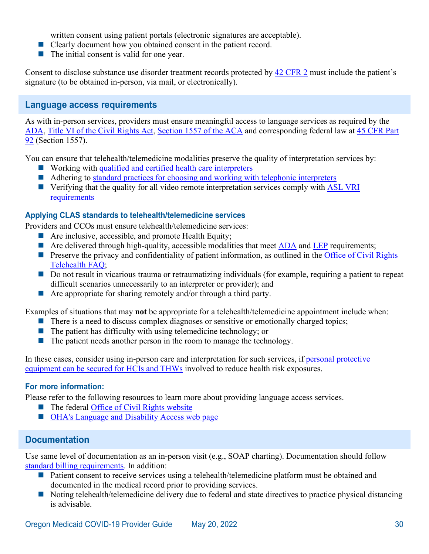written consent using patient portals (electronic signatures are acceptable).

- Clearly document how you obtained consent in the patient record.
- The initial consent is valid for one year.

Consent to disclose substance use disorder treatment records protected by [42 CFR 2](https://www.law.cornell.edu/cfr/text/42/part-2) must include the patient's signature (to be obtained in-person, via mail, or electronically).

## <span id="page-32-0"></span>**Language access requirements**

As with in-person services, providers must ensure meaningful access to language services as required by the [ADA,](https://www.ada.gov/) Title VI of the [Civil Rights Act,](https://www.justice.gov/crt/fcs/TitleVI-Overview) [Section 1557 of the ACA](https://www.gpo.gov/fdsys/pkg/PLAW-111publ148/pdf/PLAW-111publ148.pdf) and corresponding federal law at [45 CFR Part](https://www.govinfo.gov/content/pkg/FR-2016-05-18/pdf/2016-11458.pdf)  [92](https://www.govinfo.gov/content/pkg/FR-2016-05-18/pdf/2016-11458.pdf) (Section 1557).

You can ensure that telehealth/telemedicine modalities preserve the quality of interpretation services by:

- Working with [qualified and certified health care interpreters](https://docs.google.com/spreadsheets/d/17K6H39Usc_fxL-xnNJLrzpVLlw0Fi2TA7TZscjzdtH8/pub?single=true&gid=0&output=html)
- Adhering to [standard practices for choosing and working with telephonic interpreters](https://www.lep.gov/sites/lep/files/media/document/2020-03/TIPS_Telephone_Interpreters_0.pdf)
- Verifying that the quality for all video remote interpretation services comply with ASL VRI [requirements](http://nwadacenter.org/factsheet/effective-communication-healthcare)

#### **Applying CLAS standards to telehealth/telemedicine services**

Providers and CCOs must ensure telehealth/telemedicine services:

- Are inclusive, accessible, and promote Health Equity;
- Are delivered through high-quality, accessible modalities that meet  $\overline{ADA}$  and  $\overline{LEP}$  requirements;
- **Preserve the privacy and confidentiality of patient information, as outlined in the Office of Civil Rights** [Telehealth FAQ;](https://www.hhs.gov/sites/default/files/telehealth-faqs-508.pdf)
- Do not result in vicarious trauma or retraumatizing individuals (for example, requiring a patient to repeat difficult scenarios unnecessarily to an interpreter or provider); and
- Are appropriate for sharing remotely and/or through a third party.

Examples of situations that may **not** be appropriate for a telehealth/telemedicine appointment include when:

- **There is a need to discuss complex diagnoses or sensitive or emotionally charged topics;**
- $\blacksquare$  The patient has difficulty with using telemedicine technology; or
- $\blacksquare$  The patient needs another person in the room to manage the technology.

In these cases, consider using in-person care and interpretation for such services, if personal protective [equipment can be secured for HCIs](https://sharedsystems.dhsoha.state.or.us/DHSForms/Served/le2288L.pdf) and THWs involved to reduce health risk exposures.

#### **For more information:**

Please refer to the following resources to learn more about providing language access services.

- The federal Office of Civil Rights website
- **[OHA's Language and Disability Access web page](https://www.oregon.gov/OHA/OEI/Pages/Language-Disability-Access.aspx)**

# <span id="page-32-1"></span>**Documentation**

Use same level of documentation as an in-person visit (e.g., SOAP charting). Documentation should follow [standard billing requirements.](https://www.oregon.gov/oha/HSD/OHP/Tools/Billing%20basics.pdf) In addition:

- **Patient consent to receive services using a telehealth/telemedicine platform must be obtained and** documented in the medical record prior to providing services.
- Noting telehealth/telemedicine delivery due to federal and state directives to practice physical distancing is advisable.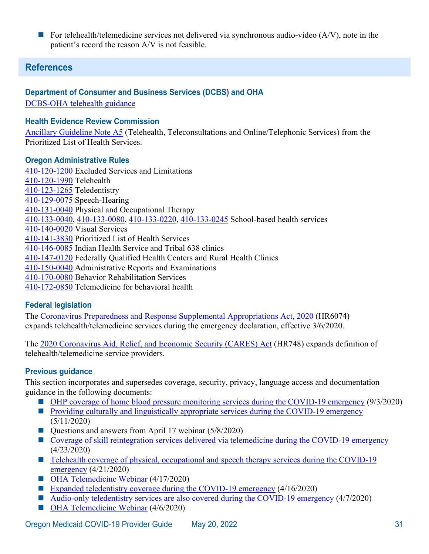For telehealth/telemedicine services not delivered via synchronous audio-video  $(A/V)$ , note in the patient's record the reason A/V is not feasible.

# <span id="page-33-0"></span>**References**

### **Department of Consumer and Business Services (DCBS) and OHA**

[DCBS-OHA telehealth guidance](https://www.oregon.gov/oha/HSD/OHP/Announcements/DCBS-OHA%20Telehealth%20Guidance%20-%20Issued%20March%2024%202020.pdf)

#### **Health Evidence Review Commission**

[Ancillary Guideline Note A5](https://www.oregon.gov/oha/HPA/DSI-HERC/SearchablePLdocuments/Prioritized-List-GN-A005.docx) (Telehealth, Teleconsultations and Online/Telephonic Services) from the Prioritized List of Health Services.

#### **Oregon Administrative Rules**

[410-120-1200](https://secure.sos.state.or.us/oard/view.action?ruleNumber=410-120-1200) Excluded Services and Limitations [410-120-1990](https://secure.sos.state.or.us/oard/view.action?ruleNumber=410-120-1990) Telehealth [410-123-1265](https://secure.sos.state.or.us/oard/view.action?ruleNumber=410-123-1265) Teledentistry [410-129-0075](https://secure.sos.state.or.us/oard/view.action?ruleNumber=410-129-0075) Speech-Hearing [410-131-0040](https://secure.sos.state.or.us/oard/view.action?ruleNumber=410-131-0040) Physical and Occupational Therapy [410-133-0040,](https://secure.sos.state.or.us/oard/view.action?ruleNumber=410-133-0040) [410-133-0080,](https://secure.sos.state.or.us/oard/view.action?ruleNumber=410-133-0080) [410-133-0220,](https://secure.sos.state.or.us/oard/view.action?ruleNumber=410-133-0220) [410-133-0245](https://secure.sos.state.or.us/oard/view.action?ruleNumber=410-133-0245) School-based health services [410-140-0020](https://secure.sos.state.or.us/oard/view.action?ruleNumber=410-140-0020) Visual Services [410-141-3830](https://secure.sos.state.or.us/oard/view.action?ruleNumber=410-141-3830) Prioritized List of Health Services [410-146-0085](https://secure.sos.state.or.us/oard/view.action?ruleNumber=410-146-0085) Indian Health Service and Tribal 638 clinics [410-147-0120](https://secure.sos.state.or.us/oard/view.action?ruleNumber=410-147-0120) Federally Qualified Health Centers and Rural Health Clinics [410-150-0040](https://secure.sos.state.or.us/oard/view.action?ruleNumber=410-150-0040) Administrative Reports and Examinations [410-170-0080](https://secure.sos.state.or.us/oard/view.action?ruleNumber=410-170-0080) Behavior Rehabilitation Services [410-172-0850](https://secure.sos.state.or.us/oard/view.action?ruleNumber=410-172-0850) Telemedicine for behavioral health

## **Federal legislation**

The [Coronavirus Preparedness and Response Supplemental Appropriations Act, 2020](https://www.congress.gov/116/bills/hr6074/BILLS-116hr6074enr.pdf) (HR6074) expands telehealth/telemedicine services during the emergency declaration, effective 3/6/2020.

The [2020 Coronavirus Aid, Relief, and Economic Security \(CARES\) Act](https://www.congress.gov/116/bills/hr748/BILLS-116hr748eas.pdf) (HR748) expands definition of telehealth/telemedicine service providers.

## **Previous guidance**

This section incorporates and supersedes coverage, security, privacy, language access and documentation guidance in the following documents:

- [OHP coverage of home blood pressure monitoring services during the COVID-19 emergency](https://www.oregon.gov/oha/HSD/OHP/Announcements/OHP%20coverage%20of%20home%20blood%20pressure%20monitoring%20services%20during%20the%20COVID-19%20emergency.pdf) (9/3/2020)
- **[Providing culturally and linguistically appropriate services during the COVID-19 emergency](https://www.oregon.gov/oha/HSD/OHP/Announcements/Providing%20Culturally%20and%20Linguistically%20Appropriate%20Services%20During%20the%20COVID-19%20Emergency.pdf)** (5/11/2020)
- Questions and answers from April 17 webinar (5/8/2020)
- [Coverage of skill reintegration services delivered via telemedicine during the COVID-19 emergency](https://www.oregon.gov/oha/HSD/OHP/Announcements/Coverage%20of%20skill%20reintegration%20services%20delivered%20via%20telemedicine%20during%20the%20COVID-19%20emergency.pdf) (4/23/2020)
- Telehealth coverage of physical, occupational and speech therapy services during the COVID-19 [emergency](https://www.oregon.gov/oha/HSD/OHP/Announcements/Telehealth%20coverage%20of%20physical%2C%20occupational%20and%20speech%20therapy%20services%20during%20the%20COVID-19%20emergency.pdf) (4/21/2020)
- [OHA Telemedicine Webinar](https://www.oregon.gov/oha/PH/DISEASESCONDITIONS/DISEASESAZ/Emerging%20Respitory%20Infections/COVID-19-OHP-telemedicine-slides-0417.pdf) (4/17/2020)
- [Expanded teledentistry coverage during the COVID-19 emergency](https://www.oregon.gov/oha/HSD/OHP/Announcements/Expanded%20teledentistry%20coverage%20during%20the%20COVID-19%20emergency.pdf) (4/16/2020)
- [Audio-only teledentistry services are also covered during the COVID-19 emergency](https://www.oregon.gov/oha/HSD/OHP/Announcements/Audio-only%20teledentistry%20services%20are%20also%20covered%20during%20the%20COVID-19%20emergency.pdf) (4/7/2020)
- [OHA Telemedicine Webinar](https://www.oregon.gov/oha/HSD/OHP/Tools/Expanded%20Telemedicine%20Webinar%20-%20Slide%20Desk%20-%20April%206%202020.pdf) (4/6/2020)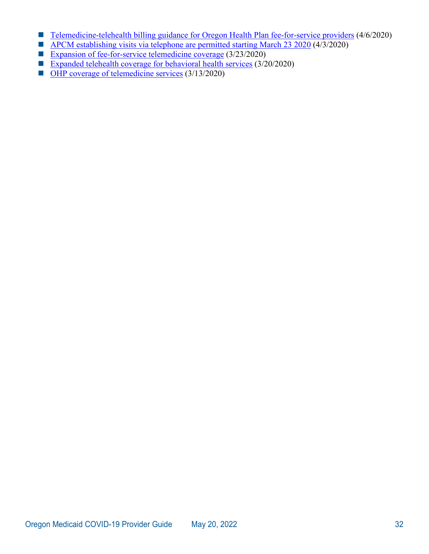- [Telemedicine-telehealth billing guidance for Oregon Health Plan fee-for-service providers](https://www.oregon.gov/oha/HSD/OHP/Announcements/Telemedicine-telehealth%20billing%20guidance%20for%20Oregon%20Health%20Plan%20fee-for-service%20providers.pdf) (4/6/2020)
- $\blacksquare$  [APCM establishing visits via telephone are permitted starting March 23 2020](https://www.oregon.gov/oha/HSD/OHP/Announcements/APCM%20establishing%20visits%20via%20telephone%20are%20permitted%20starting%20March%2023%202020.pdf) (4/3/2020)
- [Expansion of fee-for-service telemedicine coverage](https://www.oregon.gov/oha/HSD/OHP/Announcements/Expansion%20of%20fee-for-service%20telemedicine%20coverage.pdf) (3/23/2020)
- [Expanded telehealth coverage for behavioral health services](https://www.oregon.gov/oha/HSD/OHP/Announcements/Expanded%20telehealth%20coverage%20for%20behavioral%20health%20services.pdf) (3/20/2020)
- OHP [coverage of telemedicine services](https://www.oregon.gov/oha/HSD/OHP/Announcements/Oregon%20Health%20Plan%20coverage%20of%20telemedicine%20services.pdf) (3/13/2020)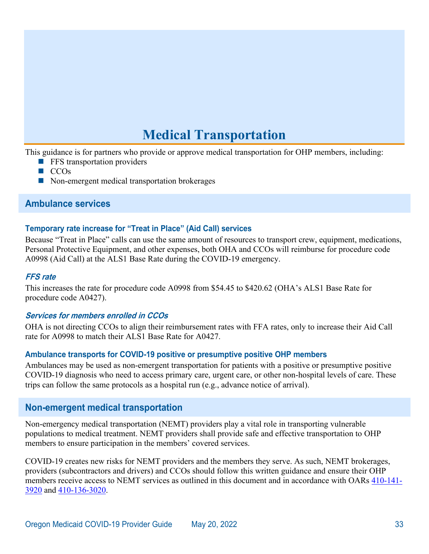# **Medical Transportation**

<span id="page-35-0"></span>This guidance is for partners who provide or approve medical transportation for OHP members, including:

- **FFS** transportation providers
- $\blacksquare$  CCO<sub>s</sub>
- Non-emergent medical transportation brokerages

#### <span id="page-35-1"></span>**Ambulance services**

### **Temporary rate increase for "Treat in Place" (Aid Call) services**

Because "Treat in Place" calls can use the same amount of resources to transport crew, equipment, medications, Personal Protective Equipment, and other expenses, both OHA and CCOs will reimburse for procedure code A0998 (Aid Call) at the ALS1 Base Rate during the COVID-19 emergency.

#### **FFS rate**

This increases the rate for procedure code A0998 from \$54.45 to \$420.62 (OHA's ALS1 Base Rate for procedure code A0427).

#### **Services for members enrolled in CCOs**

OHA is not directing CCOs to align their reimbursement rates with FFA rates, only to increase their Aid Call rate for A0998 to match their ALS1 Base Rate for A0427.

#### **Ambulance transports for COVID-19 positive or presumptive positive OHP members**

Ambulances may be used as non-emergent transportation for patients with a positive or presumptive positive COVID-19 diagnosis who need to access primary care, urgent care, or other non-hospital levels of care. These trips can follow the same protocols as a hospital run (e.g., advance notice of arrival).

## <span id="page-35-2"></span>**Non-emergent medical transportation**

Non-emergency medical transportation (NEMT) providers play a vital role in transporting vulnerable populations to medical treatment. NEMT providers shall provide safe and effective transportation to OHP members to ensure participation in the members' covered services.

COVID-19 creates new risks for NEMT providers and the members they serve. As such, NEMT brokerages, providers (subcontractors and drivers) and CCOs should follow this written guidance and ensure their OHP members receive access to NEMT services as outlined in this document and in accordance with OARs [410-141-](https://secure.sos.state.or.us/oard/view.action?ruleNumber=410-141-3920) [3920](https://secure.sos.state.or.us/oard/view.action?ruleNumber=410-141-3920) and [410-136-3020.](https://secure.sos.state.or.us/oard/view.action?ruleNumber=410-136-3020)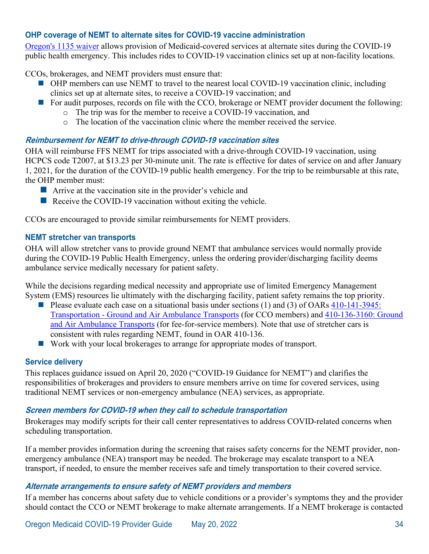#### <span id="page-36-0"></span>**OHP coverage of NEMT to alternate sites for COVID-19 vaccine administration**

[Oregon's 1135 waiver](https://www.oregon.gov/oha/HSD/Medicaid-Policy/1135%20Waiver/CMS%20Approval%20of%20March%2020%20Request,%20Issued%203-26-2020.pdf) allows provision of Medicaid-covered services at alternate sites during the COVID-19 public health emergency. This includes rides to COVID-19 vaccination clinics set up at non-facility locations.

CCOs, brokerages, and NEMT providers must ensure that:

- OHP members can use NEMT to travel to the nearest local COVID-19 vaccination clinic, including clinics set up at alternate sites, to receive a COVID-19 vaccination; and
- For audit purposes, records on file with the CCO, brokerage or NEMT provider document the following:
	- o The trip was for the member to receive a COVID-19 vaccination, and
	- $\circ$  The location of the vaccination clinic where the member received the service.

#### **Reimbursement for NEMT to drive-through COVID-19 vaccination sites**

OHA will reimburse FFS NEMT for trips associated with a drive-through COVID-19 vaccination, using HCPCS code T2007, at \$13.23 per 30-minute unit. The rate is effective for dates of service on and after January 1, 2021, for the duration of the COVID-19 public health emergency. For the trip to be reimbursable at this rate, the OHP member must:

- **E** Arrive at the vaccination site in the provider's vehicle and
- Receive the COVID-19 vaccination without exiting the vehicle.

CCOs are encouraged to provide similar reimbursements for NEMT providers.

#### **NEMT stretcher van transports**

OHA will allow stretcher vans to provide ground NEMT that ambulance services would normally provide during the COVID-19 Public Health Emergency, unless the ordering provider/discharging facility deems ambulance service medically necessary for patient safety.

While the decisions regarding medical necessity and appropriate use of limited Emergency Management System (EMS) resources lie ultimately with the discharging facility, patient safety remains the top priority.

- Please evaluate each case on a situational basis under sections (1) and (3) of OARs  $410-141-3945$ : [Transportation - Ground and Air Ambulance Transports](https://secure.sos.state.or.us/oard/view.action?ruleNumber=410-141-3945) (for CCO members) and [410-136-3160: Ground](https://secure.sos.state.or.us/oard/view.action?ruleNumber=410-136-3160)  [and Air Ambulance Transports](https://secure.sos.state.or.us/oard/view.action?ruleNumber=410-136-3160) (for fee-for-service members). Note that use of stretcher cars is consistent with rules regarding NEMT, found in OAR 410-136.
- Work with your local brokerages to arrange for appropriate modes of transport.

#### **Service delivery**

This replaces guidance issued on April 20, 2020 ("COVID-19 Guidance for NEMT") and clarifies the responsibilities of brokerages and providers to ensure members arrive on time for covered services, using traditional NEMT services or non-emergency ambulance (NEA) services, as appropriate.

#### **Screen members for COVID-19 when they call to schedule transportation**

Brokerages may modify scripts for their call center representatives to address COVID-related concerns when scheduling transportation.

If a member provides information during the screening that raises safety concerns for the NEMT provider, nonemergency ambulance (NEA) transport may be needed. The brokerage may escalate transport to a NEA transport, if needed, to ensure the member receives safe and timely transportation to their covered service.

#### **Alternate arrangements to ensure safety of NEMT providers and members**

If a member has concerns about safety due to vehicle conditions or a provider's symptoms they and the provider should contact the CCO or NEMT brokerage to make alternate arrangements. If a NEMT brokerage is contacted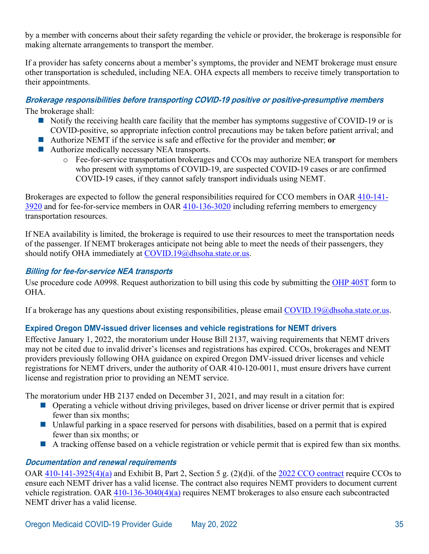by a member with concerns about their safety regarding the vehicle or provider, the brokerage is responsible for making alternate arrangements to transport the member.

If a provider has safety concerns about a member's symptoms, the provider and NEMT brokerage must ensure other transportation is scheduled, including NEA. OHA expects all members to receive timely transportation to their appointments.

#### **Brokerage responsibilities before transporting COVID-19 positive or positive-presumptive members**

The brokerage shall:

- $\blacksquare$  Notify the receiving health care facility that the member has symptoms suggestive of COVID-19 or is COVID-positive, so appropriate infection control precautions may be taken before patient arrival; and
- Authorize NEMT if the service is safe and effective for the provider and member; **or**
- Authorize medically necessary NEA transports.
	- o Fee-for-service transportation brokerages and CCOs may authorize NEA transport for members who present with symptoms of COVID-19, are suspected COVID-19 cases or are confirmed COVID-19 cases, if they cannot safely transport individuals using NEMT.

Brokerages are expected to follow the general responsibilities required for CCO members in OAR [410-141-](https://secure.sos.state.or.us/oard/view.action?ruleNumber=410-141-3920) [3920](https://secure.sos.state.or.us/oard/view.action?ruleNumber=410-141-3920) and for fee-for-service members in OAR [410-136-3020](https://secure.sos.state.or.us/oard/view.action?ruleNumber=410-136-3020) including referring members to emergency transportation resources.

If NEA availability is limited, the brokerage is required to use their resources to meet the transportation needs of the passenger. If NEMT brokerages anticipate not being able to meet the needs of their passengers, they should notify OHA immediately at [COVID.19@dhsoha.state.or.us.](mailto:COVID.19@dhsoha.state.or.us)

#### **Billing for fee-for-service NEA transports**

Use procedure code A0998. Request authorization to bill using this code by submitting the [OHP 405T](https://sharedsystems.dhsoha.state.or.us/DHSForms/Served/he0405t.pdf) form to OHA.

If a brokerage has any questions about existing responsibilities, please email [COVID.19@dhsoha.state.or.us.](mailto:COVID.19@dhsoha.state.or.us)

## **Expired Oregon DMV-issued driver licenses and vehicle registrations for NEMT drivers**

Effective January 1, 2022, the moratorium under House Bill 2137, waiving requirements that NEMT drivers may not be cited due to invalid driver's licenses and registrations has expired. CCOs, brokerages and NEMT providers previously following OHA guidance on expired Oregon DMV-issued driver licenses and vehicle registrations for NEMT drivers, under the authority of OAR 410-120-0011, must ensure drivers have current license and registration prior to providing an NEMT service.

The moratorium under HB 2137 ended on December 31, 2021, and may result in a citation for:

- Operating a vehicle without driving privileges, based on driver license or driver permit that is expired fewer than six months;
- Unlawful parking in a space reserved for persons with disabilities, based on a permit that is expired fewer than six months; or
- $\blacksquare$  A tracking offense based on a vehicle registration or vehicle permit that is expired few than six months.

#### **Documentation and renewal requirements**

OAR [410-141-3925\(4\)\(a\)](https://secure.sos.state.or.us/oard/view.action?ruleNumber=410-141-3925) and Exhibit B, Part 2, Section 5 g. (2)(d)i. of the [2022 CCO contract](https://www.oregon.gov/oha/HSD/OHP/Documents/2022-CCO-Contract-Template.pdf) require CCOs to ensure each NEMT driver has a valid license. The contract also requires NEMT providers to document current vehicle registration. OAR [410-136-3040\(4\)\(a\)](https://secure.sos.state.or.us/oard/view.action?ruleNumber=410-136-3040) requires NEMT brokerages to also ensure each subcontracted NEMT driver has a valid license.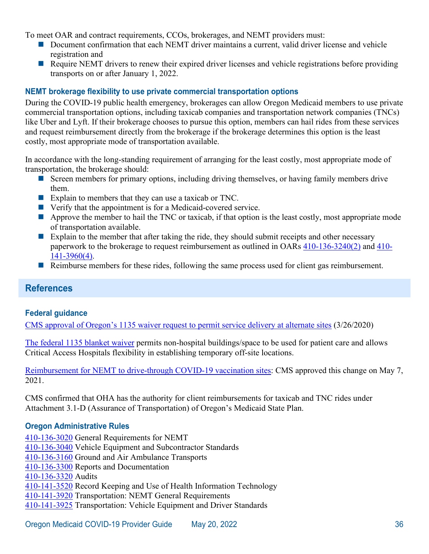To meet OAR and contract requirements, CCOs, brokerages, and NEMT providers must:

- Document confirmation that each NEMT driver maintains a current, valid driver license and vehicle registration and
- Require NEMT drivers to renew their expired driver licenses and vehicle registrations before providing transports on or after January 1, 2022.

## **NEMT brokerage flexibility to use private commercial transportation options**

During the COVID-19 public health emergency, brokerages can allow Oregon Medicaid members to use private commercial transportation options, including taxicab companies and transportation network companies (TNCs) like Uber and Lyft. If their brokerage chooses to pursue this option, members can hail rides from these services and request reimbursement directly from the brokerage if the brokerage determines this option is the least costly, most appropriate mode of transportation available.

In accordance with the long-standing requirement of arranging for the least costly, most appropriate mode of transportation, the brokerage should:

- Screen members for primary options, including driving themselves, or having family members drive them.
- Explain to members that they can use a taxicab or TNC.
- Verify that the appointment is for a Medicaid-covered service.
- $\blacksquare$  Approve the member to hail the TNC or taxicab, if that option is the least costly, most appropriate mode of transportation available.
- Explain to the member that after taking the ride, they should submit receipts and other necessary paperwork to the brokerage to request reimbursement as outlined in OARs [410-136-3240\(2\)](https://secure.sos.state.or.us/oard/view.action?ruleNumber=410-136-3240) and [410-](https://secure.sos.state.or.us/oard/view.action?ruleNumber=410-141-3960) [141-3960\(4\).](https://secure.sos.state.or.us/oard/view.action?ruleNumber=410-141-3960)
- Reimburse members for these rides, following the same process used for client gas reimbursement.

# <span id="page-38-0"></span>**References**

#### **Federal guidance**

[CMS approval of Oregon's 1135 waiver request to permit service delivery at alternate sites](https://www.oregon.gov/oha/HSD/Medicaid-Policy/1135%20Waiver/CMS%20Approval%20of%20March%2020%20Request,%20Issued%203-26-2020.pdf) (3/26/2020)

[The federal 1135 blanket waiver](https://www.cms.gov/files/document/covid19-emergency-declaration-health-care-providers-fact-sheet.pdf) permits non-hospital buildings/space to be used for patient care and allows Critical Access Hospitals flexibility in establishing temporary off-site locations.

[Reimbursement for NEMT to drive-through COVID-19 vaccination sites:](https://www.oregon.gov/oha/HSD/Medicaid-Policy/StatePlans/21-0009.pdf) CMS approved this change on May 7, 2021.

CMS confirmed that OHA has the authority for client reimbursements for taxicab and TNC rides under Attachment 3.1-D (Assurance of Transportation) of Oregon's Medicaid State Plan.

#### **Oregon Administrative Rules**

[410-136-3020](https://secure.sos.state.or.us/oard/view.action?ruleNumber=410-136-3020) General Requirements for NEMT [410-136-3040](https://secure.sos.state.or.us/oard/view.action?ruleNumber=410-141-3040) Vehicle Equipment and Subcontractor Standards [410-136-3160](https://secure.sos.state.or.us/oard/view.action?ruleNumber=410-136-3160) Ground and Air Ambulance Transports [410-136-3300](https://secure.sos.state.or.us/oard/view.action?ruleNumber=410-136-3300) Reports and Documentation [410-136-3320](https://secure.sos.state.or.us/oard/view.action?ruleNumber=410-136-3320) Audits [410-141-3520](https://secure.sos.state.or.us/oard/view.action?ruleNumber=410-141-3520) Record Keeping and Use of Health Information Technology [410-141-3920](https://secure.sos.state.or.us/oard/view.action?ruleNumber=410-141-3920) Transportation: NEMT General Requirements [410-141-3925](https://secure.sos.state.or.us/oard/view.action?ruleNumber=410-141-3925) Transportation: Vehicle Equipment and Driver Standards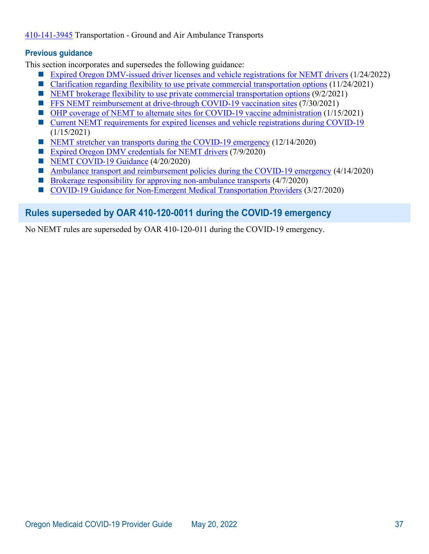### [410-141-3945](https://secure.sos.state.or.us/oard/view.action?ruleNumber=410-141-3945) Transportation - Ground and Air Ambulance Transports

#### **Previous guidance**

This section incorporates and supersedes the following guidance:

- [Expired Oregon DMV-issued driver licenses and vehicle registrations for NEMT drivers](https://www.oregon.gov/oha/HSD/OHP/Announcements/NEMT-Credentials0122.pdf) (1/24/2022)
- [Clarification regarding flexibility to use private commercial transportation options](https://www.oregon.gov/oha/HSD/OHP/Announcements/Taxi-TNC-Rides-1121.pdf) (11/24/2021)
- [NEMT brokerage flexibility to use private commercial transportation options](https://www.oregon.gov/oha/HSD/OHP/Announcements/Taxi-TNC-Rides0921.pdf)  $(9/2/2021)$
- **[FFS NEMT reimbursement at drive-through COVID-19 vaccination sites](https://www.oregon.gov/oha/HSD/OHP/Announcements/NEMT-Drive-Through-Rate0721.pdf) (7/30/2021)**
- [OHP coverage of NEMT to alternate sites for COVID-19 vaccine administration](https://www.oregon.gov/oha/HSD/OHP/Announcements/nemt-vaccine-sites0121.pdf) (1/15/2021)
- [Current NEMT requirements for expired licenses and vehicle registrations during COVID-19](https://www.oregon.gov/oha/HSD/OHP/Announcements/nemt-credential-requirements0121.pdf)  $(1/15/2021)$
- [NEMT stretcher van transports during the COVID-19 emergency](https://www.oregon.gov/oha/HSD/OHP/Announcements/stretcher-transport1220.pdf) (12/14/2020)
- [Expired Oregon DMV credentials for NEMT drivers](https://www.oregon.gov/oha/HSD/OHP/Announcements/Expired%20Oregon%20DMV%20credentials%20for%20NEMT%20drivers.pdf) (7/9/2020)
- [NEMT COVID-19 Guidance](https://sharedsystems.dhsoha.state.or.us/DHSForms/Served/le2322h.pdf) (4/20/2020)
- [Ambulance transport and reimbursement policies during the COVID-19 emergency](https://www-auth.oregon.egov.com/oha/HSD/OHP/Announcements/Ambulance%20transport%20and%20reimbursement%20policies%20during%20the%20COVID-19%20emergency.pdf) (4/14/2020)
- [Brokerage responsibility for approving non-ambulance transports](https://www.oregon.gov/oha/HSD/OHP/Announcements/COVID-19%20Guidance%20for%20NEMT%20%E2%80%93%20Brokerage%20Responsibility%20for%20Authorizing%20Non-Emergency%20Ambulance%20transports.pdf)  $(4/7/2020)$
- [COVID-19 Guidance for Non-Emergent Medical Transportation Providers](https://www.oregon.gov/oha/HSD/OHP/Announcements/COVID-19%20Guidance%20for%20NEMT%20providers.pdf) (3/27/2020)

# <span id="page-39-0"></span>**Rules superseded by OAR 410-120-0011 during the COVID-19 emergency**

No NEMT rules are superseded by OAR 410-120-011 during the COVID-19 emergency.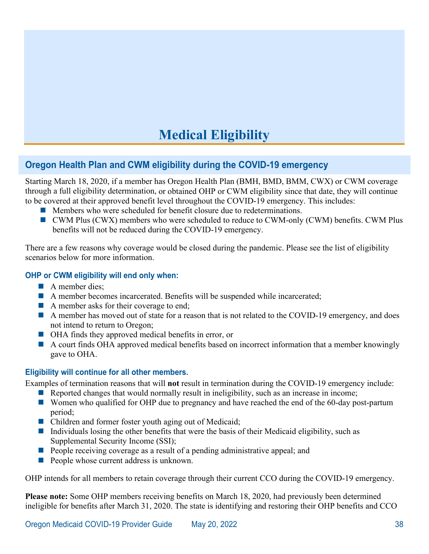# **Medical Eligibility**

# <span id="page-40-1"></span><span id="page-40-0"></span>**Oregon Health Plan and CWM eligibility during the COVID-19 emergency**

Starting March 18, 2020, if a member has Oregon Health Plan (BMH, BMD, BMM, CWX) or CWM coverage through a full eligibility determination, or obtained OHP or CWM eligibility since that date, they will continue to be covered at their approved benefit level throughout the COVID-19 emergency. This includes:

- **Members who were scheduled for benefit closure due to redeterminations.**
- CWM Plus (CWX) members who were scheduled to reduce to CWM-only (CWM) benefits. CWM Plus benefits will not be reduced during the COVID-19 emergency.

There are a few reasons why coverage would be closed during the pandemic. Please see the list of eligibility scenarios below for more information.

#### **OHP or CWM eligibility will end only when:**

- A member dies;
- A member becomes incarcerated. Benefits will be suspended while incarcerated;
- A member asks for their coverage to end;
- A member has moved out of state for a reason that is not related to the COVID-19 emergency, and does not intend to return to Oregon;
- OHA finds they approved medical benefits in error, or
- A court finds OHA approved medical benefits based on incorrect information that a member knowingly gave to OHA.

#### **Eligibility will continue for all other members.**

Examples of termination reasons that will **not** result in termination during the COVID-19 emergency include:

- Reported changes that would normally result in ineligibility, such as an increase in income;
- Women who qualified for OHP due to pregnancy and have reached the end of the 60-day post-partum period;
- Children and former foster youth aging out of Medicaid;
- Individuals losing the other benefits that were the basis of their Medicaid eligibility, such as Supplemental Security Income (SSI);
- **People receiving coverage as a result of a pending administrative appeal; and**
- **People whose current address is unknown.**

OHP intends for all members to retain coverage through their current CCO during the COVID-19 emergency.

**Please note:** Some OHP members receiving benefits on March 18, 2020, had previously been determined ineligible for benefits after March 31, 2020. The state is identifying and restoring their OHP benefits and CCO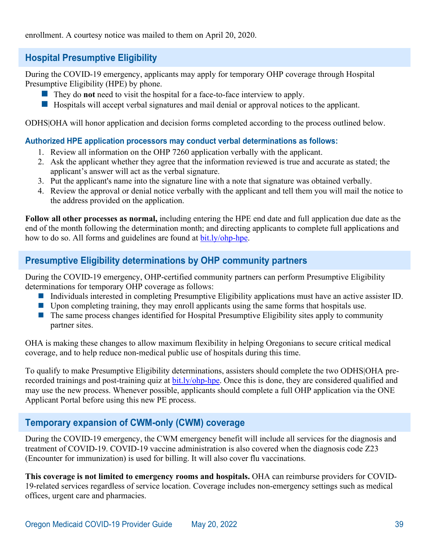# <span id="page-41-0"></span>**Hospital Presumptive Eligibility**

During the COVID-19 emergency, applicants may apply for temporary OHP coverage through Hospital Presumptive Eligibility (HPE) by phone.

- They do **not** need to visit the hospital for a face-to-face interview to apply.
- $\blacksquare$  Hospitals will accept verbal signatures and mail denial or approval notices to the applicant.

ODHS|OHA will honor application and decision forms completed according to the process outlined below.

## **Authorized HPE application processors may conduct verbal determinations as follows:**

- 1. Review all information on the OHP 7260 application verbally with the applicant.
- 2. Ask the applicant whether they agree that the information reviewed is true and accurate as stated; the applicant's answer will act as the verbal signature.
- 3. Put the applicant's name into the signature line with a note that signature was obtained verbally.
- 4. Review the approval or denial notice verbally with the applicant and tell them you will mail the notice to the address provided on the application.

**Follow all other processes as normal,** including entering the HPE end date and full application due date as the end of the month following the determination month; and directing applicants to complete full applications and how to do so. All forms and guidelines are found at [bit.ly/ohp-hpe.](http://bit.ly/ohp-hpe)

# <span id="page-41-1"></span>**Presumptive Eligibility determinations by OHP community partners**

During the COVID-19 emergency, OHP-certified community partners can perform Presumptive Eligibility determinations for temporary OHP coverage as follows:

- Individuals interested in completing Presumptive Eligibility applications must have an active assister ID.
- **Upon completing training, they may enroll applicants using the same forms that hospitals use.**
- $\blacksquare$  The same process changes identified for Hospital Presumptive Eligibility sites apply to community partner sites.

OHA is making these changes to allow maximum flexibility in helping Oregonians to secure critical medical coverage, and to help reduce non-medical public use of hospitals during this time.

To qualify to make Presumptive Eligibility determinations, assisters should complete the two ODHS|OHA prerecorded trainings and post-training quiz at [bit.ly/ohp-hpe.](http://bit.ly/ohp-hpe) Once this is done, they are considered qualified and may use the new process. Whenever possible, applicants should complete a full OHP application via the ONE Applicant Portal before using this new PE process.

# <span id="page-41-2"></span>**Temporary expansion of CWM-only (CWM) coverage**

During the COVID-19 emergency, the CWM emergency benefit will include all services for the diagnosis and treatment of COVID-19. COVID-19 vaccine administration is also covered when the diagnosis code Z23 (Encounter for immunization) is used for billing. It will also cover flu vaccinations.

**This coverage is not limited to emergency rooms and hospitals.** OHA can reimburse providers for COVID-19-related services regardless of service location. Coverage includes non-emergency settings such as medical offices, urgent care and pharmacies.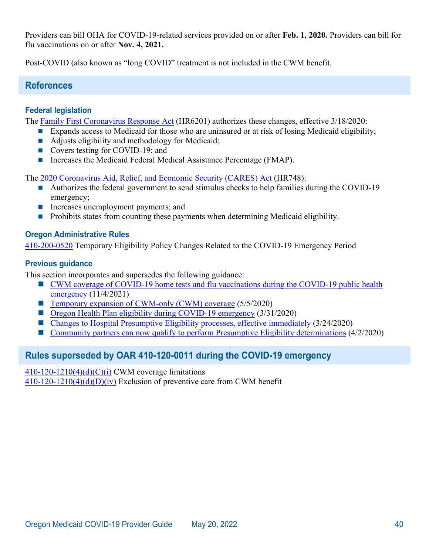Providers can bill OHA for COVID-19-related services provided on or after **Feb. 1, 2020.** Providers can bill for flu vaccinations on or after **Nov. 4, 2021.** 

<span id="page-42-0"></span>Post-COVID (also known as "long COVID" treatment is not included in the CWM benefit.

## **References**

## **Federal legislation**

The [Family First Coronavirus Response Act](https://www.congress.gov/116/plaws/publ127/PLAW-116publ127.pdf) (HR6201) authorizes these changes, effective 3/18/2020:

- **Expands access to Medicaid for those who are uninsured or at risk of losing Medicaid eligibility;** 
	- Adjusts eligibility and methodology for Medicaid;
	- Covers testing for COVID-19; and
	- Increases the Medicaid Federal Medical Assistance Percentage (FMAP).

The [2020 Coronavirus Aid, Relief, and Economic Security \(CARES\) Act](https://www.congress.gov/116/bills/hr748/BILLS-116hr748eas.pdf) (HR748):

- **Authorizes the federal government to send stimulus checks to help families during the COVID-19** emergency;
- **Increases unemployment payments; and**
- **Prohibits states from counting these payments when determining Medicaid eligibility.**

#### **Oregon Administrative Rules**

[410-200-0520](https://secure.sos.state.or.us/oard/view.action?ruleNumber=410-200-0520) Temporary Eligibility Policy Changes Related to the COVID-19 Emergency Period

#### **Previous guidance**

This section incorporates and supersedes the following guidance:

- [CWM coverage of COVID-19 home tests and flu vaccinations during the COVID-19 public health](https://www.oregon.gov/oha/HSD/OHP/Announcements/CAWEM-Coverage1121.pdf)  [emergency](https://www.oregon.gov/oha/HSD/OHP/Announcements/CAWEM-Coverage1121.pdf) (11/4/2021)
- [Temporary expansion of CWM-only \(CWM\) coverage](https://www.oregon.gov/oha/HSD/OHP/Announcements/Temporary%20expansion%20of%20CAWEM-only%20coverage%20during%20the%20COVID-19%20emergency.pdf) (5/5/2020)
- [Oregon Health Plan eligibility during COVID-19 emergency](https://www.oregon.gov/oha/HSD/OHP/Tools/Oregon%20Health%20Plan%20eligibility%20during%20COVID-19%20emergency.pdf) (3/31/2020)
- [Changes to Hospital Presumptive Eligibility processes, effective immediately](https://www-auth.oregon.egov.com/oha/HSD/OHP/Announcements/Changes%20to%20Hospital%20Presumptive%20Eligibility%20processes%2C%20effective%20immediately.pdf) (3/24/2020)
- [Community partners can now qualify to perform Presumptive Eligibility determinations](https://www-auth.oregon.egov.com/oha/HSD/OHP/Announcements/Community%20partners%20can%20now%20qualify%20to%20perform%20Presumptive%20Eligibility%20determinations.pdf) (4/2/2020)

# <span id="page-42-1"></span>**Rules superseded by OAR 410-120-0011 during the COVID-19 emergency**

 $410-120-1210(4)(d)(C)(i)$  CWM coverage limitations

 $410-120-1210(4)(d)(D)(iv)$  Exclusion of preventive care from CWM benefit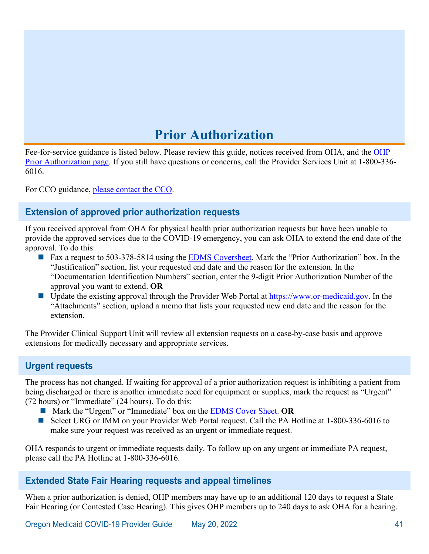# **Prior Authorization**

<span id="page-43-0"></span>Fee-for-service guidance is listed below. Please review this guide, notices received from OHA, and the [OHP](http://www.oregon.gov/OHA/HSD/OHP/Pages/PA.aspx) [Prior Authorization page.](http://www.oregon.gov/OHA/HSD/OHP/Pages/PA.aspx) If you still have questions or concerns, call the Provider Services Unit at 1-800-336- 6016.

<span id="page-43-1"></span>For CCO guidance, [please contact the CCO.](http://www.oregon.gov/OHA/HSD/OHP/Pages/Coordinated-Care-Organizations.aspx)

# **Extension of approved prior authorization requests**

If you received approval from OHA for physical health prior authorization requests but have been unable to provide the approved services due to the COVID-19 emergency, you can ask OHA to extend the end date of the approval. To do this:

- Fax a request to 503-378-5814 using the [EDMS Coversheet.](https://apps.state.or.us/Forms/Served/me3970.pdf) Mark the "Prior Authorization" box. In the "Justification" section, list your requested end date and the reason for the extension. In the "Documentation Identification Numbers" section, enter the 9-digit Prior Authorization Number of the approval you want to extend. **OR**
- Update the existing approval through the Provider Web Portal at [https://www.or-medicaid.gov.](https://www.or-medicaid.gov/) In the "Attachments" section, upload a memo that lists your requested new end date and the reason for the extension.

The Provider Clinical Support Unit will review all extension requests on a case-by-case basis and approve extensions for medically necessary and appropriate services.

# <span id="page-43-2"></span>**Urgent requests**

The process has not changed. If waiting for approval of a prior authorization request is inhibiting a patient from being discharged or there is another immediate need for equipment or supplies, mark the request as "Urgent" (72 hours) or "Immediate" (24 hours). To do this:

- Mark the "Urgent" or "Immediate" box on the [EDMS Cover Sheet.](https://apps.state.or.us/Forms/Served/me3971.pdf) OR
- Select URG or IMM on your Provider Web Portal request. Call the PA Hotline at 1-800-336-6016 to make sure your request was received as an urgent or immediate request.

OHA responds to urgent or immediate requests daily. To follow up on any urgent or immediate PA request, please call the PA Hotline at 1-800-336-6016.

## <span id="page-43-3"></span>**Extended State Fair Hearing requests and appeal timelines**

When a prior authorization is denied, OHP members may have up to an additional 120 days to request a State Fair Hearing (or Contested Case Hearing). This gives OHP members up to 240 days to ask OHA for a hearing.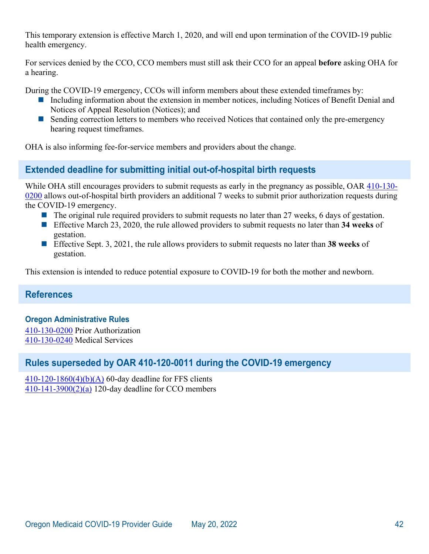This temporary extension is effective March 1, 2020, and will end upon termination of the COVID-19 public health emergency.

For services denied by the CCO, CCO members must still ask their CCO for an appeal **before** asking OHA for a hearing.

During the COVID-19 emergency, CCOs will inform members about these extended timeframes by:

- Including information about the extension in member notices, including Notices of Benefit Denial and Notices of Appeal Resolution (Notices); and
- Sending correction letters to members who received Notices that contained only the pre-emergency hearing request timeframes.

<span id="page-44-0"></span>OHA is also informing fee-for-service members and providers about the change.

# **Extended deadline for submitting initial out-of-hospital birth requests**

While OHA still encourages providers to submit requests as early in the pregnancy as possible, OAR [410-130-](https://secure.sos.state.or.us/oard/view.action?ruleNumber=410-130-0200) [0200](https://secure.sos.state.or.us/oard/view.action?ruleNumber=410-130-0200) allows out-of-hospital birth providers an additional 7 weeks to submit prior authorization requests during the COVID-19 emergency.

- $\blacksquare$  The original rule required providers to submit requests no later than 27 weeks, 6 days of gestation.
- Effective March 23, 2020, the rule allowed providers to submit requests no later than **34 weeks** of gestation.
- Effective Sept. 3, 2021, the rule allows providers to submit requests no later than **38 weeks** of gestation.

<span id="page-44-1"></span>This extension is intended to reduce potential exposure to COVID-19 for both the mother and newborn.

## **References**

#### **Oregon Administrative Rules**

[410-130-0200](https://secure.sos.state.or.us/oard/view.action?ruleNumber=410-130-0200) Prior Authorization [410-130-0240](https://secure.sos.state.or.us/oard/view.action?ruleNumber=410-130-0240) Medical Services

## <span id="page-44-2"></span>**Rules superseded by OAR 410-120-0011 during the COVID-19 emergency**

 $410-120-1860(4)(b)(A)$  60-day deadline for FFS clients [410-141-3900\(2\)\(a\)](https://secure.sos.state.or.us/oard/view.action?ruleNumber=410-141-3900) 120-day deadline for CCO members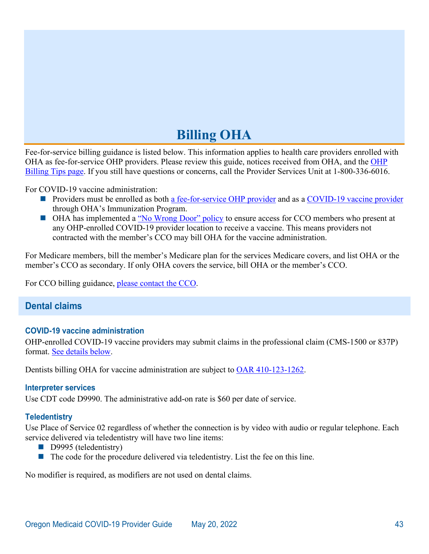# **Billing OHA**

<span id="page-45-0"></span>Fee-for-service billing guidance is listed below. This information applies to health care providers enrolled with OHA as fee-for-service OHP providers. Please review this guide, notices received from OHA, and the [OHP](http://www.oregon.gov/OHA/HSD/OHP/pages/billing.aspx)  [Billing Tips page.](http://www.oregon.gov/OHA/HSD/OHP/pages/billing.aspx) If you still have questions or concerns, call the Provider Services Unit at 1-800-336-6016.

For COVID-19 vaccine administration:

- **Providers must be enrolled as both [a fee-for-service OHP provider](#page-13-0) and as a [COVID-19 vaccine provider](#page-13-1)** through OHA's Immunization Program.
- OHA has implemented a ["No Wrong Door" policy](file://dhs.sdc.pvt/HSB/OHA%20Communications/HSD/2021/Medicaid%20Operations/2021-05-07%20COVID%20Guide/No_Wrong_Door#_) to ensure access for CCO members who present at any OHP-enrolled COVID-19 provider location to receive a vaccine. This means providers not contracted with the member's CCO may bill OHA for the vaccine administration.

For Medicare members, bill the member's Medicare plan for the services Medicare covers, and list OHA or the member's CCO as secondary. If only OHA covers the service, bill OHA or the member's CCO.

<span id="page-45-1"></span>For CCO billing guidance, [please contact the CCO.](http://www.oregon.gov/OHA/HSD/OHP/Pages/Coordinated-Care-Organizations.aspx)

# **Dental claims**

#### **COVID-19 vaccine administration**

OHP-enrolled COVID-19 vaccine providers may submit claims in the professional claim (CMS-1500 or 837P) format. [See details below.](#page-46-1)

Dentists billing OHA for vaccine administration are subject to [OAR 410-123-1262.](https://secure.sos.state.or.us/oard/view.action?ruleNumber=410-123-1262)

#### **Interpreter services**

Use CDT code D9990. The administrative add-on rate is \$60 per date of service.

#### **Teledentistry**

Use Place of Service 02 regardless of whether the connection is by video with audio or regular telephone. Each service delivered via teledentistry will have two line items:

- D9995 (teledentistry)
- $\blacksquare$  The code for the procedure delivered via teledentistry. List the fee on this line.

No modifier is required, as modifiers are not used on dental claims.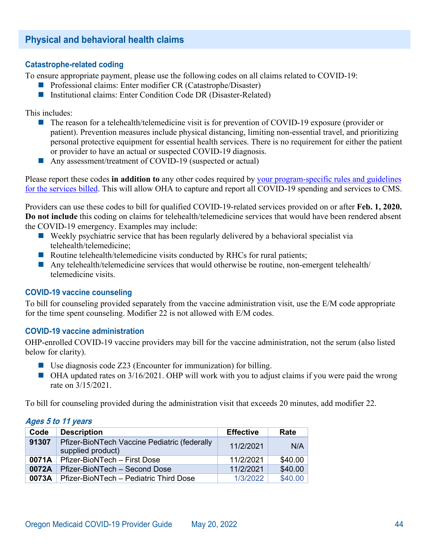# <span id="page-46-0"></span>**Physical and behavioral health claims**

#### **Catastrophe-related coding**

To ensure appropriate payment, please use the following codes on all claims related to COVID-19:

- **Professional claims: Enter modifier CR (Catastrophe/Disaster)**
- Institutional claims: Enter Condition Code DR (Disaster-Related)

This includes:

- The reason for a telehealth/telemedicine visit is for prevention of COVID-19 exposure (provider or patient). Prevention measures include physical distancing, limiting non-essential travel, and prioritizing personal protective equipment for essential health services. There is no requirement for either the patient or provider to have an actual or suspected COVID-19 diagnosis.
- Any assessment/treatment of COVID-19 (suspected or actual)

Please report these codes **in addition to** any other codes required by [your program-specific rules and guidelines](http://bit.ly/ohp-rules)  [for the services billed.](http://bit.ly/ohp-rules) This will allow OHA to capture and report all COVID-19 spending and services to CMS.

Providers can use these codes to bill for qualified COVID-19-related services provided on or after **Feb. 1, 2020. Do not include** this coding on claims for telehealth/telemedicine services that would have been rendered absent the COVID-19 emergency. Examples may include:

- $\blacksquare$  Weekly psychiatric service that has been regularly delivered by a behavioral specialist via telehealth/telemedicine;
- Routine telehealth/telemedicine visits conducted by RHCs for rural patients;
- Any telehealth/telemedicine services that would otherwise be routine, non-emergent telehealth/ telemedicine visits.

#### <span id="page-46-1"></span>**COVID-19 vaccine counseling**

To bill for counseling provided separately from the vaccine administration visit, use the E/M code appropriate for the time spent counseling. Modifier 22 is not allowed with E/M codes.

#### **COVID-19 vaccine administration**

OHP-enrolled COVID-19 vaccine providers may bill for the vaccine administration, not the serum (also listed below for clarity).

- Use diagnosis code Z23 (Encounter for immunization) for billing.
- $\blacksquare$  OHA updated rates on 3/16/2021. OHP will work with you to adjust claims if you were paid the wrong rate on 3/15/2021.

To bill for counseling provided during the administration visit that exceeds 20 minutes, add modifier 22.

#### **Ages 5 to 11 years**

| Code  | <b>Description</b>                                                | <b>Effective</b> | Rate    |
|-------|-------------------------------------------------------------------|------------------|---------|
| 91307 | Pfizer-BioNTech Vaccine Pediatric (federally<br>supplied product) | 11/2/2021        | N/A     |
| 0071A | Pfizer-BioNTech - First Dose                                      | 11/2/2021        | \$40.00 |
| 0072A | Pfizer-BioNTech - Second Dose                                     | 11/2/2021        | \$40.00 |
| 0073A | Pfizer-BioNTech - Pediatric Third Dose                            | 1/3/2022         | \$40.00 |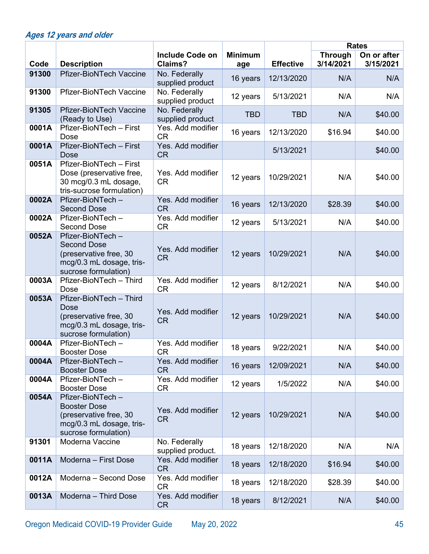# **Ages 12 years and older**

|       |                                                                                                                       |                                    |                |                  |                             | <b>Rates</b>             |
|-------|-----------------------------------------------------------------------------------------------------------------------|------------------------------------|----------------|------------------|-----------------------------|--------------------------|
| Code  | <b>Description</b>                                                                                                    | <b>Include Code on</b><br>Claims?  | <b>Minimum</b> | <b>Effective</b> | <b>Through</b><br>3/14/2021 | On or after<br>3/15/2021 |
| 91300 | <b>Pfizer-BioNTech Vaccine</b>                                                                                        | No. Federally                      | age            |                  |                             |                          |
|       |                                                                                                                       | supplied product                   | 16 years       | 12/13/2020       | N/A                         | N/A                      |
| 91300 | <b>Pfizer-BioNTech Vaccine</b>                                                                                        | No. Federally<br>supplied product  | 12 years       | 5/13/2021        | N/A                         | N/A                      |
| 91305 | <b>Pfizer-BioNTech Vaccine</b>                                                                                        | No. Federally                      | <b>TBD</b>     | <b>TBD</b>       | N/A                         | \$40.00                  |
|       | (Ready to Use)                                                                                                        | supplied product                   |                |                  |                             |                          |
| 0001A | Pfizer-BioNTech - First<br>Dose                                                                                       | Yes. Add modifier<br><b>CR</b>     | 16 years       | 12/13/2020       | \$16.94                     | \$40.00                  |
| 0001A | Pfizer-BioNTech - First<br>Dose                                                                                       | Yes. Add modifier<br><b>CR</b>     |                | 5/13/2021        |                             | \$40.00                  |
| 0051A | Pfizer-BioNTech - First<br>Dose (preservative free,<br>30 mcg/0.3 mL dosage,<br>tris-sucrose formulation)             | Yes. Add modifier<br><b>CR</b>     | 12 years       | 10/29/2021       | N/A                         | \$40.00                  |
| 0002A | Pfizer-BioNTech-<br><b>Second Dose</b>                                                                                | Yes. Add modifier<br><b>CR</b>     | 16 years       | 12/13/2020       | \$28.39                     | \$40.00                  |
| 0002A | Pfizer-BioNTech-<br><b>Second Dose</b>                                                                                | Yes. Add modifier<br><b>CR</b>     | 12 years       | 5/13/2021        | N/A                         | \$40.00                  |
| 0052A | Pfizer-BioNTech-<br><b>Second Dose</b><br>(preservative free, 30)<br>mcg/0.3 mL dosage, tris-<br>sucrose formulation) | Yes. Add modifier<br><b>CR</b>     | 12 years       | 10/29/2021       | N/A                         | \$40.00                  |
| 0003A | Pfizer-BioNTech - Third<br>Dose                                                                                       | Yes. Add modifier<br><b>CR</b>     | 12 years       | 8/12/2021        | N/A                         | \$40.00                  |
| 0053A | Pfizer-BioNTech - Third<br>Dose<br>(preservative free, 30<br>mcg/0.3 mL dosage, tris-<br>sucrose formulation)         | Yes. Add modifier<br><b>CR</b>     | 12 years       | 10/29/2021       | N/A                         | \$40.00                  |
| 0004A | Pfizer-BioNTech-<br><b>Booster Dose</b>                                                                               | Yes. Add modifier<br><b>CR</b>     | 18 years       | 9/22/2021        | N/A                         | \$40.00                  |
| 0004A | Pfizer-BioNTech-<br><b>Booster Dose</b>                                                                               | Yes. Add modifier<br><b>CR</b>     | 16 years       | 12/09/2021       | N/A                         | \$40.00                  |
| 0004A | Pfizer-BioNTech-<br><b>Booster Dose</b>                                                                               | Yes. Add modifier<br><b>CR</b>     | 12 years       | 1/5/2022         | N/A                         | \$40.00                  |
| 0054A | Pfizer-BioNTech-<br><b>Booster Dose</b><br>(preservative free, 30<br>mcg/0.3 mL dosage, tris-<br>sucrose formulation) | Yes. Add modifier<br><b>CR</b>     | 12 years       | 10/29/2021       | N/A                         | \$40.00                  |
| 91301 | Moderna Vaccine                                                                                                       | No. Federally<br>supplied product. | 18 years       | 12/18/2020       | N/A                         | N/A                      |
| 0011A | Moderna - First Dose                                                                                                  | Yes. Add modifier<br><b>CR</b>     | 18 years       | 12/18/2020       | \$16.94                     | \$40.00                  |
| 0012A | Moderna - Second Dose                                                                                                 | Yes. Add modifier<br><b>CR</b>     | 18 years       | 12/18/2020       | \$28.39                     | \$40.00                  |
| 0013A | Moderna - Third Dose                                                                                                  | Yes. Add modifier<br><b>CR</b>     | 18 years       | 8/12/2021        | N/A                         | \$40.00                  |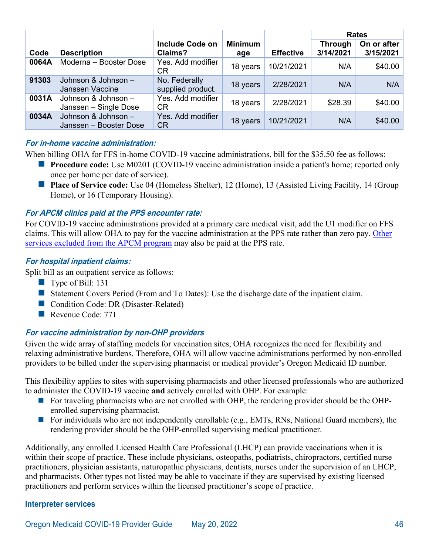|       |                                               |                                    |                       |                  | <b>Rates</b>                |                          |
|-------|-----------------------------------------------|------------------------------------|-----------------------|------------------|-----------------------------|--------------------------|
| Code  | <b>Description</b>                            | <b>Include Code on</b><br>Claims?  | <b>Minimum</b><br>age | <b>Effective</b> | <b>Through</b><br>3/14/2021 | On or after<br>3/15/2021 |
| 0064A | Moderna - Booster Dose                        | Yes. Add modifier<br>CR            | 18 years              | 10/21/2021       | N/A                         | \$40.00                  |
| 91303 | Johnson & Johnson -<br>Janssen Vaccine        | No. Federally<br>supplied product. | 18 years              | 2/28/2021        | N/A                         | N/A                      |
| 0031A | Johnson & Johnson -<br>Janssen – Single Dose  | Yes. Add modifier<br>CR.           | 18 years              | 2/28/2021        | \$28.39                     | \$40.00                  |
| 0034A | Johnson & Johnson -<br>Janssen - Booster Dose | Yes. Add modifier<br><b>CR</b>     | 18 years              | 10/21/2021       | N/A                         | \$40.00                  |

#### **For in-home vaccine administration:**

When billing OHA for FFS in-home COVID-19 vaccine administrations, bill for the \$35.50 fee as follows:

- **Procedure code:** Use M0201 (COVID-19 vaccine administration inside a patient's home; reported only once per home per date of service).
- **Place of Service code:** Use 04 (Homeless Shelter), 12 (Home), 13 (Assisted Living Facility, 14 (Group) Home), or 16 (Temporary Housing).

#### **For APCM clinics paid at the PPS encounter rate:**

For COVID-19 vaccine administrations provided at a primary care medical visit, add the U1 modifier on FFS claims. This will allow OHA to pay for the vaccine administration at the PPS rate rather than zero pay. [Other](https://www.oregon.gov/oha/HSD/OHP/Tools/APM%20Carved-out%20Services%20Overview.pdf)  [services excluded from the APCM program](https://www.oregon.gov/oha/HSD/OHP/Tools/APM%20Carved-out%20Services%20Overview.pdf) may also be paid at the PPS rate.

#### **For hospital inpatient claims:**

Split bill as an outpatient service as follows:

- $\blacksquare$  Type of Bill: 131
- Statement Covers Period (From and To Dates): Use the discharge date of the inpatient claim.
- Condition Code: DR (Disaster-Related)
- Revenue Code: 771

#### **For vaccine administration by non-OHP providers**

Given the wide array of staffing models for vaccination sites, OHA recognizes the need for flexibility and relaxing administrative burdens. Therefore, OHA will allow vaccine administrations performed by non-enrolled providers to be billed under the supervising pharmacist or medical provider's Oregon Medicaid ID number.

This flexibility applies to sites with supervising pharmacists and other licensed professionals who are authorized to administer the COVID-19 vaccine **and** actively enrolled with OHP. For example:

- $\blacksquare$  For traveling pharmacists who are not enrolled with OHP, the rendering provider should be the OHPenrolled supervising pharmacist.
- For individuals who are not independently enrollable (e.g., EMTs, RNs, National Guard members), the rendering provider should be the OHP-enrolled supervising medical practitioner.

Additionally, any enrolled Licensed Health Care Professional (LHCP) can provide vaccinations when it is within their scope of practice. These include physicians, osteopaths, podiatrists, chiropractors, certified nurse practitioners, physician assistants, naturopathic physicians, dentists, nurses under the supervision of an LHCP, and pharmacists. Other types not listed may be able to vaccinate if they are supervised by existing licensed practitioners and perform services within the licensed practitioner's scope of practice.

#### **Interpreter services**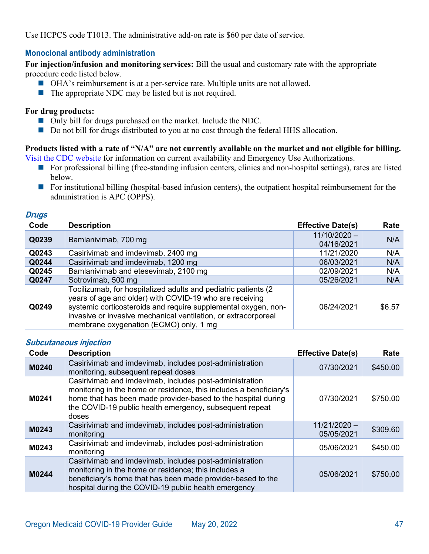Use HCPCS code T1013. The administrative add-on rate is \$60 per date of service.

#### **Monoclonal antibody administration**

**For injection/infusion and monitoring services:** Bill the usual and customary rate with the appropriate procedure code listed below.

- OHA's reimbursement is at a per-service rate. Multiple units are not allowed.
- $\blacksquare$  The appropriate NDC may be listed but is not required.

#### **For drug products:**

- Only bill for drugs purchased on the market. Include the NDC.
- Do not bill for drugs distributed to you at no cost through the federal HHS allocation.

# **Products listed with a rate of "N/A" are not currently available on the market and not eligible for billing.**

[Visit the CDC website](https://www.cms.gov/medicare/covid-19/monoclonal-antibody-covid-19-infusion) for information on current availability and Emergency Use Authorizations.

- For professional billing (free-standing infusion centers, clinics and non-hospital settings), rates are listed below.
- **For institutional billing (hospital-based infusion centers), the outpatient hospital reimbursement for the** administration is APC (OPPS).

#### **Drugs**

| Code  | <b>Description</b>                                                                                                                                                                                                                                                                                       | <b>Effective Date(s)</b>     | Rate   |
|-------|----------------------------------------------------------------------------------------------------------------------------------------------------------------------------------------------------------------------------------------------------------------------------------------------------------|------------------------------|--------|
| Q0239 | Bamlanivimab, 700 mg                                                                                                                                                                                                                                                                                     | $11/10/2020 -$<br>04/16/2021 | N/A    |
| Q0243 | Casirivimab and imdevimab, 2400 mg                                                                                                                                                                                                                                                                       | 11/21/2020                   | N/A    |
| Q0244 | Casirivimab and imdevimab, 1200 mg                                                                                                                                                                                                                                                                       | 06/03/2021                   | N/A    |
| Q0245 | Bamlanivimab and etesevimab, 2100 mg                                                                                                                                                                                                                                                                     | 02/09/2021                   | N/A    |
| Q0247 | Sotrovimab, 500 mg                                                                                                                                                                                                                                                                                       | 05/26/2021                   | N/A    |
| Q0249 | Tocilizumab, for hospitalized adults and pediatric patients (2)<br>years of age and older) with COVID-19 who are receiving<br>systemic corticosteroids and require supplemental oxygen, non-<br>invasive or invasive mechanical ventilation, or extracorporeal<br>membrane oxygenation (ECMO) only, 1 mg | 06/24/2021                   | \$6.57 |

#### **Subcutaneous injection**

| Code  | <b>Description</b>                                                                                                                                                                                                                                                 | <b>Effective Date(s)</b>     | Rate     |
|-------|--------------------------------------------------------------------------------------------------------------------------------------------------------------------------------------------------------------------------------------------------------------------|------------------------------|----------|
| M0240 | Casirivimab and imdevimab, includes post-administration<br>monitoring, subsequent repeat doses                                                                                                                                                                     | 07/30/2021                   | \$450.00 |
| M0241 | Casirivimab and imdevimab, includes post-administration<br>monitoring in the home or residence, this includes a beneficiary's<br>home that has been made provider-based to the hospital during<br>the COVID-19 public health emergency, subsequent repeat<br>doses | 07/30/2021                   | \$750.00 |
| M0243 | Casirivimab and imdevimab, includes post-administration<br>monitoring                                                                                                                                                                                              | $11/21/2020 -$<br>05/05/2021 | \$309.60 |
| M0243 | Casirivimab and imdevimab, includes post-administration<br>monitoring                                                                                                                                                                                              | 05/06/2021                   | \$450.00 |
| M0244 | Casirivimab and imdevimab, includes post-administration<br>monitoring in the home or residence; this includes a<br>beneficiary's home that has been made provider-based to the<br>hospital during the COVID-19 public health emergency                             | 05/06/2021                   | \$750.00 |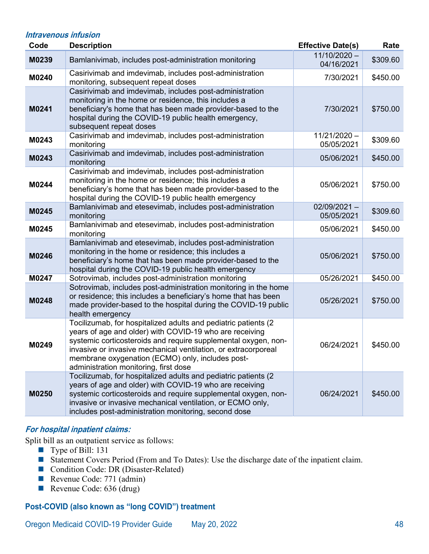#### **Intravenous infusion**

| Code  | <b>Description</b>                                                                                                                                                                                                                                                                                                                                         | <b>Effective Date(s)</b>     | Rate     |
|-------|------------------------------------------------------------------------------------------------------------------------------------------------------------------------------------------------------------------------------------------------------------------------------------------------------------------------------------------------------------|------------------------------|----------|
| M0239 | Bamlanivimab, includes post-administration monitoring                                                                                                                                                                                                                                                                                                      | $11/10/2020 -$<br>04/16/2021 | \$309.60 |
| M0240 | Casirivimab and imdevimab, includes post-administration<br>monitoring, subsequent repeat doses                                                                                                                                                                                                                                                             | 7/30/2021                    | \$450.00 |
| M0241 | Casirivimab and imdevimab, includes post-administration<br>monitoring in the home or residence, this includes a<br>beneficiary's home that has been made provider-based to the<br>hospital during the COVID-19 public health emergency,<br>subsequent repeat doses                                                                                         | 7/30/2021                    | \$750.00 |
| M0243 | Casirivimab and imdevimab, includes post-administration<br>monitoring                                                                                                                                                                                                                                                                                      | 11/21/2020-<br>05/05/2021    | \$309.60 |
| M0243 | Casirivimab and imdevimab, includes post-administration<br>monitoring                                                                                                                                                                                                                                                                                      | 05/06/2021                   | \$450.00 |
| M0244 | Casirivimab and imdevimab, includes post-administration<br>monitoring in the home or residence; this includes a<br>beneficiary's home that has been made provider-based to the<br>hospital during the COVID-19 public health emergency                                                                                                                     | 05/06/2021                   | \$750.00 |
| M0245 | Bamlanivimab and etesevimab, includes post-administration<br>monitoring                                                                                                                                                                                                                                                                                    | $02/09/2021 -$<br>05/05/2021 | \$309.60 |
| M0245 | Bamlanivimab and etesevimab, includes post-administration<br>monitoring                                                                                                                                                                                                                                                                                    | 05/06/2021                   | \$450.00 |
| M0246 | Bamlanivimab and etesevimab, includes post-administration<br>monitoring in the home or residence; this includes a<br>beneficiary's home that has been made provider-based to the<br>hospital during the COVID-19 public health emergency                                                                                                                   | 05/06/2021                   | \$750.00 |
| M0247 | Sotrovimab, includes post-administration monitoring                                                                                                                                                                                                                                                                                                        | 05/26/2021                   | \$450.00 |
| M0248 | Sotrovimab, includes post-administration monitoring in the home<br>or residence; this includes a beneficiary's home that has been<br>made provider-based to the hospital during the COVID-19 public<br>health emergency                                                                                                                                    | 05/26/2021                   | \$750.00 |
| M0249 | Tocilizumab, for hospitalized adults and pediatric patients (2<br>years of age and older) with COVID-19 who are receiving<br>systemic corticosteroids and require supplemental oxygen, non-<br>invasive or invasive mechanical ventilation, or extracorporeal<br>membrane oxygenation (ECMO) only, includes post-<br>administration monitoring, first dose | 06/24/2021                   | \$450.00 |
| M0250 | Tocilizumab, for hospitalized adults and pediatric patients (2<br>years of age and older) with COVID-19 who are receiving<br>systemic corticosteroids and require supplemental oxygen, non-<br>invasive or invasive mechanical ventilation, or ECMO only,<br>includes post-administration monitoring, second dose                                          | 06/24/2021                   | \$450.00 |

#### **For hospital inpatient claims:**

Split bill as an outpatient service as follows:

- Type of Bill: 131
- Statement Covers Period (From and To Dates): Use the discharge date of the inpatient claim.
- Condition Code: DR (Disaster-Related)
- Revenue Code: 771 (admin)
- Revenue Code: 636 (drug)

# **Post-COVID (also known as "long COVID") treatment**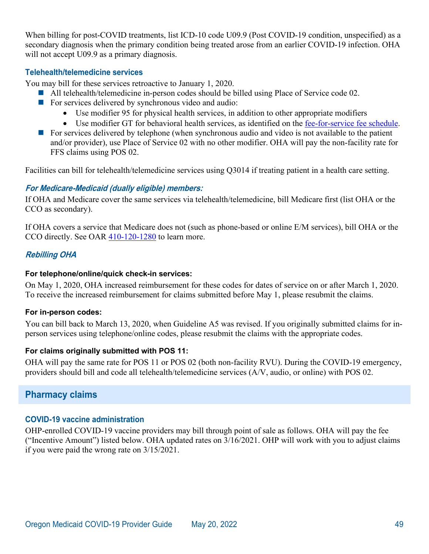When billing for post-COVID treatments, list ICD-10 code U09.9 (Post COVID-19 condition, unspecified) as a secondary diagnosis when the primary condition being treated arose from an earlier COVID-19 infection. OHA will not accept U09.9 as a primary diagnosis.

#### **Telehealth/telemedicine services**

You may bill for these services retroactive to January 1, 2020.

- All telehealth/telemedicine in-person codes should be billed using Place of Service code 02.
- For services delivered by synchronous video and audio:
	- Use modifier 95 for physical health services, in addition to other appropriate modifiers
	- Use modifier GT for behavioral health services, as identified on the [fee-for-service fee schedule.](http://www.oregon.gov/OHA/HSD/OHP/Pages/Fee-Schedule.aspx)
- For services delivered by telephone (when synchronous audio and video is not available to the patient and/or provider), use Place of Service 02 with no other modifier. OHA will pay the non-facility rate for FFS claims using POS 02.

Facilities can bill for telehealth/telemedicine services using Q3014 if treating patient in a health care setting.

#### **For Medicare-Medicaid (dually eligible) members:**

If OHA and Medicare cover the same services via telehealth/telemedicine, bill Medicare first (list OHA or the CCO as secondary).

If OHA covers a service that Medicare does not (such as phone-based or online E/M services), bill OHA or the CCO directly. See OAR [410-120-1280](https://secure.sos.state.or.us/oard/view.action?ruleNumber=410-120-1280) to learn more.

## **Rebilling OHA**

#### **For telephone/online/quick check-in services:**

On May 1, 2020, OHA increased reimbursement for these codes for dates of service on or after March 1, 2020. To receive the increased reimbursement for claims submitted before May 1, please resubmit the claims.

#### **For in-person codes:**

You can bill back to March 13, 2020, when Guideline A5 was revised. If you originally submitted claims for inperson services using telephone/online codes, please resubmit the claims with the appropriate codes.

#### **For claims originally submitted with POS 11:**

OHA will pay the same rate for POS 11 or POS 02 (both non-facility RVU). During the COVID-19 emergency, providers should bill and code all telehealth/telemedicine services (A/V, audio, or online) with POS 02.

# <span id="page-51-0"></span>**Pharmacy claims**

#### **COVID-19 vaccine administration**

OHP-enrolled COVID-19 vaccine providers may bill through point of sale as follows. OHA will pay the fee ("Incentive Amount") listed below. OHA updated rates on 3/16/2021. OHP will work with you to adjust claims if you were paid the wrong rate on 3/15/2021.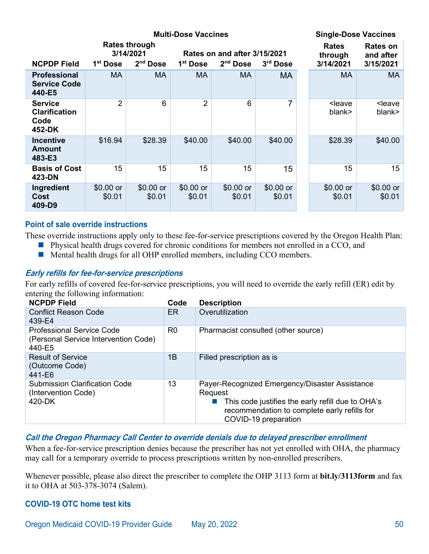|                                                          | <b>Multi-Dose Vaccines</b> |                                                 |                                                                                            |                      |                      |                                      | <b>Single-Dose Vaccines</b>        |  |
|----------------------------------------------------------|----------------------------|-------------------------------------------------|--------------------------------------------------------------------------------------------|----------------------|----------------------|--------------------------------------|------------------------------------|--|
| <b>NCPDP Field</b>                                       | 1 <sup>st</sup> Dose       | <b>Rates through</b><br>3/14/2021<br>$2nd$ Dose | Rates on and after 3/15/2021<br>$2nd$ Dose<br>1 <sup>st</sup> Dose<br>3 <sup>rd</sup> Dose |                      |                      | <b>Rates</b><br>through<br>3/14/2021 | Rates on<br>and after<br>3/15/2021 |  |
| <b>Professional</b><br><b>Service Code</b><br>440-E5     | <b>MA</b>                  | <b>MA</b>                                       | <b>MA</b>                                                                                  | МA                   | <b>MA</b>            | MA                                   | MA                                 |  |
| <b>Service</b><br><b>Clarification</b><br>Code<br>452-DK | 2                          | 6                                               | $\overline{2}$                                                                             | 6                    | 7                    | <leave<br>blank&gt;</leave<br>       | <leave<br>blank&gt;</leave<br>     |  |
| <b>Incentive</b><br>Amount<br>483-E3                     | \$16.94                    | \$28.39                                         | \$40.00                                                                                    | \$40.00              | \$40.00              | \$28.39                              | \$40.00                            |  |
| <b>Basis of Cost</b><br>423-DN                           | 15                         | 15                                              | 15                                                                                         | 15                   | 15                   | 15                                   | 15                                 |  |
| Ingredient<br>Cost<br>409-D9                             | $$0.00$ or<br>\$0.01       | $$0.00$ or<br>\$0.01                            | $$0.00$ or<br>\$0.01                                                                       | $$0.00$ or<br>\$0.01 | $$0.00$ or<br>\$0.01 | $$0.00$ or<br>\$0.01                 | $$0.00$ or<br>\$0.01               |  |

#### **Point of sale override instructions**

These override instructions apply only to these fee-for-service prescriptions covered by the Oregon Health Plan:

- **Physical health drugs covered for chronic conditions for members not enrolled in a CCO, and**
- Mental health drugs for all OHP enrolled members, including CCO members.

#### **Early refills for fee-for-service prescriptions**

For early refills of covered fee-for-service prescriptions, you will need to override the early refill (ER) edit by entering the following information:

| <b>NCPDP Field</b>                                                                 | Code           | <b>Description</b>                                                                                                                                                                     |
|------------------------------------------------------------------------------------|----------------|----------------------------------------------------------------------------------------------------------------------------------------------------------------------------------------|
| <b>Conflict Reason Code</b><br>439-E4                                              | ER             | Overutilization                                                                                                                                                                        |
| <b>Professional Service Code</b><br>(Personal Service Intervention Code)<br>440-E5 | R <sub>0</sub> | Pharmacist consulted (other source)                                                                                                                                                    |
| <b>Result of Service</b><br>(Outcome Code)<br>441-E6                               | 1B             | Filled prescription as is                                                                                                                                                              |
| <b>Submission Clarification Code</b><br>(Intervention Code)<br>420-DK              | 13             | Payer-Recognized Emergency/Disaster Assistance<br>Request<br>This code justifies the early refill due to OHA's<br>recommendation to complete early refills for<br>COVID-19 preparation |

#### **Call the Oregon Pharmacy Call Center to override denials due to delayed prescriber enrollment**

When a fee-for-service prescription denies because the prescriber has not yet enrolled with OHA, the pharmacy may call for a temporary override to process prescriptions written by non-enrolled prescribers.

Whenever possible, please also direct the prescriber to complete the OHP 3113 form at **bit.ly/3113form** and fax it to OHA at 503-378-3074 (Salem).

#### **COVID-19 OTC home test kits**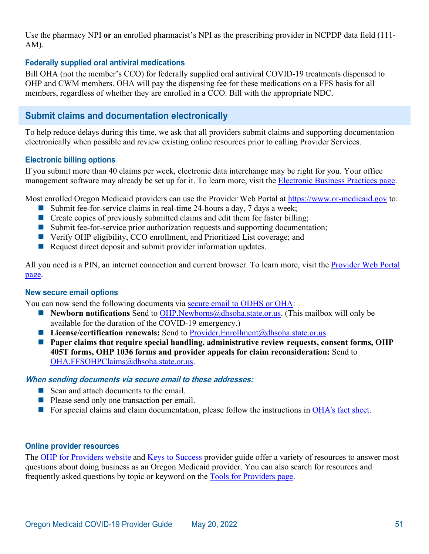Use the pharmacy NPI **or** an enrolled pharmacist's NPI as the prescribing provider in NCPDP data field (111- AM).

#### **Federally supplied oral antiviral medications**

Bill OHA (not the member's CCO) for federally supplied oral antiviral COVID-19 treatments dispensed to OHP and CWM members. OHA will pay the dispensing fee for these medications on a FFS basis for all members, regardless of whether they are enrolled in a CCO. Bill with the appropriate NDC.

# <span id="page-53-0"></span>**Submit claims and documentation electronically**

To help reduce delays during this time, we ask that all providers submit claims and supporting documentation electronically when possible and review existing online resources prior to calling Provider Services.

#### **Electronic billing options**

If you submit more than 40 claims per week, electronic data interchange may be right for you. Your office management software may already be set up for it. To learn more, visit the [Electronic Business Practices page.](http://www.oregon.gov/OHA/HSD/OHP/Pages/EBP.aspx)

Most enrolled Oregon Medicaid providers can use the Provider Web Portal at [https://www.or-medicaid.gov](https://www.or-medicaid.gov/) to:

- Submit fee-for-service claims in real-time 24-hours a day, 7 days a week;
- Create copies of previously submitted claims and edit them for faster billing;
- Submit fee-for-service prior authorization requests and supporting documentation;
- Verify OHP eligibility, CCO enrollment, and Prioritized List coverage; and
- Request direct deposit and submit provider information updates.

All you need is a PIN, an internet connection and current browser. To learn more, visit the Provider Web Portal [page.](http://www.oregon.gov/OHA/HSD/OHP/Pages/Webportal.aspx)

#### **New secure email options**

You can now send the following documents via [secure email to ODHS or OHA:](https://www.oregon.gov/oha/HSD/OHP/Tools/DHS-OHA%20secure%20email%20instructions.pdf)

- Newborn notifications Send to [OHP.Newborns@dhsoha.state.or.us.](mailto:OHP.Newborns@dhsoha.state.or.us) (This mailbox will only be available for the duration of the COVID-19 emergency.)
- License/certification renewals: Send to [Provider.Enrollment@dhsoha.state.or.us.](mailto:provider.enrollment@dhsoha.state.or.us)
- Paper claims that require special handling, administrative review requests, consent forms, OHP **405T forms, OHP 1036 forms and provider appeals for claim reconsideration:** Send to [OHA.FFSOHPClaims@dhsoha.state.or.us.](mailto:OHA.FFSOHPClaims@dhsoha.state.or.us)

#### **When sending documents via secure email to these addresses:**

- Scan and attach documents to the email.
- Please send only one transaction per email.
- For special claims and claim documentation, please follow the instructions in [OHA's fact sheet.](https://www.oregon.gov/oha/HSD/OHP/Tools/Sending%20special%20claims%20and%20documentation%20to%20OHA.pdf)

#### **Online provider resources**

The [OHP for Providers website](http://www.oregon.gov/OHA/HSD/OHP/Pages/Provider-Splash.aspx) and [Keys to Success](https://www.oregon.gov/oha/HSD/OHP/Tools/Keys%20to%20Success%20-%20Partnering%20with%20OHP.pdf) provider guide offer a variety of resources to answer most questions about doing business as an Oregon Medicaid provider. You can also search for resources and frequently asked questions by topic or keyword on the [Tools for Providers page.](http://www.oregon.gov/OHA/HSD/OHP/Pages/Providers.aspx)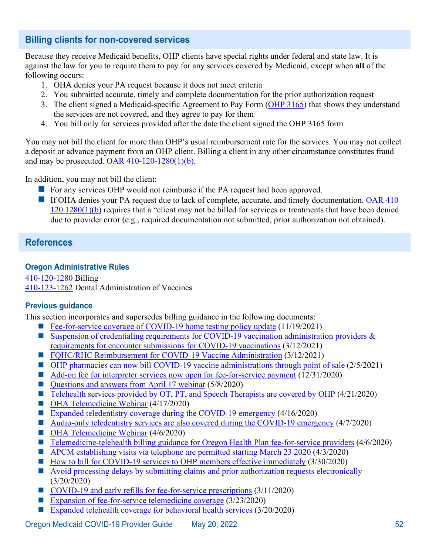# <span id="page-54-0"></span>**Billing clients for non-covered services**

Because they receive Medicaid benefits, OHP clients have special rights under federal and state law. It is against the law for you to require them to pay for any services covered by Medicaid, except when **all** of the following occurs:

- 1. OHA denies your PA request because it does not meet criteria
- 2. You submitted accurate, timely and complete documentation for the prior authorization request
- 3. The client signed a Medicaid-specific Agreement to Pay Form [\(OHP 3165\)](https://aix-xweb1p.state.or.us/es_xweb/DHSforms/Served/oe3165.pdf) that shows they understand the services are not covered, and they agree to pay for them
- 4. You bill only for services provided after the date the client signed the OHP 3165 form

You may not bill the client for more than OHP's usual reimbursement rate for the services. You may not collect a deposit or advance payment from an OHP client. Billing a client in any other circumstance constitutes fraud and may be prosecuted.  $OAR$  410-120-1280(1)(b).

In addition, you may not bill the client:

- For any services OHP would not reimburse if the PA request had been approved.
- If OHA denies your PA request due to lack of complete, accurate, and timely documentation. OAR 410 [120 1280\(1\)\(b\)](https://secure.sos.state.or.us/oard/view.action?ruleNumber=410-120-1280) requires that a "client may not be billed for services or treatments that have been denied due to provider error (e.g., required documentation not submitted, prior authorization not obtained).

# <span id="page-54-1"></span>**References**

## **Oregon Administrative Rules**

[410-120-1280](https://secure.sos.state.or.us/oard/view.action?ruleNumber=410-120-1280) Billing [410-123-1262](https://secure.sos.state.or.us/oard/view.action?ruleNumber=410-123-1262) Dental Administration of Vaccines

## **Previous guidance**

This section incorporates and supersedes billing guidance in the following documents:

- [Fee-for-service coverage of COVID-19 home testing policy update](https://www.oregon.gov/oha/HSD/OHP/Announcements/Pharmacy-Home-Tests-Update1121.pdf)  $(11/19/2021)$
- Suspension of credentialing requirements for COVID-19 vaccination administration providers  $\&$ [requirements for encounter submissions for COVID-19 vaccinations](https://www.oregon.gov/oha/HSD/OHP/Announcements/Credentialing-Encounter-Requirements0321.pdf) (3/12/2021)
- [FQHC/RHC Reimbursement for COVID-19 Vaccine Administration](https://www.oregon.gov/oha/HSD/OHP/Announcements/FQHC-RHC-Vaccine-Reimbursement-0321.pdf) (3/12/2021)
- [OHP pharmacies can now bill COVID-19 vaccine administrations through point of sale](https://www.oregon.gov/oha/HSD/OHP/Announcements/vaccine-pos-billing0221.pdf) (2/5/2021)
- [Add-on fee for interpreter services now open for fee-for-service payment](https://www.oregon.gov/oha/HSD/OHP/Announcements/interpreter-services-fee1220.pdf) (12/31/2020)
- [Questions and answers from April 17 webinar](https://www.oregon.gov/oha/HSD/OHP/Tools/Questions%20and%20answers%20from%20April%2017%20telemedicine%20webinar.pdf) (5/8/2020)
- [Telehealth services provided by OT, PT, and Speech Therapists are covered by OHP](https://www.oregon.gov/oha/HSD/OHP/Announcements/Telehealth%20coverage%20of%20physical%2C%20occupational%20and%20speech%20therapy%20services%20during%20the%20COVID-19%20emergency.pdf) (4/21/2020)
- [OHA Telemedicine Webinar](https://www.oregon.gov/oha/PH/DISEASESCONDITIONS/DISEASESAZ/Emerging%20Respitory%20Infections/COVID-19-OHP-telemedicine-slides-0417.pdf) (4/17/2020)
- [Expanded teledentistry coverage during the COVID-19 emergency](https://www.oregon.gov/oha/HSD/OHP/Announcements/Expanded%20teledentistry%20coverage%20during%20the%20COVID-19%20emergency.pdf) (4/16/2020)
- [Audio-only teledentistry services are also covered during the COVID-19 emergency](https://www.oregon.gov/oha/HSD/OHP/Announcements/Audio-only%20teledentistry%20services%20are%20also%20covered%20during%20the%20COVID-19%20emergency.pdf) (4/7/2020)
- [OHA Telemedicine Webinar](https://www.oregon.gov/oha/HSD/OHP/Tools/Expanded%20Telemedicine%20Webinar%20-%20Slide%20Desk%20-%20April%206%202020.pdf) (4/6/2020)
- [Telemedicine-telehealth billing guidance for Oregon Health Plan fee-for-service providers](https://www.oregon.gov/oha/HSD/OHP/Announcements/Telemedicine-telehealth%20billing%20guidance%20for%20Oregon%20Health%20Plan%20fee-for-service%20providers.pdf) (4/6/2020)
- **APCM** establishing visits via telephone are permitted starting March 23 2020 (4/3/2020)
- $\blacksquare$  [How to bill for COVID-19 services to OHP members effective immediately](https://www.oregon.gov/oha/HSD/OHP/Announcements/How%20to%20bill%20for%20COVID-19%20services%20to%20OHP%20members%20effective%20immediately.pdf) (3/30/2020)
- [Avoid processing delays by submitting claims and prior authorization requests electronically](https://www.oregon.gov/oha/HSD/OHP/Announcements/Avoid%20processing%20delays%20by%20submitting%20claims%20and%20prior%20authorization%20requests%20electronically.pdf) (3/20/2020)
- [COVID-19 and early refills for fee-for-service prescriptions](https://www.oregon.gov/oha/HSD/OHP/Announcements/COVID-19%20and%20early%20refills%20for%20fee-for-service%20prescriptions.pdf) (3/11/2020)
- [Expansion of fee-for-service telemedicine coverage](https://www.oregon.gov/oha/HSD/OHP/Announcements/Expansion%20of%20fee-for-service%20telemedicine%20coverage.pdf) (3/23/2020)
- [Expanded telehealth coverage for behavioral health services](https://www.oregon.gov/oha/HSD/OHP/Announcements/Expanded%20telehealth%20coverage%20for%20behavioral%20health%20services.pdf) (3/20/2020)